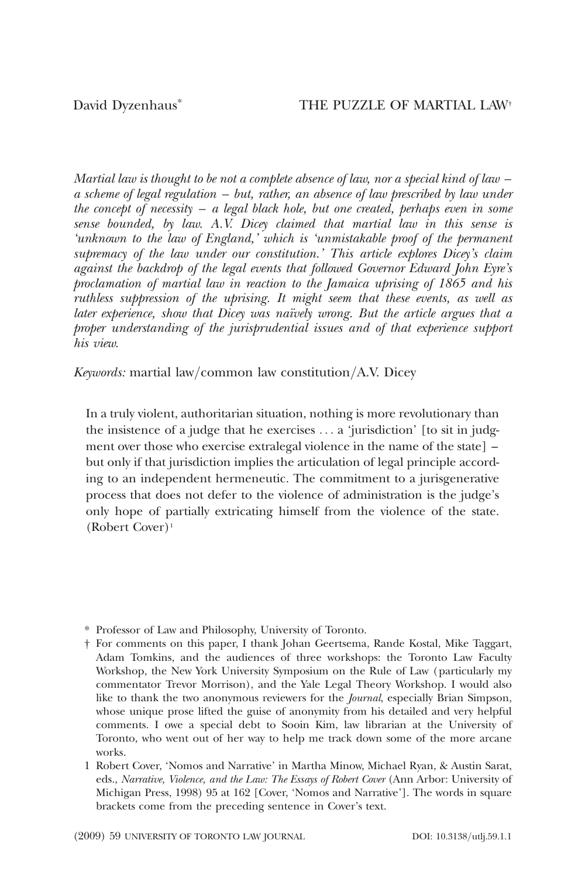Martial law is thought to be not a complete absence of law, nor a special kind of law – a scheme of legal regulation – but, rather, an absence of law prescribed by law under the concept of necessity  $- a$  legal black hole, but one created, perhaps even in some sense bounded, by law. A.V. Dicey claimed that martial law in this sense is 'unknown to the law of England,' which is 'unmistakable proof of the permanent supremacy of the law under our constitution.' This article explores Dicey's claim against the backdrop of the legal events that followed Governor Edward John Eyre's proclamation of martial law in reaction to the Jamaica uprising of 1865 and his ruthless suppression of the uprising. It might seem that these events, as well as later experience, show that Dicey was naively wrong. But the article argues that  $a$ proper understanding of the jurisprudential issues and of that experience support his view.

Keywords: martial law/common law constitution/A.V. Dicey

In a truly violent, authoritarian situation, nothing is more revolutionary than the insistence of a judge that he exercises ... a 'jurisdiction' [to sit in judgment over those who exercise extralegal violence in the name of the state] – but only if that jurisdiction implies the articulation of legal principle according to an independent hermeneutic. The commitment to a jurisgenerative process that does not defer to the violence of administration is the judge's only hope of partially extricating himself from the violence of the state.  $(Robert Cover)^1$ 

- \* Professor of Law and Philosophy, University of Toronto.
- † For comments on this paper, I thank Johan Geertsema, Rande Kostal, Mike Taggart, Adam Tomkins, and the audiences of three workshops: the Toronto Law Faculty Workshop, the New York University Symposium on the Rule of Law (particularly my commentator Trevor Morrison), and the Yale Legal Theory Workshop. I would also like to thank the two anonymous reviewers for the Journal, especially Brian Simpson, whose unique prose lifted the guise of anonymity from his detailed and very helpful comments. I owe a special debt to Sooin Kim, law librarian at the University of Toronto, who went out of her way to help me track down some of the more arcane works.
- 1 Robert Cover, 'Nomos and Narrative' in Martha Minow, Michael Ryan, & Austin Sarat, eds., Narrative, Violence, and the Law: The Essays of Robert Cover (Ann Arbor: University of Michigan Press, 1998) 95 at 162 [Cover, 'Nomos and Narrative']. The words in square brackets come from the preceding sentence in Cover's text.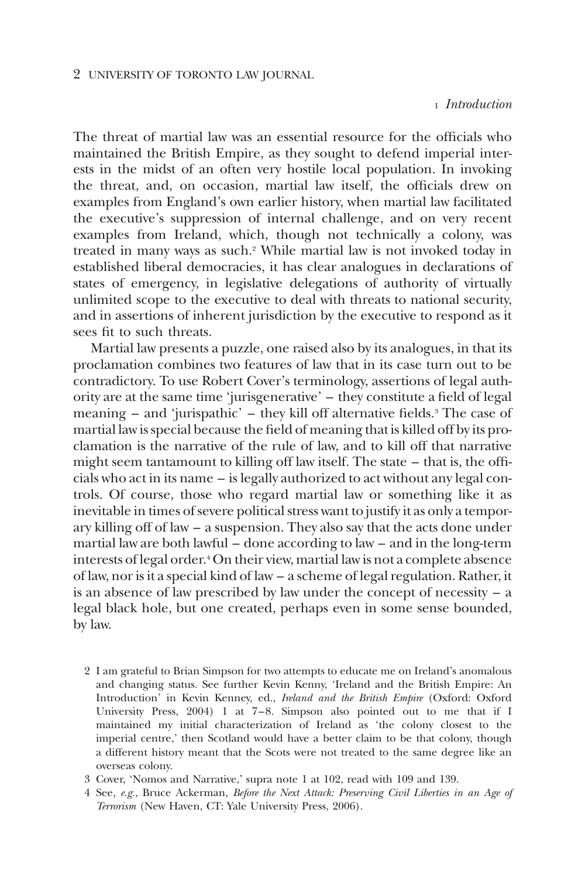## I Introduction

The threat of martial law was an essential resource for the officials who maintained the British Empire, as they sought to defend imperial interests in the midst of an often very hostile local population. In invoking the threat, and, on occasion, martial law itself, the officials drew on examples from England's own earlier history, when martial law facilitated the executive's suppression of internal challenge, and on very recent examples from Ireland, which, though not technically a colony, was treated in many ways as such.2 While martial law is not invoked today in established liberal democracies, it has clear analogues in declarations of states of emergency, in legislative delegations of authority of virtually unlimited scope to the executive to deal with threats to national security, and in assertions of inherent jurisdiction by the executive to respond as it sees fit to such threats.

Martial law presents a puzzle, one raised also by its analogues, in that its proclamation combines two features of law that in its case turn out to be contradictory. To use Robert Cover's terminology, assertions of legal authority are at the same time 'jurisgenerative' – they constitute a field of legal meaning – and 'jurispathic' – they kill off alternative fields.<sup>3</sup> The case of martial law is special because the field of meaning that is killed off by its proclamation is the narrative of the rule of law, and to kill off that narrative might seem tantamount to killing off law itself. The state – that is, the officials who act in its name – is legally authorized to act without any legal controls. Of course, those who regard martial law or something like it as inevitable in times of severe political stress want to justify it as only a temporary killing off of law – a suspension. They also say that the acts done under martial law are both lawful – done according to law – and in the long-term interests of legal order.4 On their view, martial law is not a complete absence of law, nor is it a special kind of law – a scheme of legal regulation. Rather, it is an absence of law prescribed by law under the concept of necessity – a legal black hole, but one created, perhaps even in some sense bounded, by law.

- 2 I am grateful to Brian Simpson for two attempts to educate me on Ireland's anomalous and changing status. See further Kevin Kenny, 'Ireland and the British Empire: An Introduction' in Kevin Kenney, ed., Ireland and the British Empire (Oxford: Oxford University Press, 2004) 1 at 7–8. Simpson also pointed out to me that if I maintained my initial characterization of Ireland as 'the colony closest to the imperial centre,' then Scotland would have a better claim to be that colony, though a different history meant that the Scots were not treated to the same degree like an overseas colony.
- 3 Cover, 'Nomos and Narrative,' supra note 1 at 102, read with 109 and 139.
- 4 See, e.g., Bruce Ackerman, Before the Next Attack: Preserving Civil Liberties in an Age of Terrorism (New Haven, CT: Yale University Press, 2006).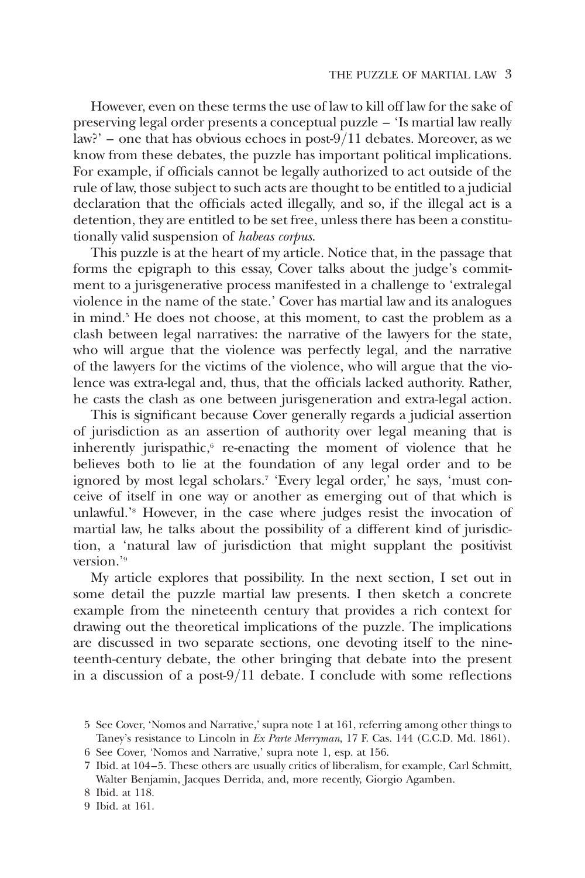However, even on these terms the use of law to kill off law for the sake of preserving legal order presents a conceptual puzzle – 'Is martial law really law?' – one that has obvious echoes in post-9/11 debates. Moreover, as we know from these debates, the puzzle has important political implications. For example, if officials cannot be legally authorized to act outside of the rule of law, those subject to such acts are thought to be entitled to a judicial declaration that the officials acted illegally, and so, if the illegal act is a detention, they are entitled to be set free, unless there has been a constitutionally valid suspension of habeas corpus.

This puzzle is at the heart of my article. Notice that, in the passage that forms the epigraph to this essay, Cover talks about the judge's commitment to a jurisgenerative process manifested in a challenge to 'extralegal violence in the name of the state.' Cover has martial law and its analogues in mind. $5$  He does not choose, at this moment, to cast the problem as a clash between legal narratives: the narrative of the lawyers for the state, who will argue that the violence was perfectly legal, and the narrative of the lawyers for the victims of the violence, who will argue that the violence was extra-legal and, thus, that the officials lacked authority. Rather, he casts the clash as one between jurisgeneration and extra-legal action.

This is significant because Cover generally regards a judicial assertion of jurisdiction as an assertion of authority over legal meaning that is inherently jurispathic, $6$  re-enacting the moment of violence that he believes both to lie at the foundation of any legal order and to be ignored by most legal scholars.<sup>7</sup> 'Every legal order,' he says, 'must conceive of itself in one way or another as emerging out of that which is unlawful.'8 However, in the case where judges resist the invocation of martial law, he talks about the possibility of a different kind of jurisdiction, a 'natural law of jurisdiction that might supplant the positivist version.'9

My article explores that possibility. In the next section, I set out in some detail the puzzle martial law presents. I then sketch a concrete example from the nineteenth century that provides a rich context for drawing out the theoretical implications of the puzzle. The implications are discussed in two separate sections, one devoting itself to the nineteenth-century debate, the other bringing that debate into the present in a discussion of a post-9/11 debate. I conclude with some reflections

6 See Cover, 'Nomos and Narrative,' supra note 1, esp. at 156.

<sup>5</sup> See Cover, 'Nomos and Narrative,' supra note 1 at 161, referring among other things to Taney's resistance to Lincoln in Ex Parte Merryman, 17 F. Cas. 144 (C.C.D. Md. 1861).

<sup>7</sup> Ibid. at 104–5. These others are usually critics of liberalism, for example, Carl Schmitt, Walter Benjamin, Jacques Derrida, and, more recently, Giorgio Agamben.

<sup>8</sup> Ibid. at 118.

<sup>9</sup> Ibid. at 161.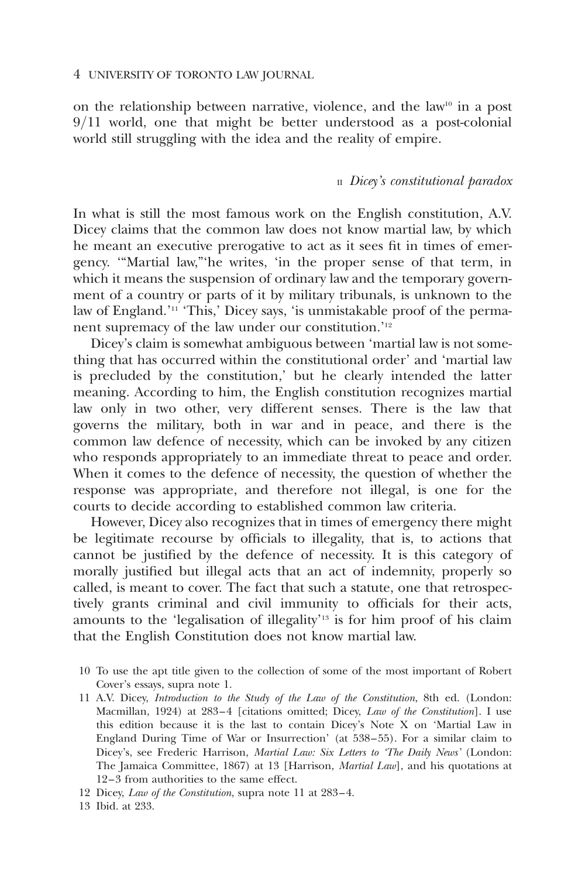on the relationship between narrative, violence, and the law<sup>10</sup> in a post 9/11 world, one that might be better understood as a post-colonial world still struggling with the idea and the reality of empire.

# II Dicey's constitutional paradox

In what is still the most famous work on the English constitution, A.V. Dicey claims that the common law does not know martial law, by which he meant an executive prerogative to act as it sees fit in times of emergency. '"Martial law,"'he writes, 'in the proper sense of that term, in which it means the suspension of ordinary law and the temporary government of a country or parts of it by military tribunals, is unknown to the law of England.'<sup>11</sup> 'This,' Dicey says, 'is unmistakable proof of the permanent supremacy of the law under our constitution.'12

Dicey's claim is somewhat ambiguous between 'martial law is not something that has occurred within the constitutional order' and 'martial law is precluded by the constitution,' but he clearly intended the latter meaning. According to him, the English constitution recognizes martial law only in two other, very different senses. There is the law that governs the military, both in war and in peace, and there is the common law defence of necessity, which can be invoked by any citizen who responds appropriately to an immediate threat to peace and order. When it comes to the defence of necessity, the question of whether the response was appropriate, and therefore not illegal, is one for the courts to decide according to established common law criteria.

However, Dicey also recognizes that in times of emergency there might be legitimate recourse by officials to illegality, that is, to actions that cannot be justified by the defence of necessity. It is this category of morally justified but illegal acts that an act of indemnity, properly so called, is meant to cover. The fact that such a statute, one that retrospectively grants criminal and civil immunity to officials for their acts, amounts to the 'legalisation of illegality'13 is for him proof of his claim that the English Constitution does not know martial law.

- 10 To use the apt title given to the collection of some of the most important of Robert Cover's essays, supra note 1.
- 11 A.V. Dicey, Introduction to the Study of the Law of the Constitution, 8th ed. (London: Macmillan, 1924) at 283–4 [citations omitted; Dicey, Law of the Constitution]. I use this edition because it is the last to contain Dicey's Note X on 'Martial Law in England During Time of War or Insurrection' (at 538–55). For a similar claim to Dicey's, see Frederic Harrison, Martial Law: Six Letters to 'The Daily News' (London: The Jamaica Committee, 1867) at 13 [Harrison, Martial Law], and his quotations at 12–3 from authorities to the same effect.

13 Ibid. at 233.

<sup>12</sup> Dicey, Law of the Constitution, supra note 11 at 283–4.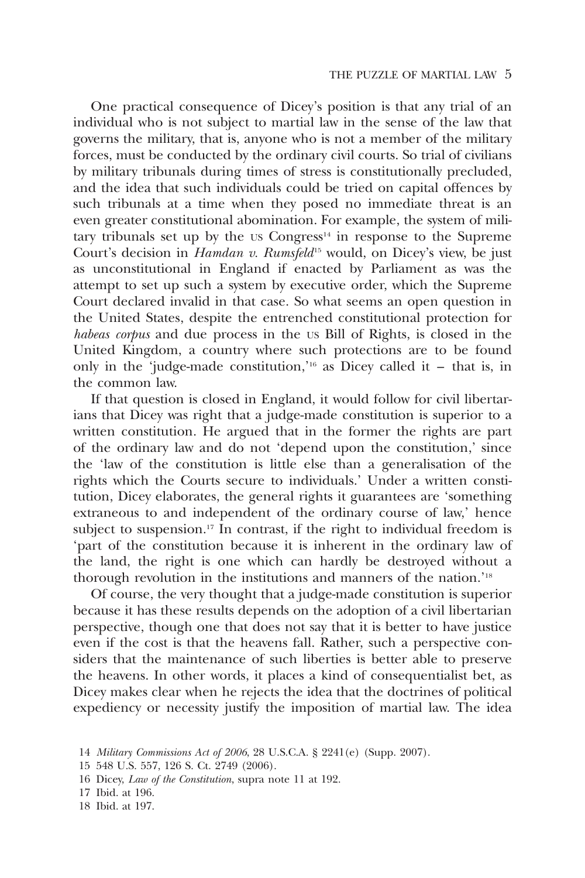One practical consequence of Dicey's position is that any trial of an individual who is not subject to martial law in the sense of the law that governs the military, that is, anyone who is not a member of the military forces, must be conducted by the ordinary civil courts. So trial of civilians by military tribunals during times of stress is constitutionally precluded, and the idea that such individuals could be tried on capital offences by such tribunals at a time when they posed no immediate threat is an even greater constitutional abomination. For example, the system of military tribunals set up by the US Congress $14$  in response to the Supreme Court's decision in *Hamdan v. Rumsfeld*<sup>15</sup> would, on Dicey's view, be just as unconstitutional in England if enacted by Parliament as was the attempt to set up such a system by executive order, which the Supreme Court declared invalid in that case. So what seems an open question in the United States, despite the entrenched constitutional protection for habeas corpus and due process in the US Bill of Rights, is closed in the United Kingdom, a country where such protections are to be found only in the 'judge-made constitution,'<sup>16</sup> as Dicey called it – that is, in the common law.

If that question is closed in England, it would follow for civil libertarians that Dicey was right that a judge-made constitution is superior to a written constitution. He argued that in the former the rights are part of the ordinary law and do not 'depend upon the constitution,' since the 'law of the constitution is little else than a generalisation of the rights which the Courts secure to individuals.' Under a written constitution, Dicey elaborates, the general rights it guarantees are 'something extraneous to and independent of the ordinary course of law,' hence subject to suspension.<sup>17</sup> In contrast, if the right to individual freedom is 'part of the constitution because it is inherent in the ordinary law of the land, the right is one which can hardly be destroyed without a thorough revolution in the institutions and manners of the nation.'18

Of course, the very thought that a judge-made constitution is superior because it has these results depends on the adoption of a civil libertarian perspective, though one that does not say that it is better to have justice even if the cost is that the heavens fall. Rather, such a perspective considers that the maintenance of such liberties is better able to preserve the heavens. In other words, it places a kind of consequentialist bet, as Dicey makes clear when he rejects the idea that the doctrines of political expediency or necessity justify the imposition of martial law. The idea

17 Ibid. at 196.

<sup>14</sup> Military Commissions Act of 2006, 28 U.S.C.A. § 2241(e) (Supp. 2007).

<sup>15 548</sup> U.S. 557, 126 S. Ct. 2749 (2006).

<sup>16</sup> Dicey, Law of the Constitution, supra note 11 at 192.

<sup>18</sup> Ibid. at 197.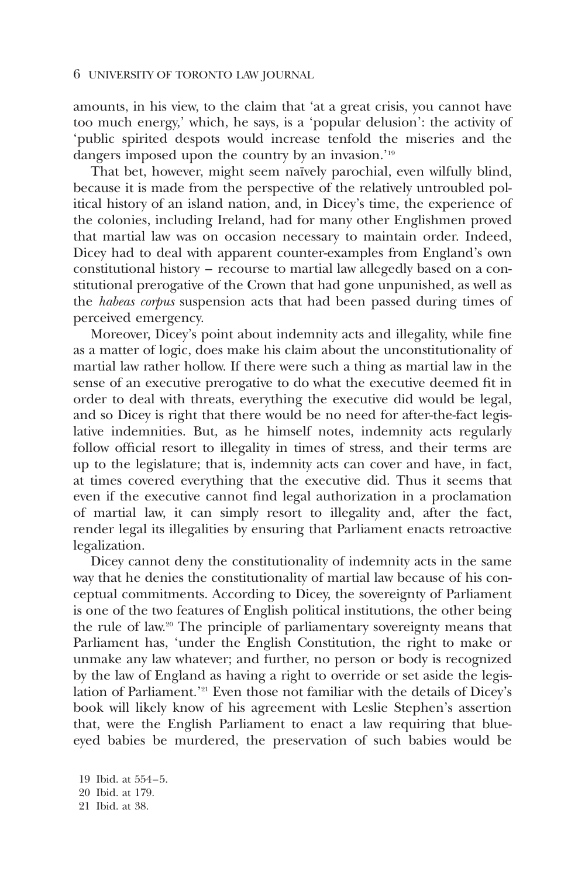amounts, in his view, to the claim that 'at a great crisis, you cannot have too much energy,' which, he says, is a 'popular delusion': the activity of 'public spirited despots would increase tenfold the miseries and the dangers imposed upon the country by an invasion.'19

That bet, however, might seem naïvely parochial, even wilfully blind, because it is made from the perspective of the relatively untroubled political history of an island nation, and, in Dicey's time, the experience of the colonies, including Ireland, had for many other Englishmen proved that martial law was on occasion necessary to maintain order. Indeed, Dicey had to deal with apparent counter-examples from England's own constitutional history – recourse to martial law allegedly based on a constitutional prerogative of the Crown that had gone unpunished, as well as the habeas corpus suspension acts that had been passed during times of perceived emergency.

Moreover, Dicey's point about indemnity acts and illegality, while fine as a matter of logic, does make his claim about the unconstitutionality of martial law rather hollow. If there were such a thing as martial law in the sense of an executive prerogative to do what the executive deemed fit in order to deal with threats, everything the executive did would be legal, and so Dicey is right that there would be no need for after-the-fact legislative indemnities. But, as he himself notes, indemnity acts regularly follow official resort to illegality in times of stress, and their terms are up to the legislature; that is, indemnity acts can cover and have, in fact, at times covered everything that the executive did. Thus it seems that even if the executive cannot find legal authorization in a proclamation of martial law, it can simply resort to illegality and, after the fact, render legal its illegalities by ensuring that Parliament enacts retroactive legalization.

Dicey cannot deny the constitutionality of indemnity acts in the same way that he denies the constitutionality of martial law because of his conceptual commitments. According to Dicey, the sovereignty of Parliament is one of the two features of English political institutions, the other being the rule of law.20 The principle of parliamentary sovereignty means that Parliament has, 'under the English Constitution, the right to make or unmake any law whatever; and further, no person or body is recognized by the law of England as having a right to override or set aside the legislation of Parliament.'<sup>21</sup> Even those not familiar with the details of Dicey's book will likely know of his agreement with Leslie Stephen's assertion that, were the English Parliament to enact a law requiring that blueeyed babies be murdered, the preservation of such babies would be

19 Ibid. at 554–5. 20 Ibid. at 179. 21 Ibid. at 38.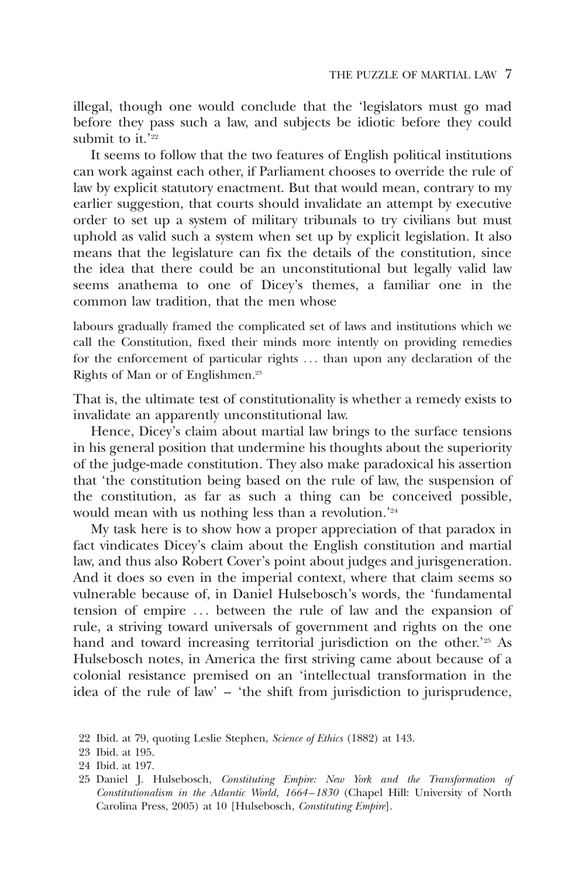illegal, though one would conclude that the 'legislators must go mad before they pass such a law, and subjects be idiotic before they could submit to it.' $22$ 

It seems to follow that the two features of English political institutions can work against each other, if Parliament chooses to override the rule of law by explicit statutory enactment. But that would mean, contrary to my earlier suggestion, that courts should invalidate an attempt by executive order to set up a system of military tribunals to try civilians but must uphold as valid such a system when set up by explicit legislation. It also means that the legislature can fix the details of the constitution, since the idea that there could be an unconstitutional but legally valid law seems anathema to one of Dicey's themes, a familiar one in the common law tradition, that the men whose

labours gradually framed the complicated set of laws and institutions which we call the Constitution, fixed their minds more intently on providing remedies for the enforcement of particular rights ... than upon any declaration of the Rights of Man or of Englishmen.<sup>23</sup>

That is, the ultimate test of constitutionality is whether a remedy exists to invalidate an apparently unconstitutional law.

Hence, Dicey's claim about martial law brings to the surface tensions in his general position that undermine his thoughts about the superiority of the judge-made constitution. They also make paradoxical his assertion that 'the constitution being based on the rule of law, the suspension of the constitution, as far as such a thing can be conceived possible, would mean with us nothing less than a revolution.'24

My task here is to show how a proper appreciation of that paradox in fact vindicates Dicey's claim about the English constitution and martial law, and thus also Robert Cover's point about judges and jurisgeneration. And it does so even in the imperial context, where that claim seems so vulnerable because of, in Daniel Hulsebosch's words, the 'fundamental tension of empire ... between the rule of law and the expansion of rule, a striving toward universals of government and rights on the one hand and toward increasing territorial jurisdiction on the other.'25 As Hulsebosch notes, in America the first striving came about because of a colonial resistance premised on an 'intellectual transformation in the idea of the rule of law' – 'the shift from jurisdiction to jurisprudence,

<sup>22</sup> Ibid. at 79, quoting Leslie Stephen, Science of Ethics (1882) at 143.

<sup>23</sup> Ibid. at 195.

<sup>24</sup> Ibid. at 197.

<sup>25</sup> Daniel J. Hulsebosch, Constituting Empire: New York and the Transformation of Constitutionalism in the Atlantic World, 1664–1830 (Chapel Hill: University of North Carolina Press, 2005) at 10 [Hulsebosch, Constituting Empire].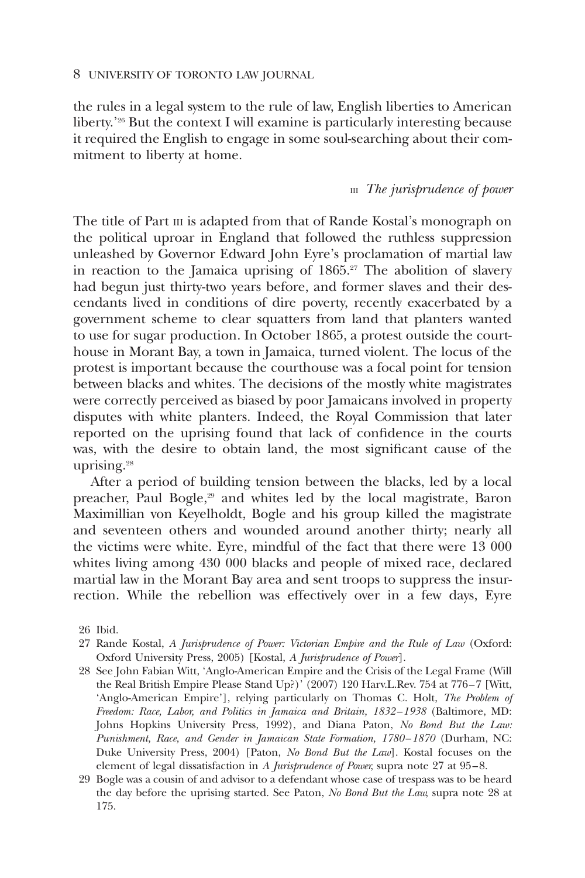the rules in a legal system to the rule of law, English liberties to American liberty.<sup>'26</sup> But the context I will examine is particularly interesting because it required the English to engage in some soul-searching about their commitment to liberty at home.

# III The jurisprudence of power

The title of Part III is adapted from that of Rande Kostal's monograph on the political uproar in England that followed the ruthless suppression unleashed by Governor Edward John Eyre's proclamation of martial law in reaction to the Jamaica uprising of  $1865$ .<sup>27</sup> The abolition of slavery had begun just thirty-two years before, and former slaves and their descendants lived in conditions of dire poverty, recently exacerbated by a government scheme to clear squatters from land that planters wanted to use for sugar production. In October 1865, a protest outside the courthouse in Morant Bay, a town in Jamaica, turned violent. The locus of the protest is important because the courthouse was a focal point for tension between blacks and whites. The decisions of the mostly white magistrates were correctly perceived as biased by poor Jamaicans involved in property disputes with white planters. Indeed, the Royal Commission that later reported on the uprising found that lack of confidence in the courts was, with the desire to obtain land, the most significant cause of the uprising.<sup>28</sup>

After a period of building tension between the blacks, led by a local preacher, Paul Bogle,<sup>29</sup> and whites led by the local magistrate, Baron Maximillian von Keyelholdt, Bogle and his group killed the magistrate and seventeen others and wounded around another thirty; nearly all the victims were white. Eyre, mindful of the fact that there were 13 000 whites living among 430 000 blacks and people of mixed race, declared martial law in the Morant Bay area and sent troops to suppress the insurrection. While the rebellion was effectively over in a few days, Eyre

26 Ibid.

- 27 Rande Kostal, A Jurisprudence of Power: Victorian Empire and the Rule of Law (Oxford: Oxford University Press, 2005) [Kostal, A Jurisprudence of Power].
- 28 See John Fabian Witt, 'Anglo-American Empire and the Crisis of the Legal Frame (Will the Real British Empire Please Stand Up?)' (2007) 120 Harv.L.Rev. 754 at 776–7 [Witt, 'Anglo-American Empire'], relying particularly on Thomas C. Holt, The Problem of Freedom: Race, Labor, and Politics in Jamaica and Britain, 1832–1938 (Baltimore, MD: Johns Hopkins University Press, 1992), and Diana Paton, No Bond But the Law: Punishment, Race, and Gender in Jamaican State Formation, 1780–1870 (Durham, NC: Duke University Press, 2004) [Paton, No Bond But the Law]. Kostal focuses on the element of legal dissatisfaction in A Jurisprudence of Power, supra note 27 at 95–8.
- 29 Bogle was a cousin of and advisor to a defendant whose case of trespass was to be heard the day before the uprising started. See Paton, No Bond But the Law, supra note 28 at 175.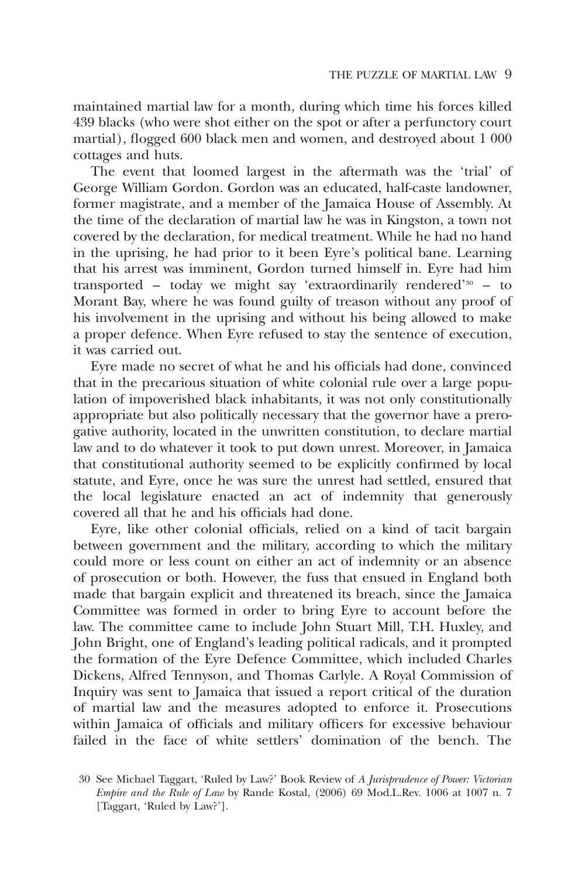maintained martial law for a month, during which time his forces killed 439 blacks (who were shot either on the spot or after a perfunctory court martial), flogged 600 black men and women, and destroyed about 1 000 cottages and huts.

The event that loomed largest in the aftermath was the 'trial' of George William Gordon. Gordon was an educated, half-caste landowner, former magistrate, and a member of the Jamaica House of Assembly. At the time of the declaration of martial law he was in Kingston, a town not covered by the declaration, for medical treatment. While he had no hand in the uprising, he had prior to it been Eyre's political bane. Learning that his arrest was imminent, Gordon turned himself in. Eyre had him transported – today we might say 'extraordinarily rendered'30 – to Morant Bay, where he was found guilty of treason without any proof of his involvement in the uprising and without his being allowed to make a proper defence. When Eyre refused to stay the sentence of execution, it was carried out.

Eyre made no secret of what he and his officials had done, convinced that in the precarious situation of white colonial rule over a large population of impoverished black inhabitants, it was not only constitutionally appropriate but also politically necessary that the governor have a prerogative authority, located in the unwritten constitution, to declare martial law and to do whatever it took to put down unrest. Moreover, in Jamaica that constitutional authority seemed to be explicitly confirmed by local statute, and Eyre, once he was sure the unrest had settled, ensured that the local legislature enacted an act of indemnity that generously covered all that he and his officials had done.

Eyre, like other colonial officials, relied on a kind of tacit bargain between government and the military, according to which the military could more or less count on either an act of indemnity or an absence of prosecution or both. However, the fuss that ensued in England both made that bargain explicit and threatened its breach, since the Jamaica Committee was formed in order to bring Eyre to account before the law. The committee came to include John Stuart Mill, T.H. Huxley, and John Bright, one of England's leading political radicals, and it prompted the formation of the Eyre Defence Committee, which included Charles Dickens, Alfred Tennyson, and Thomas Carlyle. A Royal Commission of Inquiry was sent to Jamaica that issued a report critical of the duration of martial law and the measures adopted to enforce it. Prosecutions within Jamaica of officials and military officers for excessive behaviour failed in the face of white settlers' domination of the bench. The

<sup>30</sup> See Michael Taggart, 'Ruled by Law?' Book Review of A Jurisprudence of Power: Victorian Empire and the Rule of Law by Rande Kostal, (2006) 69 Mod.L.Rev. 1006 at 1007 n. 7 [Taggart, 'Ruled by Law?'].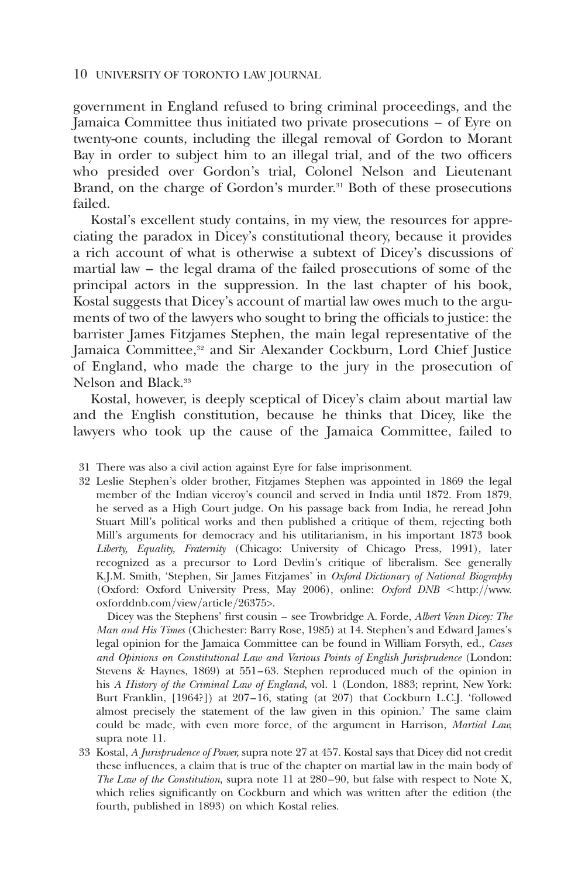government in England refused to bring criminal proceedings, and the Jamaica Committee thus initiated two private prosecutions – of Eyre on twenty-one counts, including the illegal removal of Gordon to Morant Bay in order to subject him to an illegal trial, and of the two officers who presided over Gordon's trial, Colonel Nelson and Lieutenant Brand, on the charge of Gordon's murder.<sup>31</sup> Both of these prosecutions failed.

Kostal's excellent study contains, in my view, the resources for appreciating the paradox in Dicey's constitutional theory, because it provides a rich account of what is otherwise a subtext of Dicey's discussions of martial law – the legal drama of the failed prosecutions of some of the principal actors in the suppression. In the last chapter of his book, Kostal suggests that Dicey's account of martial law owes much to the arguments of two of the lawyers who sought to bring the officials to justice: the barrister James Fitzjames Stephen, the main legal representative of the Jamaica Committee,<sup>32</sup> and Sir Alexander Cockburn, Lord Chief Justice of England, who made the charge to the jury in the prosecution of Nelson and Black.<sup>33</sup>

Kostal, however, is deeply sceptical of Dicey's claim about martial law and the English constitution, because he thinks that Dicey, like the lawyers who took up the cause of the Jamaica Committee, failed to

32 Leslie Stephen's older brother, Fitzjames Stephen was appointed in 1869 the legal member of the Indian viceroy's council and served in India until 1872. From 1879, he served as a High Court judge. On his passage back from India, he reread John Stuart Mill's political works and then published a critique of them, rejecting both Mill's arguments for democracy and his utilitarianism, in his important 1873 book Liberty, Equality, Fraternity (Chicago: University of Chicago Press, 1991), later recognized as a precursor to Lord Devlin's critique of liberalism. See generally K.J.M. Smith, 'Stephen, Sir James Fitzjames' in Oxford Dictionary of National Biography (Oxford: Oxford University Press, May 2006), online: Oxford DNB <http://www. oxforddnb.com/view/article/26375>.

Dicey was the Stephens' first cousin – see Trowbridge A. Forde, Albert Venn Dicey: The Man and His Times (Chichester: Barry Rose, 1985) at 14. Stephen's and Edward James's legal opinion for the Jamaica Committee can be found in William Forsyth, ed., Cases and Opinions on Constitutional Law and Various Points of English Jurisprudence (London: Stevens & Haynes, 1869) at 551–63. Stephen reproduced much of the opinion in his A History of the Criminal Law of England, vol. 1 (London, 1883; reprint, New York: Burt Franklin, [1964?]) at 207–16, stating (at 207) that Cockburn L.C.J. 'followed almost precisely the statement of the law given in this opinion.' The same claim could be made, with even more force, of the argument in Harrison, Martial Law, supra note 11.

33 Kostal, A Jurisprudence of Power, supra note 27 at 457. Kostal says that Dicey did not credit these influences, a claim that is true of the chapter on martial law in the main body of The Law of the Constitution, supra note 11 at 280–90, but false with respect to Note X, which relies significantly on Cockburn and which was written after the edition (the fourth, published in 1893) on which Kostal relies.

<sup>31</sup> There was also a civil action against Eyre for false imprisonment.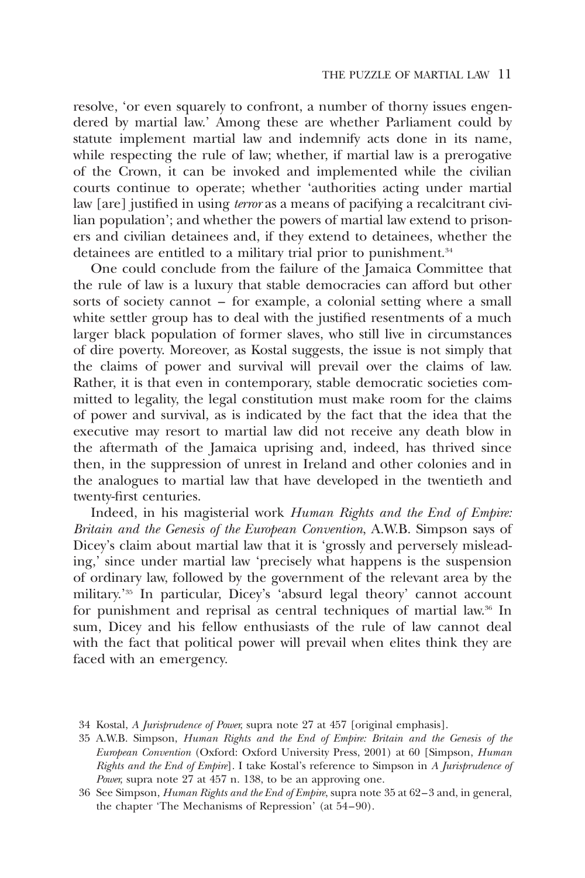resolve, 'or even squarely to confront, a number of thorny issues engendered by martial law.' Among these are whether Parliament could by statute implement martial law and indemnify acts done in its name, while respecting the rule of law; whether, if martial law is a prerogative of the Crown, it can be invoked and implemented while the civilian courts continue to operate; whether 'authorities acting under martial law [are] justified in using terror as a means of pacifying a recalcitrant civilian population'; and whether the powers of martial law extend to prisoners and civilian detainees and, if they extend to detainees, whether the detainees are entitled to a military trial prior to punishment.<sup>34</sup>

One could conclude from the failure of the Jamaica Committee that the rule of law is a luxury that stable democracies can afford but other sorts of society cannot – for example, a colonial setting where a small white settler group has to deal with the justified resentments of a much larger black population of former slaves, who still live in circumstances of dire poverty. Moreover, as Kostal suggests, the issue is not simply that the claims of power and survival will prevail over the claims of law. Rather, it is that even in contemporary, stable democratic societies committed to legality, the legal constitution must make room for the claims of power and survival, as is indicated by the fact that the idea that the executive may resort to martial law did not receive any death blow in the aftermath of the Jamaica uprising and, indeed, has thrived since then, in the suppression of unrest in Ireland and other colonies and in the analogues to martial law that have developed in the twentieth and twenty-first centuries.

Indeed, in his magisterial work Human Rights and the End of Empire: Britain and the Genesis of the European Convention, A.W.B. Simpson says of Dicey's claim about martial law that it is 'grossly and perversely misleading,' since under martial law 'precisely what happens is the suspension of ordinary law, followed by the government of the relevant area by the military.'35 In particular, Dicey's 'absurd legal theory' cannot account for punishment and reprisal as central techniques of martial law.36 In sum, Dicey and his fellow enthusiasts of the rule of law cannot deal with the fact that political power will prevail when elites think they are faced with an emergency.

35 A.W.B. Simpson, Human Rights and the End of Empire: Britain and the Genesis of the European Convention (Oxford: Oxford University Press, 2001) at 60 [Simpson, Human Rights and the End of Empire]. I take Kostal's reference to Simpson in A Jurisprudence of Power, supra note 27 at 457 n. 138, to be an approving one.

<sup>34</sup> Kostal, A Jurisprudence of Power, supra note 27 at 457 [original emphasis].

<sup>36</sup> See Simpson, Human Rights and the End of Empire, supra note 35 at 62–3 and, in general, the chapter 'The Mechanisms of Repression' (at 54–90).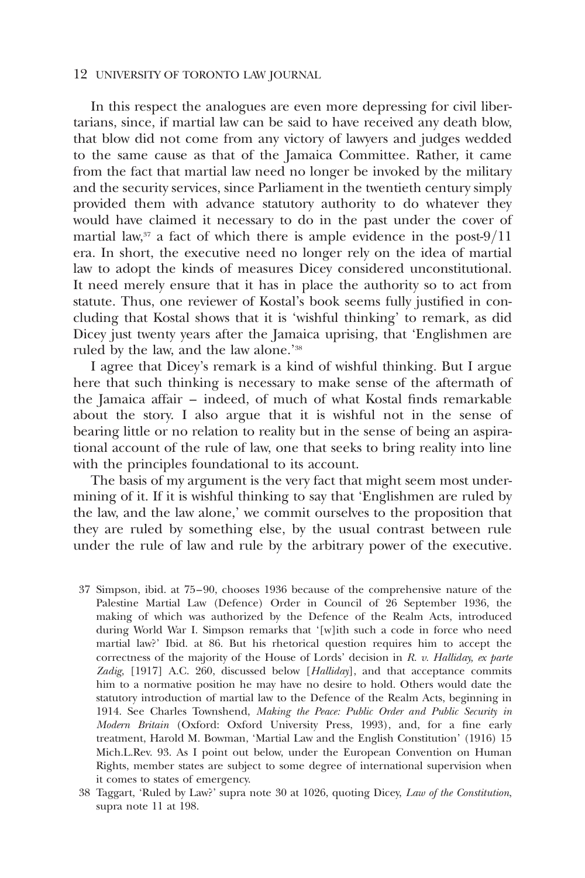In this respect the analogues are even more depressing for civil libertarians, since, if martial law can be said to have received any death blow, that blow did not come from any victory of lawyers and judges wedded to the same cause as that of the Jamaica Committee. Rather, it came from the fact that martial law need no longer be invoked by the military and the security services, since Parliament in the twentieth century simply provided them with advance statutory authority to do whatever they would have claimed it necessary to do in the past under the cover of martial law, $37$  a fact of which there is ample evidence in the post- $9/11$ era. In short, the executive need no longer rely on the idea of martial law to adopt the kinds of measures Dicey considered unconstitutional. It need merely ensure that it has in place the authority so to act from statute. Thus, one reviewer of Kostal's book seems fully justified in concluding that Kostal shows that it is 'wishful thinking' to remark, as did Dicey just twenty years after the Jamaica uprising, that 'Englishmen are ruled by the law, and the law alone.'38

I agree that Dicey's remark is a kind of wishful thinking. But I argue here that such thinking is necessary to make sense of the aftermath of the Jamaica affair – indeed, of much of what Kostal finds remarkable about the story. I also argue that it is wishful not in the sense of bearing little or no relation to reality but in the sense of being an aspirational account of the rule of law, one that seeks to bring reality into line with the principles foundational to its account.

The basis of my argument is the very fact that might seem most undermining of it. If it is wishful thinking to say that 'Englishmen are ruled by the law, and the law alone,' we commit ourselves to the proposition that they are ruled by something else, by the usual contrast between rule under the rule of law and rule by the arbitrary power of the executive.

- 37 Simpson, ibid. at 75–90, chooses 1936 because of the comprehensive nature of the Palestine Martial Law (Defence) Order in Council of 26 September 1936, the making of which was authorized by the Defence of the Realm Acts, introduced during World War I. Simpson remarks that '[w]ith such a code in force who need martial law?' Ibid. at 86. But his rhetorical question requires him to accept the correctness of the majority of the House of Lords' decision in  $R$ . v. Halliday, ex parte Zadig, [1917] A.C. 260, discussed below [Halliday], and that acceptance commits him to a normative position he may have no desire to hold. Others would date the statutory introduction of martial law to the Defence of the Realm Acts, beginning in 1914. See Charles Townshend, Making the Peace: Public Order and Public Security in Modern Britain (Oxford: Oxford University Press, 1993), and, for a fine early treatment, Harold M. Bowman, 'Martial Law and the English Constitution' (1916) 15 Mich.L.Rev. 93. As I point out below, under the European Convention on Human Rights, member states are subject to some degree of international supervision when it comes to states of emergency.
- 38 Taggart, 'Ruled by Law?' supra note 30 at 1026, quoting Dicey, Law of the Constitution, supra note 11 at 198.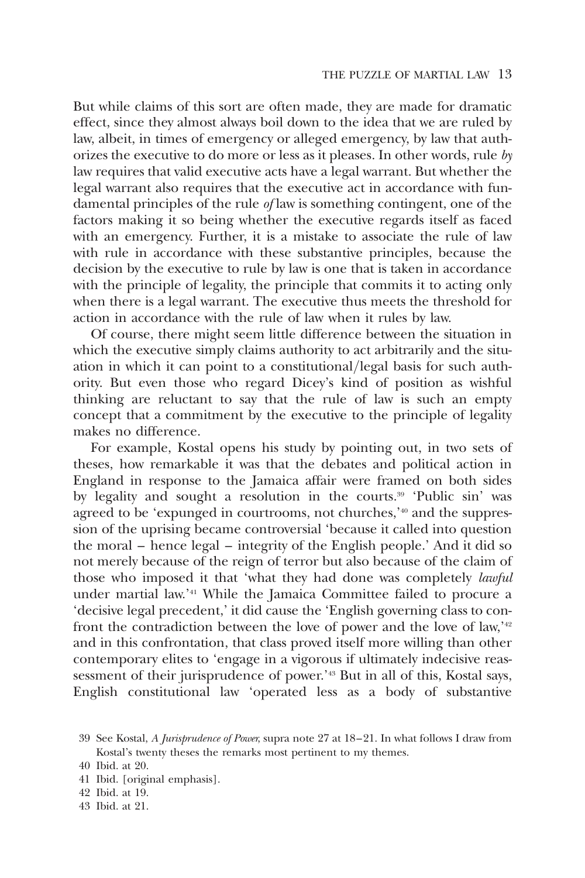But while claims of this sort are often made, they are made for dramatic effect, since they almost always boil down to the idea that we are ruled by law, albeit, in times of emergency or alleged emergency, by law that authorizes the executive to do more or less as it pleases. In other words, rule by law requires that valid executive acts have a legal warrant. But whether the legal warrant also requires that the executive act in accordance with fundamental principles of the rule of law is something contingent, one of the factors making it so being whether the executive regards itself as faced with an emergency. Further, it is a mistake to associate the rule of law with rule in accordance with these substantive principles, because the decision by the executive to rule by law is one that is taken in accordance with the principle of legality, the principle that commits it to acting only when there is a legal warrant. The executive thus meets the threshold for action in accordance with the rule of law when it rules by law.

Of course, there might seem little difference between the situation in which the executive simply claims authority to act arbitrarily and the situation in which it can point to a constitutional/legal basis for such authority. But even those who regard Dicey's kind of position as wishful thinking are reluctant to say that the rule of law is such an empty concept that a commitment by the executive to the principle of legality makes no difference.

For example, Kostal opens his study by pointing out, in two sets of theses, how remarkable it was that the debates and political action in England in response to the Jamaica affair were framed on both sides by legality and sought a resolution in the courts.<sup>39</sup> 'Public sin' was agreed to be 'expunged in courtrooms, not churches,'<sup>40</sup> and the suppression of the uprising became controversial 'because it called into question the moral – hence legal – integrity of the English people.' And it did so not merely because of the reign of terror but also because of the claim of those who imposed it that 'what they had done was completely lawful under martial law.'41 While the Jamaica Committee failed to procure a 'decisive legal precedent,' it did cause the 'English governing class to confront the contradiction between the love of power and the love of law,'42 and in this confrontation, that class proved itself more willing than other contemporary elites to 'engage in a vigorous if ultimately indecisive reassessment of their jurisprudence of power.'43 But in all of this, Kostal says, English constitutional law 'operated less as a body of substantive

- 40 Ibid. at 20.
- 41 Ibid. [original emphasis].
- 42 Ibid. at 19.
- 43 Ibid. at 21.

<sup>39</sup> See Kostal, A Jurisprudence of Power, supra note 27 at 18–21. In what follows I draw from Kostal's twenty theses the remarks most pertinent to my themes.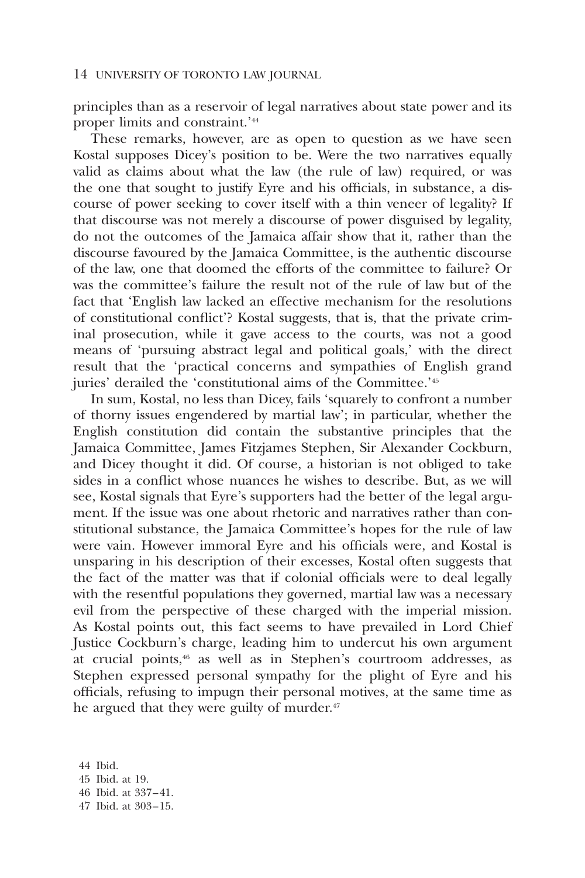principles than as a reservoir of legal narratives about state power and its proper limits and constraint.'44

These remarks, however, are as open to question as we have seen Kostal supposes Dicey's position to be. Were the two narratives equally valid as claims about what the law (the rule of law) required, or was the one that sought to justify Eyre and his officials, in substance, a discourse of power seeking to cover itself with a thin veneer of legality? If that discourse was not merely a discourse of power disguised by legality, do not the outcomes of the Jamaica affair show that it, rather than the discourse favoured by the Jamaica Committee, is the authentic discourse of the law, one that doomed the efforts of the committee to failure? Or was the committee's failure the result not of the rule of law but of the fact that 'English law lacked an effective mechanism for the resolutions of constitutional conflict'? Kostal suggests, that is, that the private criminal prosecution, while it gave access to the courts, was not a good means of 'pursuing abstract legal and political goals,' with the direct result that the 'practical concerns and sympathies of English grand juries' derailed the 'constitutional aims of the Committee.'45

In sum, Kostal, no less than Dicey, fails 'squarely to confront a number of thorny issues engendered by martial law'; in particular, whether the English constitution did contain the substantive principles that the Jamaica Committee, James Fitzjames Stephen, Sir Alexander Cockburn, and Dicey thought it did. Of course, a historian is not obliged to take sides in a conflict whose nuances he wishes to describe. But, as we will see, Kostal signals that Eyre's supporters had the better of the legal argument. If the issue was one about rhetoric and narratives rather than constitutional substance, the Jamaica Committee's hopes for the rule of law were vain. However immoral Eyre and his officials were, and Kostal is unsparing in his description of their excesses, Kostal often suggests that the fact of the matter was that if colonial officials were to deal legally with the resentful populations they governed, martial law was a necessary evil from the perspective of these charged with the imperial mission. As Kostal points out, this fact seems to have prevailed in Lord Chief Justice Cockburn's charge, leading him to undercut his own argument at crucial points,<sup>46</sup> as well as in Stephen's courtroom addresses, as Stephen expressed personal sympathy for the plight of Eyre and his officials, refusing to impugn their personal motives, at the same time as he argued that they were guilty of murder.<sup>47</sup>

44 Ibid. 45 Ibid. at 19. 46 Ibid. at 337–41. 47 Ibid. at 303–15.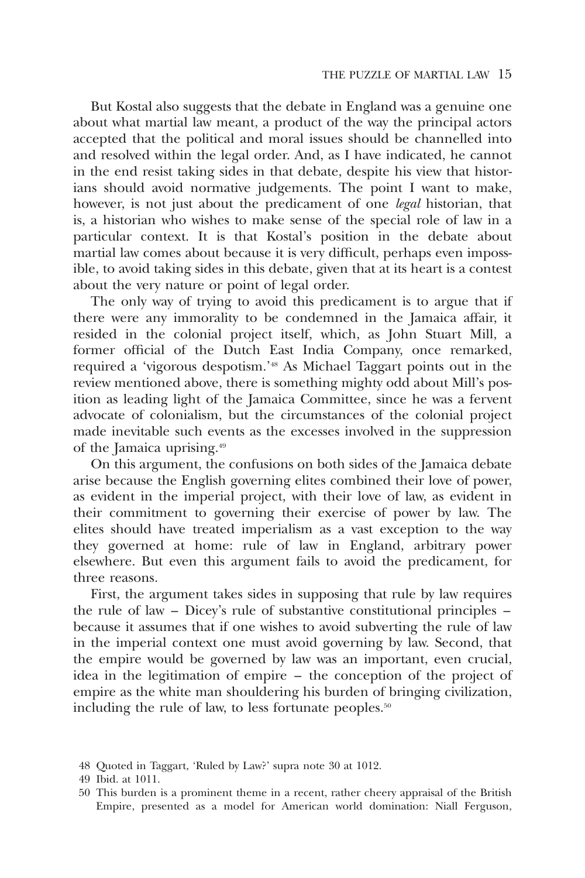But Kostal also suggests that the debate in England was a genuine one about what martial law meant, a product of the way the principal actors accepted that the political and moral issues should be channelled into and resolved within the legal order. And, as I have indicated, he cannot in the end resist taking sides in that debate, despite his view that historians should avoid normative judgements. The point I want to make, however, is not just about the predicament of one *legal* historian, that is, a historian who wishes to make sense of the special role of law in a particular context. It is that Kostal's position in the debate about martial law comes about because it is very difficult, perhaps even impossible, to avoid taking sides in this debate, given that at its heart is a contest about the very nature or point of legal order.

The only way of trying to avoid this predicament is to argue that if there were any immorality to be condemned in the Jamaica affair, it resided in the colonial project itself, which, as John Stuart Mill, a former official of the Dutch East India Company, once remarked, required a 'vigorous despotism.'48 As Michael Taggart points out in the review mentioned above, there is something mighty odd about Mill's position as leading light of the Jamaica Committee, since he was a fervent advocate of colonialism, but the circumstances of the colonial project made inevitable such events as the excesses involved in the suppression of the Jamaica uprising.49

On this argument, the confusions on both sides of the Jamaica debate arise because the English governing elites combined their love of power, as evident in the imperial project, with their love of law, as evident in their commitment to governing their exercise of power by law. The elites should have treated imperialism as a vast exception to the way they governed at home: rule of law in England, arbitrary power elsewhere. But even this argument fails to avoid the predicament, for three reasons.

First, the argument takes sides in supposing that rule by law requires the rule of law – Dicey's rule of substantive constitutional principles – because it assumes that if one wishes to avoid subverting the rule of law in the imperial context one must avoid governing by law. Second, that the empire would be governed by law was an important, even crucial, idea in the legitimation of empire – the conception of the project of empire as the white man shouldering his burden of bringing civilization, including the rule of law, to less fortunate peoples. $50$ 

<sup>48</sup> Quoted in Taggart, 'Ruled by Law?' supra note 30 at 1012.

<sup>49</sup> Ibid. at 1011.

<sup>50</sup> This burden is a prominent theme in a recent, rather cheery appraisal of the British Empire, presented as a model for American world domination: Niall Ferguson,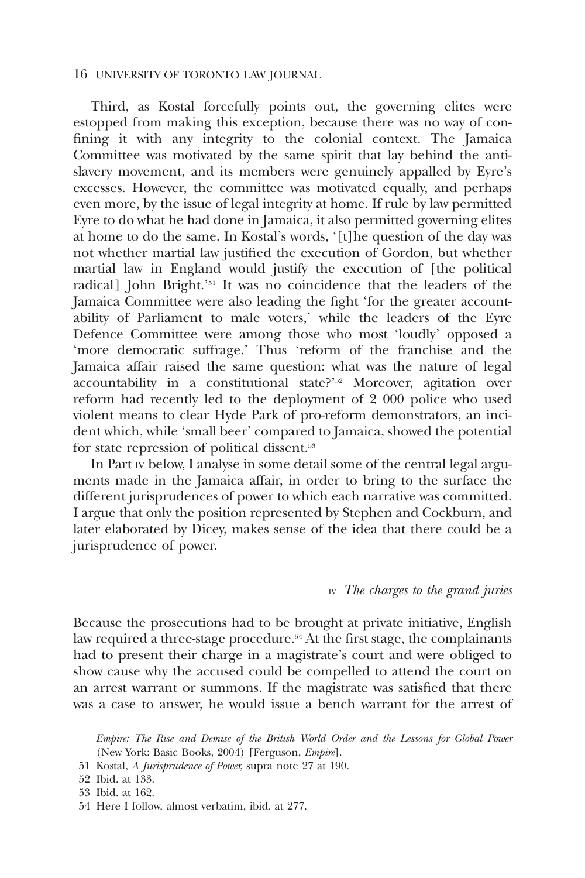Third, as Kostal forcefully points out, the governing elites were estopped from making this exception, because there was no way of confining it with any integrity to the colonial context. The Jamaica Committee was motivated by the same spirit that lay behind the antislavery movement, and its members were genuinely appalled by Eyre's excesses. However, the committee was motivated equally, and perhaps even more, by the issue of legal integrity at home. If rule by law permitted Eyre to do what he had done in Jamaica, it also permitted governing elites at home to do the same. In Kostal's words, '[t]he question of the day was not whether martial law justified the execution of Gordon, but whether martial law in England would justify the execution of [the political radical] John Bright.'51 It was no coincidence that the leaders of the Jamaica Committee were also leading the fight 'for the greater accountability of Parliament to male voters,' while the leaders of the Eyre Defence Committee were among those who most 'loudly' opposed a 'more democratic suffrage.' Thus 'reform of the franchise and the Jamaica affair raised the same question: what was the nature of legal accountability in a constitutional state?'<sup>52</sup> Moreover, agitation over reform had recently led to the deployment of 2 000 police who used violent means to clear Hyde Park of pro-reform demonstrators, an incident which, while 'small beer' compared to Jamaica, showed the potential for state repression of political dissent.<sup>53</sup>

In Part IV below, I analyse in some detail some of the central legal arguments made in the Jamaica affair, in order to bring to the surface the different jurisprudences of power to which each narrative was committed. I argue that only the position represented by Stephen and Cockburn, and later elaborated by Dicey, makes sense of the idea that there could be a jurisprudence of power.

## $IV$  The charges to the grand juries

Because the prosecutions had to be brought at private initiative, English law required a three-stage procedure.<sup>54</sup> At the first stage, the complainants had to present their charge in a magistrate's court and were obliged to show cause why the accused could be compelled to attend the court on an arrest warrant or summons. If the magistrate was satisfied that there was a case to answer, he would issue a bench warrant for the arrest of

Empire: The Rise and Demise of the British World Order and the Lessons for Global Power (New York: Basic Books, 2004) [Ferguson, Empire].

51 Kostal, A Jurisprudence of Power, supra note 27 at 190.

- 52 Ibid. at 133.
- 53 Ibid. at 162.
- 54 Here I follow, almost verbatim, ibid. at 277.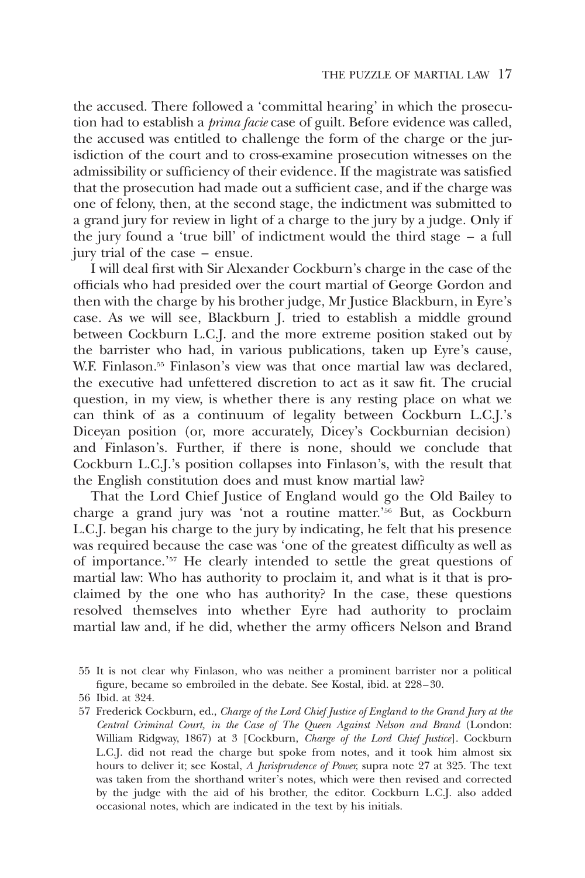the accused. There followed a 'committal hearing' in which the prosecution had to establish a *prima facie* case of guilt. Before evidence was called, the accused was entitled to challenge the form of the charge or the jurisdiction of the court and to cross-examine prosecution witnesses on the admissibility or sufficiency of their evidence. If the magistrate was satisfied that the prosecution had made out a sufficient case, and if the charge was one of felony, then, at the second stage, the indictment was submitted to a grand jury for review in light of a charge to the jury by a judge. Only if the jury found a 'true bill' of indictment would the third stage – a full jury trial of the case – ensue.

I will deal first with Sir Alexander Cockburn's charge in the case of the officials who had presided over the court martial of George Gordon and then with the charge by his brother judge, Mr Justice Blackburn, in Eyre's case. As we will see, Blackburn J. tried to establish a middle ground between Cockburn L.C.J. and the more extreme position staked out by the barrister who had, in various publications, taken up Eyre's cause, W.F. Finlason.<sup>55</sup> Finlason's view was that once martial law was declared, the executive had unfettered discretion to act as it saw fit. The crucial question, in my view, is whether there is any resting place on what we can think of as a continuum of legality between Cockburn L.C.J.'s Diceyan position (or, more accurately, Dicey's Cockburnian decision) and Finlason's. Further, if there is none, should we conclude that Cockburn L.C.J.'s position collapses into Finlason's, with the result that the English constitution does and must know martial law?

That the Lord Chief Justice of England would go the Old Bailey to charge a grand jury was 'not a routine matter.'56 But, as Cockburn L.C.J. began his charge to the jury by indicating, he felt that his presence was required because the case was 'one of the greatest difficulty as well as of importance.'57 He clearly intended to settle the great questions of martial law: Who has authority to proclaim it, and what is it that is proclaimed by the one who has authority? In the case, these questions resolved themselves into whether Eyre had authority to proclaim martial law and, if he did, whether the army officers Nelson and Brand

<sup>55</sup> It is not clear why Finlason, who was neither a prominent barrister nor a political figure, became so embroiled in the debate. See Kostal, ibid. at 228–30.

<sup>56</sup> Ibid. at 324.

<sup>57</sup> Frederick Cockburn, ed., Charge of the Lord Chief Justice of England to the Grand Jury at the Central Criminal Court, in the Case of The Queen Against Nelson and Brand (London: William Ridgway, 1867) at 3 [Cockburn, Charge of the Lord Chief Justice]. Cockburn L.C.J. did not read the charge but spoke from notes, and it took him almost six hours to deliver it; see Kostal, A Jurisprudence of Power, supra note 27 at 325. The text was taken from the shorthand writer's notes, which were then revised and corrected by the judge with the aid of his brother, the editor. Cockburn L.C.J. also added occasional notes, which are indicated in the text by his initials.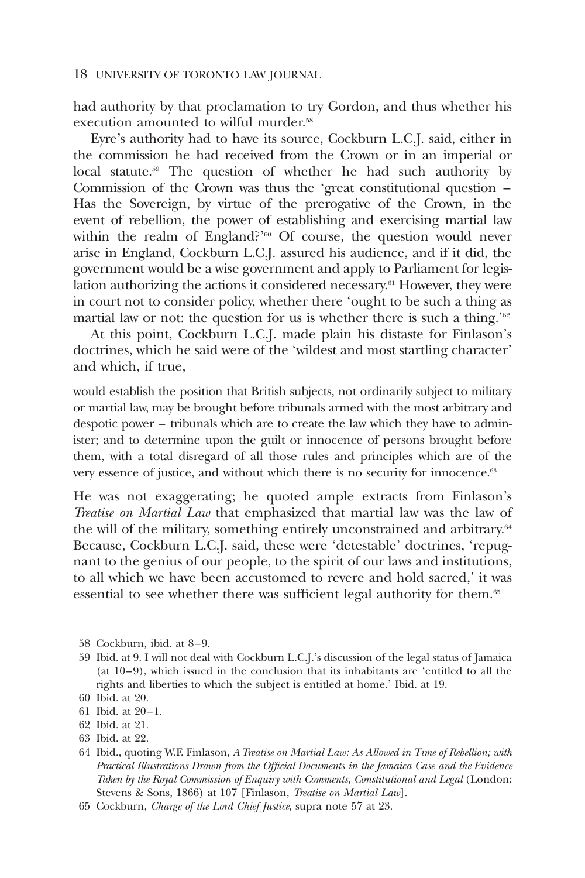had authority by that proclamation to try Gordon, and thus whether his execution amounted to wilful murder.<sup>58</sup>

Eyre's authority had to have its source, Cockburn L.C.J. said, either in the commission he had received from the Crown or in an imperial or local statute.59 The question of whether he had such authority by Commission of the Crown was thus the 'great constitutional question – Has the Sovereign, by virtue of the prerogative of the Crown, in the event of rebellion, the power of establishing and exercising martial law within the realm of England?'<sup>60</sup> Of course, the question would never arise in England, Cockburn L.C.J. assured his audience, and if it did, the government would be a wise government and apply to Parliament for legislation authorizing the actions it considered necessary.<sup>61</sup> However, they were in court not to consider policy, whether there 'ought to be such a thing as martial law or not: the question for us is whether there is such a thing.'62

At this point, Cockburn L.C.J. made plain his distaste for Finlason's doctrines, which he said were of the 'wildest and most startling character' and which, if true,

would establish the position that British subjects, not ordinarily subject to military or martial law, may be brought before tribunals armed with the most arbitrary and despotic power – tribunals which are to create the law which they have to administer; and to determine upon the guilt or innocence of persons brought before them, with a total disregard of all those rules and principles which are of the very essence of justice, and without which there is no security for innocence.<sup>63</sup>

He was not exaggerating; he quoted ample extracts from Finlason's Treatise on Martial Law that emphasized that martial law was the law of the will of the military, something entirely unconstrained and arbitrary.<sup>64</sup> Because, Cockburn L.C.J. said, these were 'detestable' doctrines, 'repugnant to the genius of our people, to the spirit of our laws and institutions, to all which we have been accustomed to revere and hold sacred,' it was essential to see whether there was sufficient legal authority for them.<sup>65</sup>

59 Ibid. at 9. I will not deal with Cockburn L.C.J.'s discussion of the legal status of Jamaica (at 10–9), which issued in the conclusion that its inhabitants are 'entitled to all the rights and liberties to which the subject is entitled at home.' Ibid. at 19.

<sup>58</sup> Cockburn, ibid. at 8–9.

<sup>60</sup> Ibid. at 20.

<sup>61</sup> Ibid. at 20–1.

<sup>62</sup> Ibid. at 21.

<sup>63</sup> Ibid. at 22.

<sup>64</sup> Ibid., quoting W.F. Finlason, A Treatise on Martial Law: As Allowed in Time of Rebellion; with Practical Illustrations Drawn from the Official Documents in the Jamaica Case and the Evidence Taken by the Royal Commission of Enquiry with Comments, Constitutional and Legal (London: Stevens & Sons, 1866) at 107 [Finlason, Treatise on Martial Law].

<sup>65</sup> Cockburn, Charge of the Lord Chief Justice, supra note 57 at 23.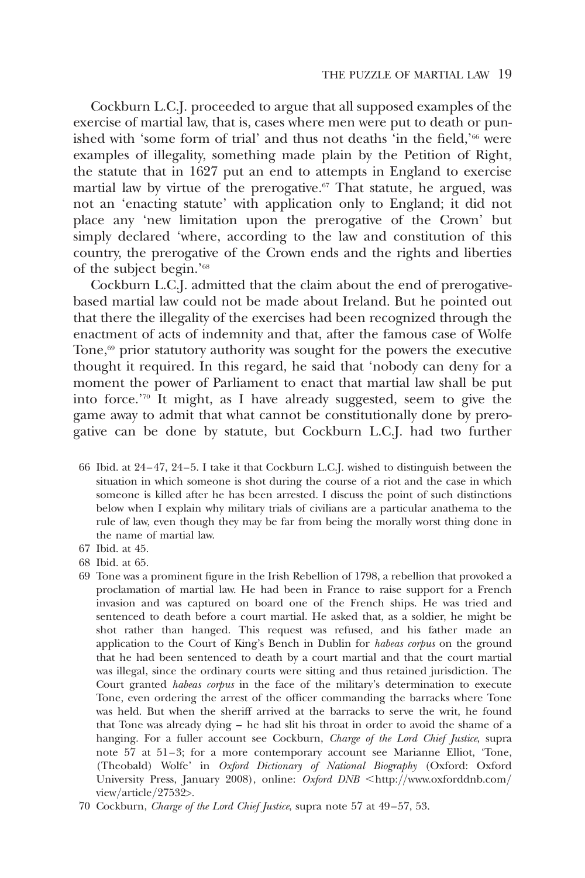Cockburn L.C.J. proceeded to argue that all supposed examples of the exercise of martial law, that is, cases where men were put to death or punished with 'some form of trial' and thus not deaths 'in the field,'66 were examples of illegality, something made plain by the Petition of Right, the statute that in 1627 put an end to attempts in England to exercise martial law by virtue of the prerogative.<sup>67</sup> That statute, he argued, was not an 'enacting statute' with application only to England; it did not place any 'new limitation upon the prerogative of the Crown' but simply declared 'where, according to the law and constitution of this country, the prerogative of the Crown ends and the rights and liberties of the subject begin.'68

Cockburn L.C.J. admitted that the claim about the end of prerogativebased martial law could not be made about Ireland. But he pointed out that there the illegality of the exercises had been recognized through the enactment of acts of indemnity and that, after the famous case of Wolfe Tone, $69$  prior statutory authority was sought for the powers the executive thought it required. In this regard, he said that 'nobody can deny for a moment the power of Parliament to enact that martial law shall be put into force.'<sup>70</sup> It might, as I have already suggested, seem to give the game away to admit that what cannot be constitutionally done by prerogative can be done by statute, but Cockburn L.C.J. had two further

- 66 Ibid. at 24–47, 24–5. I take it that Cockburn L.C.J. wished to distinguish between the situation in which someone is shot during the course of a riot and the case in which someone is killed after he has been arrested. I discuss the point of such distinctions below when I explain why military trials of civilians are a particular anathema to the rule of law, even though they may be far from being the morally worst thing done in the name of martial law.
- 67 Ibid. at 45.
- 68 Ibid. at 65.
- 69 Tone was a prominent figure in the Irish Rebellion of 1798, a rebellion that provoked a proclamation of martial law. He had been in France to raise support for a French invasion and was captured on board one of the French ships. He was tried and sentenced to death before a court martial. He asked that, as a soldier, he might be shot rather than hanged. This request was refused, and his father made an application to the Court of King's Bench in Dublin for habeas corpus on the ground that he had been sentenced to death by a court martial and that the court martial was illegal, since the ordinary courts were sitting and thus retained jurisdiction. The Court granted habeas corpus in the face of the military's determination to execute Tone, even ordering the arrest of the officer commanding the barracks where Tone was held. But when the sheriff arrived at the barracks to serve the writ, he found that Tone was already dying – he had slit his throat in order to avoid the shame of a hanging. For a fuller account see Cockburn, Charge of the Lord Chief Justice, supra note 57 at 51–3; for a more contemporary account see Marianne Elliot, 'Tone, (Theobald) Wolfe' in Oxford Dictionary of National Biography (Oxford: Oxford University Press, January 2008), online:  $Oxford$   $DNB$  <http://www.oxforddnb.com/ view/article/27532>.
- 70 Cockburn, Charge of the Lord Chief Justice, supra note 57 at 49–57, 53.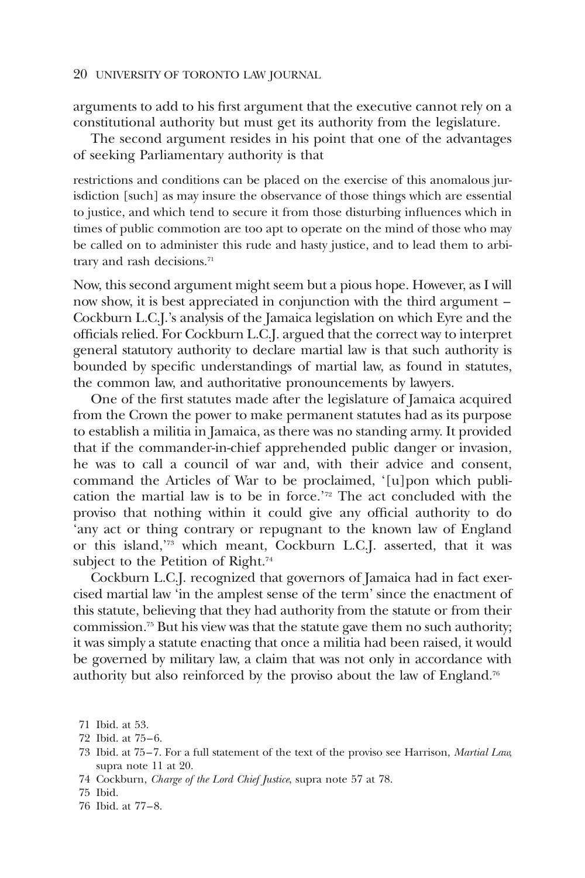arguments to add to his first argument that the executive cannot rely on a constitutional authority but must get its authority from the legislature.

The second argument resides in his point that one of the advantages of seeking Parliamentary authority is that

restrictions and conditions can be placed on the exercise of this anomalous jurisdiction [such] as may insure the observance of those things which are essential to justice, and which tend to secure it from those disturbing influences which in times of public commotion are too apt to operate on the mind of those who may be called on to administer this rude and hasty justice, and to lead them to arbitrary and rash decisions.<sup>71</sup>

Now, this second argument might seem but a pious hope. However, as I will now show, it is best appreciated in conjunction with the third argument – Cockburn L.C.J.'s analysis of the Jamaica legislation on which Eyre and the officials relied. For Cockburn L.C.J. argued that the correct way to interpret general statutory authority to declare martial law is that such authority is bounded by specific understandings of martial law, as found in statutes, the common law, and authoritative pronouncements by lawyers.

One of the first statutes made after the legislature of Jamaica acquired from the Crown the power to make permanent statutes had as its purpose to establish a militia in Jamaica, as there was no standing army. It provided that if the commander-in-chief apprehended public danger or invasion, he was to call a council of war and, with their advice and consent, command the Articles of War to be proclaimed, '[u]pon which publication the martial law is to be in force.'72 The act concluded with the proviso that nothing within it could give any official authority to do 'any act or thing contrary or repugnant to the known law of England or this island,'73 which meant, Cockburn L.C.J. asserted, that it was subject to the Petition of Right.<sup>74</sup>

Cockburn L.C.J. recognized that governors of Jamaica had in fact exercised martial law 'in the amplest sense of the term' since the enactment of this statute, believing that they had authority from the statute or from their commission.75 But his view was that the statute gave them no such authority; it was simply a statute enacting that once a militia had been raised, it would be governed by military law, a claim that was not only in accordance with authority but also reinforced by the proviso about the law of England.76

- 74 Cockburn, Charge of the Lord Chief Justice, supra note 57 at 78.
- 75 Ibid.
- 76 Ibid. at 77–8.

<sup>71</sup> Ibid. at 53.

<sup>72</sup> Ibid. at 75–6.

<sup>73</sup> Ibid. at 75–7. For a full statement of the text of the proviso see Harrison, Martial Law, supra note 11 at 20.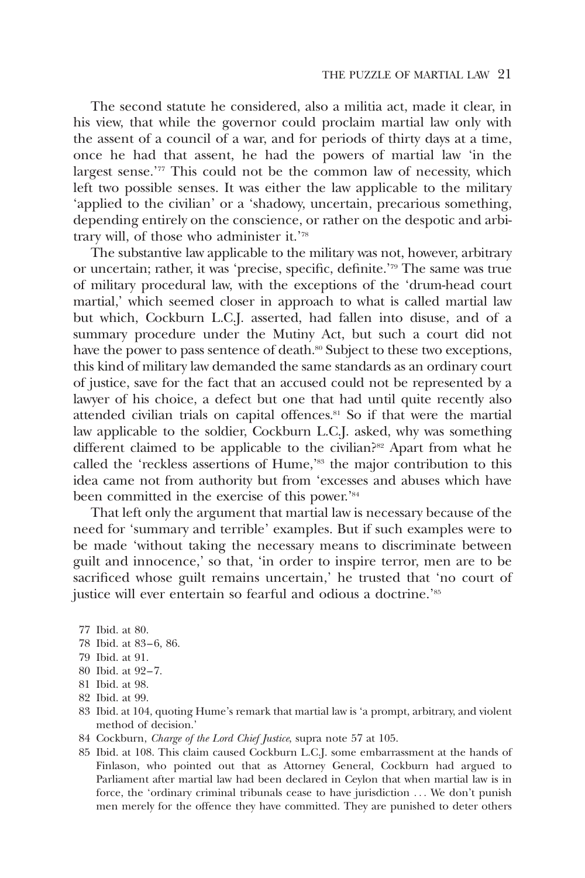The second statute he considered, also a militia act, made it clear, in his view, that while the governor could proclaim martial law only with the assent of a council of a war, and for periods of thirty days at a time, once he had that assent, he had the powers of martial law 'in the largest sense.'<sup>77</sup> This could not be the common law of necessity, which left two possible senses. It was either the law applicable to the military 'applied to the civilian' or a 'shadowy, uncertain, precarious something, depending entirely on the conscience, or rather on the despotic and arbitrary will, of those who administer it.'78

The substantive law applicable to the military was not, however, arbitrary or uncertain; rather, it was 'precise, specific, definite.'79 The same was true of military procedural law, with the exceptions of the 'drum-head court martial,' which seemed closer in approach to what is called martial law but which, Cockburn L.C.J. asserted, had fallen into disuse, and of a summary procedure under the Mutiny Act, but such a court did not have the power to pass sentence of death.<sup>80</sup> Subject to these two exceptions, this kind of military law demanded the same standards as an ordinary court of justice, save for the fact that an accused could not be represented by a lawyer of his choice, a defect but one that had until quite recently also attended civilian trials on capital offences.<sup>81</sup> So if that were the martial law applicable to the soldier, Cockburn L.C.J. asked, why was something different claimed to be applicable to the civilian?<sup>82</sup> Apart from what he called the 'reckless assertions of Hume,'<sup>83</sup> the major contribution to this idea came not from authority but from 'excesses and abuses which have been committed in the exercise of this power.'84

That left only the argument that martial law is necessary because of the need for 'summary and terrible' examples. But if such examples were to be made 'without taking the necessary means to discriminate between guilt and innocence,' so that, 'in order to inspire terror, men are to be sacrificed whose guilt remains uncertain,' he trusted that 'no court of justice will ever entertain so fearful and odious a doctrine.'85

78 Ibid. at 83–6, 86.

- 80 Ibid. at 92–7.
- 81 Ibid. at 98.
- 82 Ibid. at 99.
- 83 Ibid. at 104, quoting Hume's remark that martial law is 'a prompt, arbitrary, and violent method of decision.'
- 84 Cockburn, Charge of the Lord Chief Justice, supra note 57 at 105.
- 85 Ibid. at 108. This claim caused Cockburn L.C.J. some embarrassment at the hands of Finlason, who pointed out that as Attorney General, Cockburn had argued to Parliament after martial law had been declared in Ceylon that when martial law is in force, the 'ordinary criminal tribunals cease to have jurisdiction ... We don't punish men merely for the offence they have committed. They are punished to deter others

<sup>77</sup> Ibid. at 80.

<sup>79</sup> Ibid. at 91.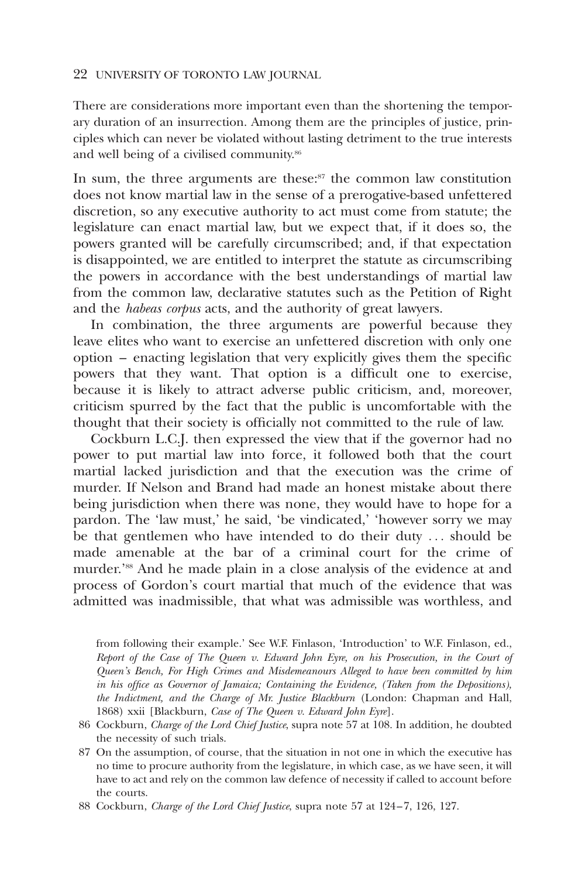There are considerations more important even than the shortening the temporary duration of an insurrection. Among them are the principles of justice, principles which can never be violated without lasting detriment to the true interests and well being of a civilised community.<sup>86</sup>

In sum, the three arguments are these:<sup>87</sup> the common law constitution does not know martial law in the sense of a prerogative-based unfettered discretion, so any executive authority to act must come from statute; the legislature can enact martial law, but we expect that, if it does so, the powers granted will be carefully circumscribed; and, if that expectation is disappointed, we are entitled to interpret the statute as circumscribing the powers in accordance with the best understandings of martial law from the common law, declarative statutes such as the Petition of Right and the habeas corpus acts, and the authority of great lawyers.

In combination, the three arguments are powerful because they leave elites who want to exercise an unfettered discretion with only one option – enacting legislation that very explicitly gives them the specific powers that they want. That option is a difficult one to exercise, because it is likely to attract adverse public criticism, and, moreover, criticism spurred by the fact that the public is uncomfortable with the thought that their society is officially not committed to the rule of law.

Cockburn L.C.J. then expressed the view that if the governor had no power to put martial law into force, it followed both that the court martial lacked jurisdiction and that the execution was the crime of murder. If Nelson and Brand had made an honest mistake about there being jurisdiction when there was none, they would have to hope for a pardon. The 'law must,' he said, 'be vindicated,' 'however sorry we may be that gentlemen who have intended to do their duty ... should be made amenable at the bar of a criminal court for the crime of murder.'88 And he made plain in a close analysis of the evidence at and process of Gordon's court martial that much of the evidence that was admitted was inadmissible, that what was admissible was worthless, and

from following their example.' See W.F. Finlason, 'Introduction' to W.F. Finlason, ed., Report of the Case of The Queen v. Edward John Eyre, on his Prosecution, in the Court of Queen's Bench, For High Crimes and Misdemeanours Alleged to have been committed by him in his office as Governor of Jamaica; Containing the Evidence, (Taken from the Depositions), the Indictment, and the Charge of Mr. Justice Blackburn (London: Chapman and Hall, 1868) xxii [Blackburn, Case of The Queen v. Edward John Eyre].

- 87 On the assumption, of course, that the situation in not one in which the executive has no time to procure authority from the legislature, in which case, as we have seen, it will have to act and rely on the common law defence of necessity if called to account before the courts.
- 88 Cockburn, Charge of the Lord Chief Justice, supra note 57 at 124–7, 126, 127.

<sup>86</sup> Cockburn, Charge of the Lord Chief Justice, supra note 57 at 108. In addition, he doubted the necessity of such trials.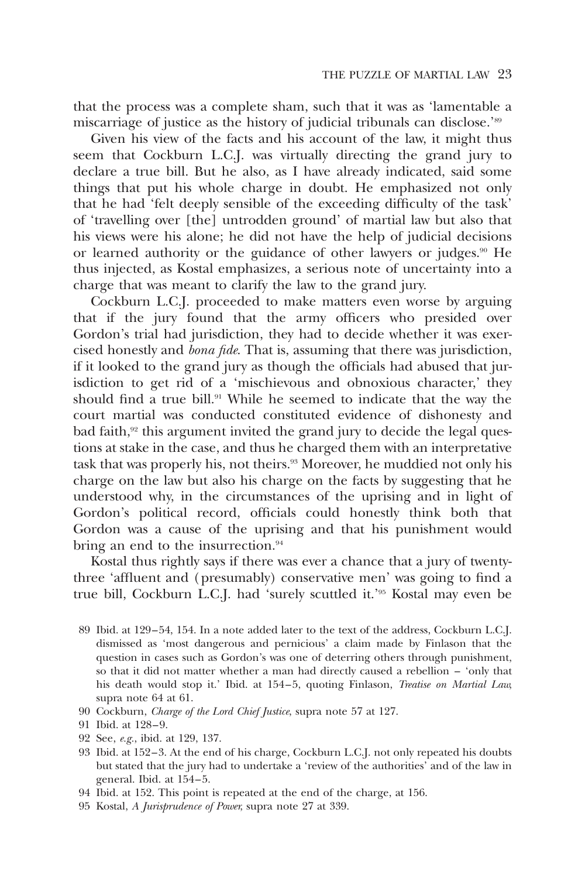that the process was a complete sham, such that it was as 'lamentable a miscarriage of justice as the history of judicial tribunals can disclose.'89

Given his view of the facts and his account of the law, it might thus seem that Cockburn L.C.J. was virtually directing the grand jury to declare a true bill. But he also, as I have already indicated, said some things that put his whole charge in doubt. He emphasized not only that he had 'felt deeply sensible of the exceeding difficulty of the task' of 'travelling over [the] untrodden ground' of martial law but also that his views were his alone; he did not have the help of judicial decisions or learned authority or the guidance of other lawyers or judges.<sup>90</sup> He thus injected, as Kostal emphasizes, a serious note of uncertainty into a charge that was meant to clarify the law to the grand jury.

Cockburn L.C.J. proceeded to make matters even worse by arguing that if the jury found that the army officers who presided over Gordon's trial had jurisdiction, they had to decide whether it was exercised honestly and bona fide. That is, assuming that there was jurisdiction, if it looked to the grand jury as though the officials had abused that jurisdiction to get rid of a 'mischievous and obnoxious character,' they should find a true bill.<sup>91</sup> While he seemed to indicate that the way the court martial was conducted constituted evidence of dishonesty and bad faith, $92$  this argument invited the grand jury to decide the legal questions at stake in the case, and thus he charged them with an interpretative task that was properly his, not theirs.<sup>93</sup> Moreover, he muddied not only his charge on the law but also his charge on the facts by suggesting that he understood why, in the circumstances of the uprising and in light of Gordon's political record, officials could honestly think both that Gordon was a cause of the uprising and that his punishment would bring an end to the insurrection.<sup>94</sup>

Kostal thus rightly says if there was ever a chance that a jury of twentythree 'affluent and (presumably) conservative men' was going to find a true bill, Cockburn L.C.J. had 'surely scuttled it.'95 Kostal may even be

- 89 Ibid. at 129–54, 154. In a note added later to the text of the address, Cockburn L.C.J. dismissed as 'most dangerous and pernicious' a claim made by Finlason that the question in cases such as Gordon's was one of deterring others through punishment, so that it did not matter whether a man had directly caused a rebellion – 'only that his death would stop it.' Ibid. at 154–5, quoting Finlason, Treatise on Martial Law, supra note 64 at 61.
- 90 Cockburn, Charge of the Lord Chief Justice, supra note 57 at 127.
- 91 Ibid. at 128–9.
- 92 See, e.g., ibid. at 129, 137.
- 93 Ibid. at 152–3. At the end of his charge, Cockburn L.C.J. not only repeated his doubts but stated that the jury had to undertake a 'review of the authorities' and of the law in general. Ibid. at 154–5.
- 94 Ibid. at 152. This point is repeated at the end of the charge, at 156.
- 95 Kostal, A Jurisprudence of Power, supra note 27 at 339.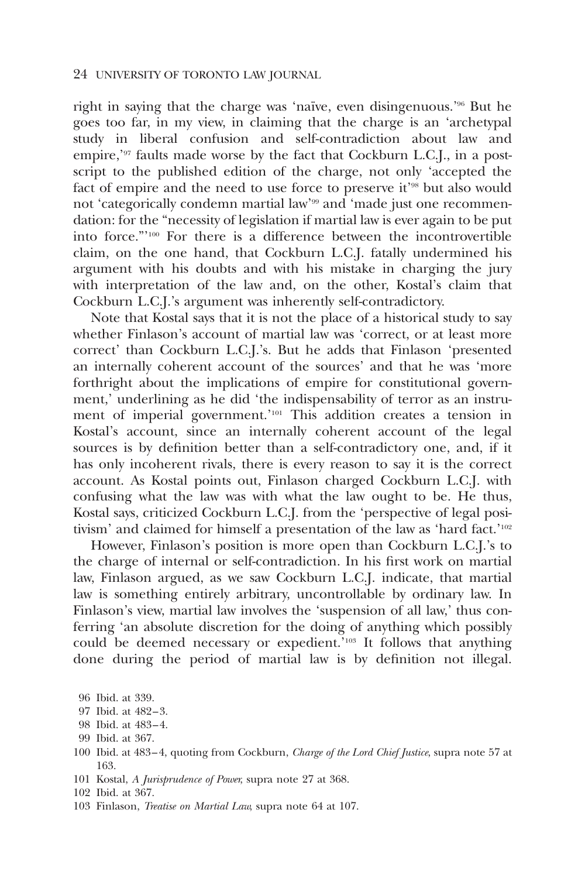right in saying that the charge was 'naïve, even disingenuous.'<sup>96</sup> But he goes too far, in my view, in claiming that the charge is an 'archetypal study in liberal confusion and self-contradiction about law and empire,'97 faults made worse by the fact that Cockburn L.C.J., in a postscript to the published edition of the charge, not only 'accepted the fact of empire and the need to use force to preserve it'<sup>98</sup> but also would not 'categorically condemn martial law'99 and 'made just one recommendation: for the "necessity of legislation if martial law is ever again to be put into force."'100 For there is a difference between the incontrovertible claim, on the one hand, that Cockburn L.C.J. fatally undermined his argument with his doubts and with his mistake in charging the jury with interpretation of the law and, on the other, Kostal's claim that Cockburn L.C.J.'s argument was inherently self-contradictory.

Note that Kostal says that it is not the place of a historical study to say whether Finlason's account of martial law was 'correct, or at least more correct' than Cockburn L.C.J.'s. But he adds that Finlason 'presented an internally coherent account of the sources' and that he was 'more forthright about the implications of empire for constitutional government,' underlining as he did 'the indispensability of terror as an instrument of imperial government.'101 This addition creates a tension in Kostal's account, since an internally coherent account of the legal sources is by definition better than a self-contradictory one, and, if it has only incoherent rivals, there is every reason to say it is the correct account. As Kostal points out, Finlason charged Cockburn L.C.J. with confusing what the law was with what the law ought to be. He thus, Kostal says, criticized Cockburn L.C.J. from the 'perspective of legal positivism' and claimed for himself a presentation of the law as 'hard fact.'102

However, Finlason's position is more open than Cockburn L.C.J.'s to the charge of internal or self-contradiction. In his first work on martial law, Finlason argued, as we saw Cockburn L.C.J. indicate, that martial law is something entirely arbitrary, uncontrollable by ordinary law. In Finlason's view, martial law involves the 'suspension of all law,' thus conferring 'an absolute discretion for the doing of anything which possibly could be deemed necessary or expedient.'103 It follows that anything done during the period of martial law is by definition not illegal.

- 97 Ibid. at 482–3.
- 98 Ibid. at 483–4.

- 100 Ibid. at 483–4, quoting from Cockburn, *Charge of the Lord Chief Justice*, supra note 57 at 163.
- 101 Kostal, A Jurisprudence of Power, supra note 27 at 368.
- 102 Ibid. at 367.
- 103 Finlason, Treatise on Martial Law, supra note 64 at 107.

<sup>96</sup> Ibid. at 339.

<sup>99</sup> Ibid. at 367.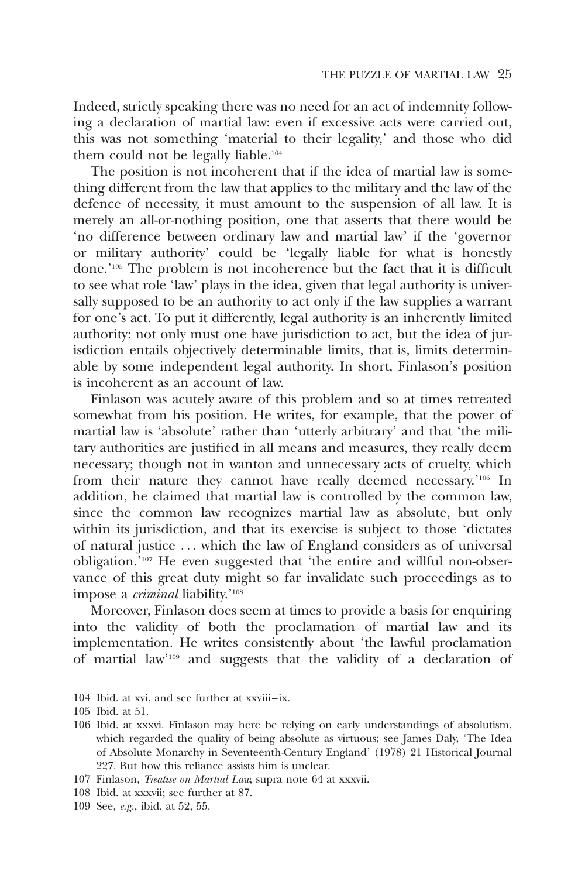Indeed, strictly speaking there was no need for an act of indemnity following a declaration of martial law: even if excessive acts were carried out, this was not something 'material to their legality,' and those who did them could not be legally liable.<sup>104</sup>

The position is not incoherent that if the idea of martial law is something different from the law that applies to the military and the law of the defence of necessity, it must amount to the suspension of all law. It is merely an all-or-nothing position, one that asserts that there would be 'no difference between ordinary law and martial law' if the 'governor or military authority' could be 'legally liable for what is honestly done.'105 The problem is not incoherence but the fact that it is difficult to see what role 'law' plays in the idea, given that legal authority is universally supposed to be an authority to act only if the law supplies a warrant for one's act. To put it differently, legal authority is an inherently limited authority: not only must one have jurisdiction to act, but the idea of jurisdiction entails objectively determinable limits, that is, limits determinable by some independent legal authority. In short, Finlason's position is incoherent as an account of law.

Finlason was acutely aware of this problem and so at times retreated somewhat from his position. He writes, for example, that the power of martial law is 'absolute' rather than 'utterly arbitrary' and that 'the military authorities are justified in all means and measures, they really deem necessary; though not in wanton and unnecessary acts of cruelty, which from their nature they cannot have really deemed necessary.'106 In addition, he claimed that martial law is controlled by the common law, since the common law recognizes martial law as absolute, but only within its jurisdiction, and that its exercise is subject to those 'dictates of natural justice ... which the law of England considers as of universal obligation.'107 He even suggested that 'the entire and willful non-observance of this great duty might so far invalidate such proceedings as to impose a *criminal* liability.'<sup>108</sup>

Moreover, Finlason does seem at times to provide a basis for enquiring into the validity of both the proclamation of martial law and its implementation. He writes consistently about 'the lawful proclamation of martial law'109 and suggests that the validity of a declaration of

- 106 Ibid. at xxxvi. Finlason may here be relying on early understandings of absolutism, which regarded the quality of being absolute as virtuous; see James Daly, 'The Idea of Absolute Monarchy in Seventeenth-Century England' (1978) 21 Historical Journal 227. But how this reliance assists him is unclear.
- 107 Finlason, Treatise on Martial Law, supra note 64 at xxxvii.
- 108 Ibid. at xxxvii; see further at 87.
- 109 See, e.g., ibid. at 52, 55.

<sup>104</sup> Ibid. at xvi, and see further at xxviii–ix.

<sup>105</sup> Ibid. at 51.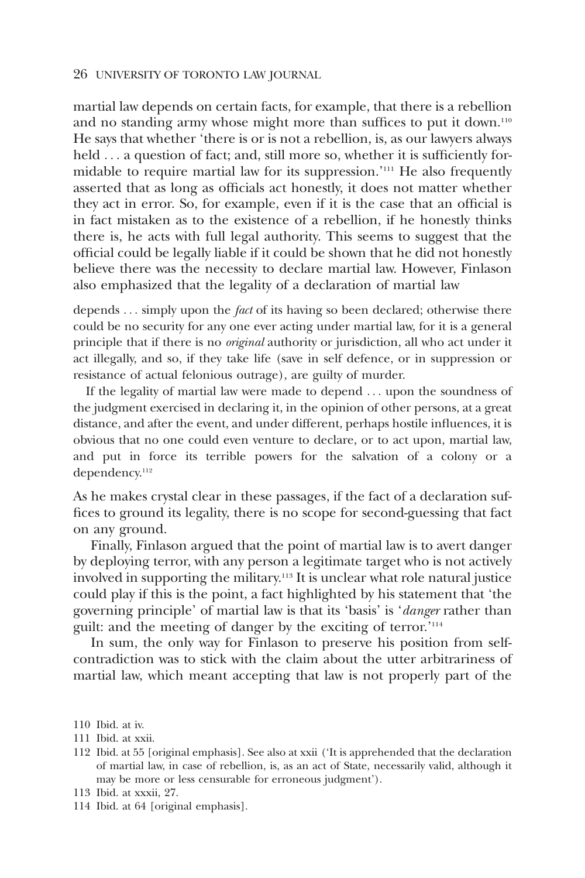martial law depends on certain facts, for example, that there is a rebellion and no standing army whose might more than suffices to put it down.<sup>110</sup> He says that whether 'there is or is not a rebellion, is, as our lawyers always held ... a question of fact; and, still more so, whether it is sufficiently formidable to require martial law for its suppression.'111 He also frequently asserted that as long as officials act honestly, it does not matter whether they act in error. So, for example, even if it is the case that an official is in fact mistaken as to the existence of a rebellion, if he honestly thinks there is, he acts with full legal authority. This seems to suggest that the official could be legally liable if it could be shown that he did not honestly believe there was the necessity to declare martial law. However, Finlason also emphasized that the legality of a declaration of martial law

depends ... simply upon the *fact* of its having so been declared; otherwise there could be no security for any one ever acting under martial law, for it is a general principle that if there is no original authority or jurisdiction, all who act under it act illegally, and so, if they take life (save in self defence, or in suppression or resistance of actual felonious outrage), are guilty of murder.

If the legality of martial law were made to depend ... upon the soundness of the judgment exercised in declaring it, in the opinion of other persons, at a great distance, and after the event, and under different, perhaps hostile influences, it is obvious that no one could even venture to declare, or to act upon, martial law, and put in force its terrible powers for the salvation of a colony or a dependency.<sup>112</sup>

As he makes crystal clear in these passages, if the fact of a declaration suffices to ground its legality, there is no scope for second-guessing that fact on any ground.

Finally, Finlason argued that the point of martial law is to avert danger by deploying terror, with any person a legitimate target who is not actively involved in supporting the military.113 It is unclear what role natural justice could play if this is the point, a fact highlighted by his statement that 'the governing principle' of martial law is that its 'basis' is 'danger rather than guilt: and the meeting of danger by the exciting of terror.'114

In sum, the only way for Finlason to preserve his position from selfcontradiction was to stick with the claim about the utter arbitrariness of martial law, which meant accepting that law is not properly part of the

- 111 Ibid. at xxii.
- 112 Ibid. at 55 [original emphasis]. See also at xxii ('It is apprehended that the declaration of martial law, in case of rebellion, is, as an act of State, necessarily valid, although it may be more or less censurable for erroneous judgment').
- 113 Ibid. at xxxii, 27.
- 114 Ibid. at 64 [original emphasis].

<sup>110</sup> Ibid. at iv.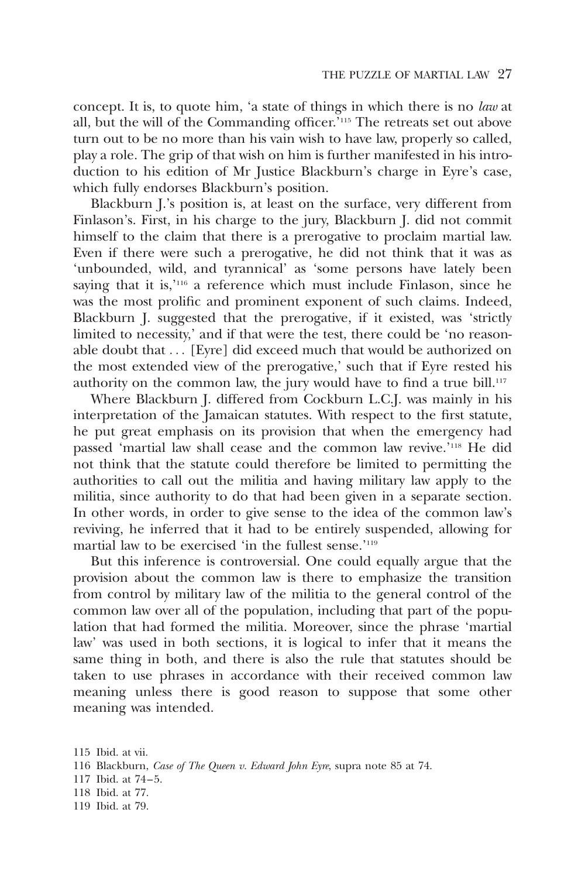concept. It is, to quote him, 'a state of things in which there is no law at all, but the will of the Commanding officer.'115 The retreats set out above turn out to be no more than his vain wish to have law, properly so called, play a role. The grip of that wish on him is further manifested in his introduction to his edition of Mr Justice Blackburn's charge in Eyre's case, which fully endorses Blackburn's position.

Blackburn J.'s position is, at least on the surface, very different from Finlason's. First, in his charge to the jury, Blackburn J. did not commit himself to the claim that there is a prerogative to proclaim martial law. Even if there were such a prerogative, he did not think that it was as 'unbounded, wild, and tyrannical' as 'some persons have lately been saying that it is,<sup>'116</sup> a reference which must include Finlason, since he was the most prolific and prominent exponent of such claims. Indeed, Blackburn J. suggested that the prerogative, if it existed, was 'strictly limited to necessity,' and if that were the test, there could be 'no reasonable doubt that ... [Eyre] did exceed much that would be authorized on the most extended view of the prerogative,' such that if Eyre rested his authority on the common law, the jury would have to find a true bill.<sup>117</sup>

Where Blackburn J. differed from Cockburn L.C.J. was mainly in his interpretation of the Jamaican statutes. With respect to the first statute, he put great emphasis on its provision that when the emergency had passed 'martial law shall cease and the common law revive.'118 He did not think that the statute could therefore be limited to permitting the authorities to call out the militia and having military law apply to the militia, since authority to do that had been given in a separate section. In other words, in order to give sense to the idea of the common law's reviving, he inferred that it had to be entirely suspended, allowing for martial law to be exercised 'in the fullest sense.'119

But this inference is controversial. One could equally argue that the provision about the common law is there to emphasize the transition from control by military law of the militia to the general control of the common law over all of the population, including that part of the population that had formed the militia. Moreover, since the phrase 'martial law' was used in both sections, it is logical to infer that it means the same thing in both, and there is also the rule that statutes should be taken to use phrases in accordance with their received common law meaning unless there is good reason to suppose that some other meaning was intended.

115 Ibid. at vii.

- 117 Ibid. at 74–5.
- 118 Ibid. at 77.

119 Ibid. at 79.

<sup>116</sup> Blackburn, Case of The Queen v. Edward John Eyre, supra note 85 at 74.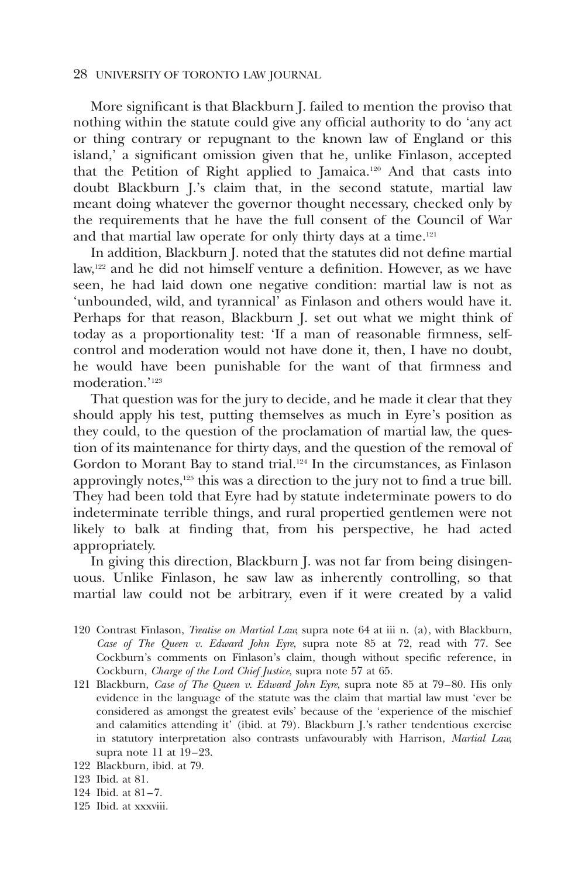More significant is that Blackburn J. failed to mention the proviso that nothing within the statute could give any official authority to do 'any act or thing contrary or repugnant to the known law of England or this island,' a significant omission given that he, unlike Finlason, accepted that the Petition of Right applied to Jamaica.120 And that casts into doubt Blackburn J.'s claim that, in the second statute, martial law meant doing whatever the governor thought necessary, checked only by the requirements that he have the full consent of the Council of War and that martial law operate for only thirty days at a time.<sup>121</sup>

In addition, Blackburn J. noted that the statutes did not define martial law,122 and he did not himself venture a definition. However, as we have seen, he had laid down one negative condition: martial law is not as 'unbounded, wild, and tyrannical' as Finlason and others would have it. Perhaps for that reason, Blackburn J. set out what we might think of today as a proportionality test: 'If a man of reasonable firmness, selfcontrol and moderation would not have done it, then, I have no doubt, he would have been punishable for the want of that firmness and moderation.'123

That question was for the jury to decide, and he made it clear that they should apply his test, putting themselves as much in Eyre's position as they could, to the question of the proclamation of martial law, the question of its maintenance for thirty days, and the question of the removal of Gordon to Morant Bay to stand trial.<sup>124</sup> In the circumstances, as Finlason approvingly notes, $125$  this was a direction to the jury not to find a true bill. They had been told that Eyre had by statute indeterminate powers to do indeterminate terrible things, and rural propertied gentlemen were not likely to balk at finding that, from his perspective, he had acted appropriately.

In giving this direction, Blackburn J. was not far from being disingenuous. Unlike Finlason, he saw law as inherently controlling, so that martial law could not be arbitrary, even if it were created by a valid

- 120 Contrast Finlason, *Treatise on Martial Law*, supra note 64 at iii n. (a), with Blackburn, Case of The Queen v. Edward John Eyre, supra note 85 at 72, read with 77. See Cockburn's comments on Finlason's claim, though without specific reference, in Cockburn, Charge of the Lord Chief Justice, supra note 57 at 65.
- 121 Blackburn, Case of The Queen v. Edward John Eyre, supra note 85 at 79-80. His only evidence in the language of the statute was the claim that martial law must 'ever be considered as amongst the greatest evils' because of the 'experience of the mischief and calamities attending it' (ibid. at 79). Blackburn J.'s rather tendentious exercise in statutory interpretation also contrasts unfavourably with Harrison, Martial Law, supra note 11 at 19–23.
- 122 Blackburn, ibid. at 79.
- 123 Ibid. at 81.
- 124 Ibid. at 81–7.
- 125 Ibid. at xxxviii.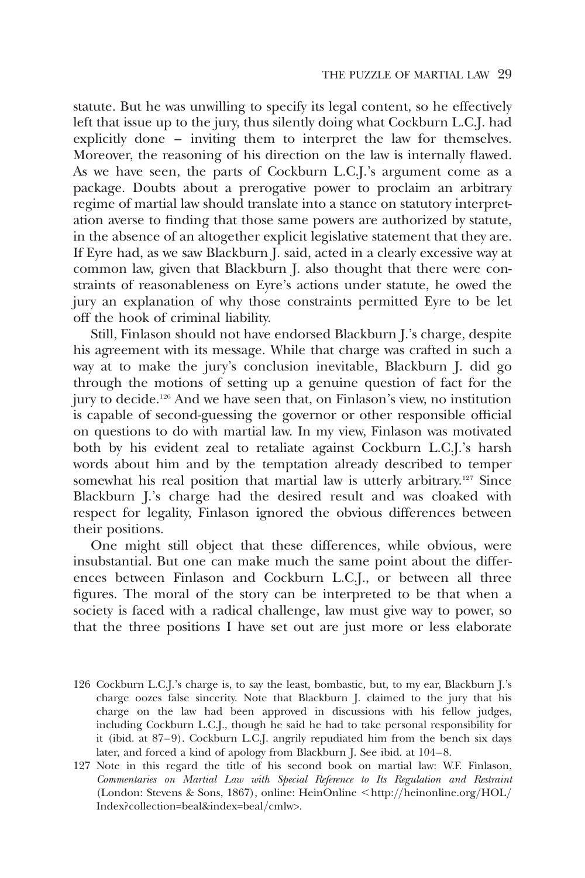statute. But he was unwilling to specify its legal content, so he effectively left that issue up to the jury, thus silently doing what Cockburn L.C.J. had explicitly done – inviting them to interpret the law for themselves. Moreover, the reasoning of his direction on the law is internally flawed. As we have seen, the parts of Cockburn L.C.J.'s argument come as a package. Doubts about a prerogative power to proclaim an arbitrary regime of martial law should translate into a stance on statutory interpretation averse to finding that those same powers are authorized by statute, in the absence of an altogether explicit legislative statement that they are. If Eyre had, as we saw Blackburn J. said, acted in a clearly excessive way at common law, given that Blackburn J. also thought that there were constraints of reasonableness on Eyre's actions under statute, he owed the jury an explanation of why those constraints permitted Eyre to be let off the hook of criminal liability.

Still, Finlason should not have endorsed Blackburn J.'s charge, despite his agreement with its message. While that charge was crafted in such a way at to make the jury's conclusion inevitable, Blackburn J. did go through the motions of setting up a genuine question of fact for the jury to decide.126 And we have seen that, on Finlason's view, no institution is capable of second-guessing the governor or other responsible official on questions to do with martial law. In my view, Finlason was motivated both by his evident zeal to retaliate against Cockburn L.C.J.'s harsh words about him and by the temptation already described to temper somewhat his real position that martial law is utterly arbitrary.<sup>127</sup> Since Blackburn J.'s charge had the desired result and was cloaked with respect for legality, Finlason ignored the obvious differences between their positions.

One might still object that these differences, while obvious, were insubstantial. But one can make much the same point about the differences between Finlason and Cockburn L.C.J., or between all three figures. The moral of the story can be interpreted to be that when a society is faced with a radical challenge, law must give way to power, so that the three positions I have set out are just more or less elaborate

- 126 Cockburn L.C.J.'s charge is, to say the least, bombastic, but, to my ear, Blackburn J.'s charge oozes false sincerity. Note that Blackburn J. claimed to the jury that his charge on the law had been approved in discussions with his fellow judges, including Cockburn L.C.J., though he said he had to take personal responsibility for it (ibid. at 87–9). Cockburn L.C.J. angrily repudiated him from the bench six days later, and forced a kind of apology from Blackburn J. See ibid. at 104–8.
- 127 Note in this regard the title of his second book on martial law: W.F. Finlason, Commentaries on Martial Law with Special Reference to Its Regulation and Restraint (London: Stevens & Sons, 1867), online: HeinOnline <http://heinonline.org/HOL/ Index?collection=beal&index=beal/cmlw>.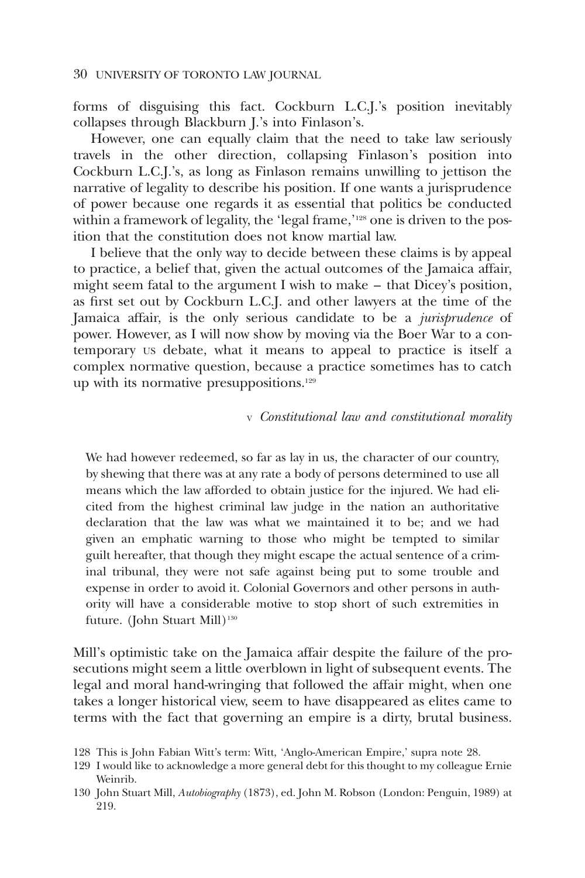forms of disguising this fact. Cockburn L.C.J.'s position inevitably collapses through Blackburn J.'s into Finlason's.

However, one can equally claim that the need to take law seriously travels in the other direction, collapsing Finlason's position into Cockburn L.C.J.'s, as long as Finlason remains unwilling to jettison the narrative of legality to describe his position. If one wants a jurisprudence of power because one regards it as essential that politics be conducted within a framework of legality, the 'legal frame,'<sup>128</sup> one is driven to the position that the constitution does not know martial law.

I believe that the only way to decide between these claims is by appeal to practice, a belief that, given the actual outcomes of the Jamaica affair, might seem fatal to the argument I wish to make – that Dicey's position, as first set out by Cockburn L.C.J. and other lawyers at the time of the Jamaica affair, is the only serious candidate to be a jurisprudence of power. However, as I will now show by moving via the Boer War to a contemporary US debate, what it means to appeal to practice is itself a complex normative question, because a practice sometimes has to catch up with its normative presuppositions.<sup>129</sup>

## <sup>V</sup> Constitutional law and constitutional morality

We had however redeemed, so far as lay in us, the character of our country, by shewing that there was at any rate a body of persons determined to use all means which the law afforded to obtain justice for the injured. We had elicited from the highest criminal law judge in the nation an authoritative declaration that the law was what we maintained it to be; and we had given an emphatic warning to those who might be tempted to similar guilt hereafter, that though they might escape the actual sentence of a criminal tribunal, they were not safe against being put to some trouble and expense in order to avoid it. Colonial Governors and other persons in authority will have a considerable motive to stop short of such extremities in future. (John Stuart Mill)<sup>130</sup>

Mill's optimistic take on the Jamaica affair despite the failure of the prosecutions might seem a little overblown in light of subsequent events. The legal and moral hand-wringing that followed the affair might, when one takes a longer historical view, seem to have disappeared as elites came to terms with the fact that governing an empire is a dirty, brutal business.

128 This is John Fabian Witt's term: Witt, 'Anglo-American Empire,' supra note 28.

<sup>129</sup> I would like to acknowledge a more general debt for this thought to my colleague Ernie Weinrib.

<sup>130</sup> John Stuart Mill, Autobiography (1873), ed. John M. Robson (London: Penguin, 1989) at 219.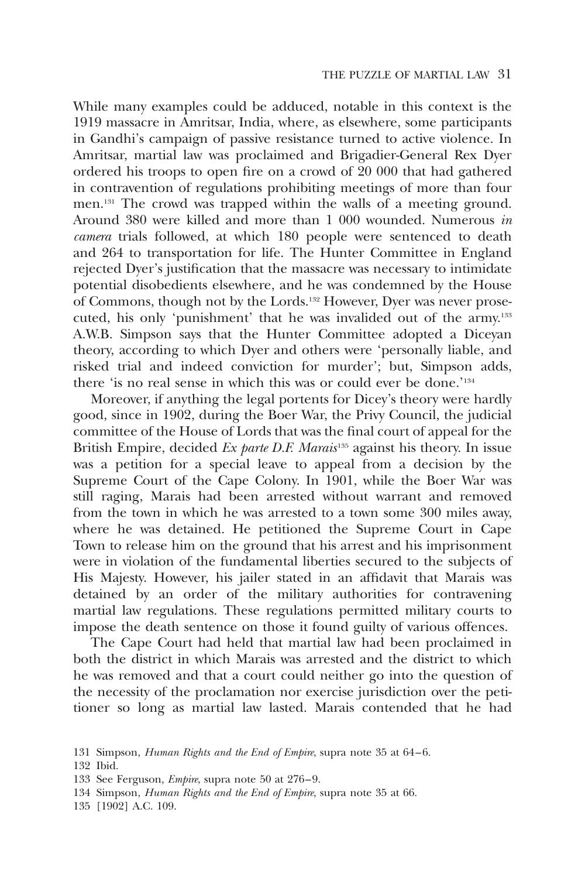While many examples could be adduced, notable in this context is the 1919 massacre in Amritsar, India, where, as elsewhere, some participants in Gandhi's campaign of passive resistance turned to active violence. In Amritsar, martial law was proclaimed and Brigadier-General Rex Dyer ordered his troops to open fire on a crowd of 20 000 that had gathered in contravention of regulations prohibiting meetings of more than four men.131 The crowd was trapped within the walls of a meeting ground. Around 380 were killed and more than 1 000 wounded. Numerous in camera trials followed, at which 180 people were sentenced to death and 264 to transportation for life. The Hunter Committee in England rejected Dyer's justification that the massacre was necessary to intimidate potential disobedients elsewhere, and he was condemned by the House of Commons, though not by the Lords.132 However, Dyer was never prosecuted, his only 'punishment' that he was invalided out of the army.<sup>133</sup> A.W.B. Simpson says that the Hunter Committee adopted a Diceyan theory, according to which Dyer and others were 'personally liable, and risked trial and indeed conviction for murder'; but, Simpson adds, there 'is no real sense in which this was or could ever be done.'134

Moreover, if anything the legal portents for Dicey's theory were hardly good, since in 1902, during the Boer War, the Privy Council, the judicial committee of the House of Lords that was the final court of appeal for the British Empire, decided  $Ex$  parte D.F. Marais<sup>135</sup> against his theory. In issue was a petition for a special leave to appeal from a decision by the Supreme Court of the Cape Colony. In 1901, while the Boer War was still raging, Marais had been arrested without warrant and removed from the town in which he was arrested to a town some 300 miles away, where he was detained. He petitioned the Supreme Court in Cape Town to release him on the ground that his arrest and his imprisonment were in violation of the fundamental liberties secured to the subjects of His Majesty. However, his jailer stated in an affidavit that Marais was detained by an order of the military authorities for contravening martial law regulations. These regulations permitted military courts to impose the death sentence on those it found guilty of various offences.

The Cape Court had held that martial law had been proclaimed in both the district in which Marais was arrested and the district to which he was removed and that a court could neither go into the question of the necessity of the proclamation nor exercise jurisdiction over the petitioner so long as martial law lasted. Marais contended that he had

135 [1902] A.C. 109.

<sup>131</sup> Simpson, Human Rights and the End of Empire, supra note 35 at 64–6.

<sup>132</sup> Ibid.

<sup>133</sup> See Ferguson, *Empire*, supra note 50 at 276–9.

<sup>134</sup> Simpson, Human Rights and the End of Empire, supra note 35 at 66.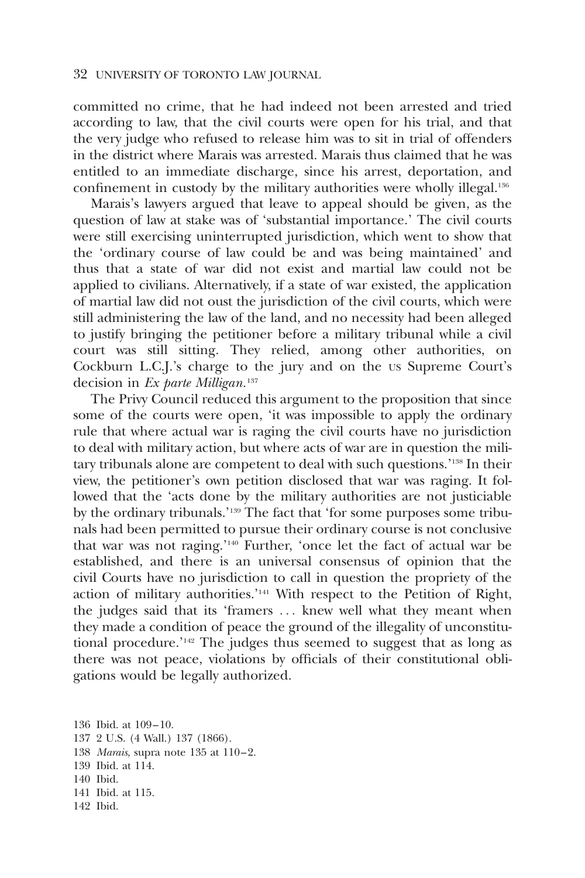committed no crime, that he had indeed not been arrested and tried according to law, that the civil courts were open for his trial, and that the very judge who refused to release him was to sit in trial of offenders in the district where Marais was arrested. Marais thus claimed that he was entitled to an immediate discharge, since his arrest, deportation, and confinement in custody by the military authorities were wholly illegal.136

Marais's lawyers argued that leave to appeal should be given, as the question of law at stake was of 'substantial importance.' The civil courts were still exercising uninterrupted jurisdiction, which went to show that the 'ordinary course of law could be and was being maintained' and thus that a state of war did not exist and martial law could not be applied to civilians. Alternatively, if a state of war existed, the application of martial law did not oust the jurisdiction of the civil courts, which were still administering the law of the land, and no necessity had been alleged to justify bringing the petitioner before a military tribunal while a civil court was still sitting. They relied, among other authorities, on Cockburn L.C.J.'s charge to the jury and on the US Supreme Court's decision in Ex parte Milligan.<sup>137</sup>

The Privy Council reduced this argument to the proposition that since some of the courts were open, 'it was impossible to apply the ordinary rule that where actual war is raging the civil courts have no jurisdiction to deal with military action, but where acts of war are in question the military tribunals alone are competent to deal with such questions.'138 In their view, the petitioner's own petition disclosed that war was raging. It followed that the 'acts done by the military authorities are not justiciable by the ordinary tribunals.'139 The fact that 'for some purposes some tribunals had been permitted to pursue their ordinary course is not conclusive that war was not raging.'140 Further, 'once let the fact of actual war be established, and there is an universal consensus of opinion that the civil Courts have no jurisdiction to call in question the propriety of the action of military authorities.'141 With respect to the Petition of Right, the judges said that its 'framers ... knew well what they meant when they made a condition of peace the ground of the illegality of unconstitutional procedure.'142 The judges thus seemed to suggest that as long as there was not peace, violations by officials of their constitutional obligations would be legally authorized.

136 Ibid. at 109–10. 137 2 U.S. (4 Wall.) 137 (1866). 138 Marais, supra note 135 at 110–2. 139 Ibid. at 114. 140 Ibid. 141 Ibid. at 115. 142 Ibid.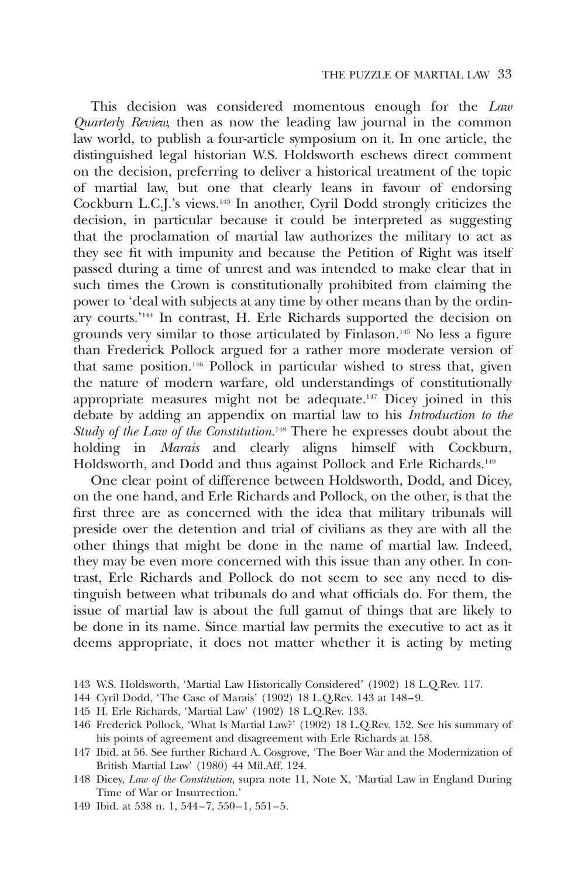This decision was considered momentous enough for the Law Quarterly Review, then as now the leading law journal in the common law world, to publish a four-article symposium on it. In one article, the distinguished legal historian W.S. Holdsworth eschews direct comment on the decision, preferring to deliver a historical treatment of the topic of martial law, but one that clearly leans in favour of endorsing Cockburn L.C.J.'s views.143 In another, Cyril Dodd strongly criticizes the decision, in particular because it could be interpreted as suggesting that the proclamation of martial law authorizes the military to act as they see fit with impunity and because the Petition of Right was itself passed during a time of unrest and was intended to make clear that in such times the Crown is constitutionally prohibited from claiming the power to 'deal with subjects at any time by other means than by the ordinary courts.'144 In contrast, H. Erle Richards supported the decision on grounds very similar to those articulated by Finlason.145 No less a figure than Frederick Pollock argued for a rather more moderate version of that same position.146 Pollock in particular wished to stress that, given the nature of modern warfare, old understandings of constitutionally appropriate measures might not be adequate.147 Dicey joined in this debate by adding an appendix on martial law to his Introduction to the Study of the Law of the Constitution.<sup>148</sup> There he expresses doubt about the holding in Marais and clearly aligns himself with Cockburn, Holdsworth, and Dodd and thus against Pollock and Erle Richards.<sup>149</sup>

One clear point of difference between Holdsworth, Dodd, and Dicey, on the one hand, and Erle Richards and Pollock, on the other, is that the first three are as concerned with the idea that military tribunals will preside over the detention and trial of civilians as they are with all the other things that might be done in the name of martial law. Indeed, they may be even more concerned with this issue than any other. In contrast, Erle Richards and Pollock do not seem to see any need to distinguish between what tribunals do and what officials do. For them, the issue of martial law is about the full gamut of things that are likely to be done in its name. Since martial law permits the executive to act as it deems appropriate, it does not matter whether it is acting by meting

- 144 Cyril Dodd, 'The Case of Marais' (1902) 18 L.Q.Rev. 143 at 148–9.
- 145 H. Erle Richards, 'Martial Law' (1902) 18 L.Q.Rev. 133.
- 146 Frederick Pollock, 'What Is Martial Law?' (1902) 18 L.Q.Rev. 152. See his summary of his points of agreement and disagreement with Erle Richards at 158.
- 147 Ibid. at 56. See further Richard A. Cosgrove, 'The Boer War and the Modernization of British Martial Law' (1980) 44 Mil.Aff. 124.
- 148 Dicey, Law of the Constitution, supra note 11, Note X, 'Martial Law in England During Time of War or Insurrection.'
- 149 Ibid. at 538 n. 1, 544–7, 550–1, 551–5.

<sup>143</sup> W.S. Holdsworth, 'Martial Law Historically Considered' (1902) 18 L.Q.Rev. 117.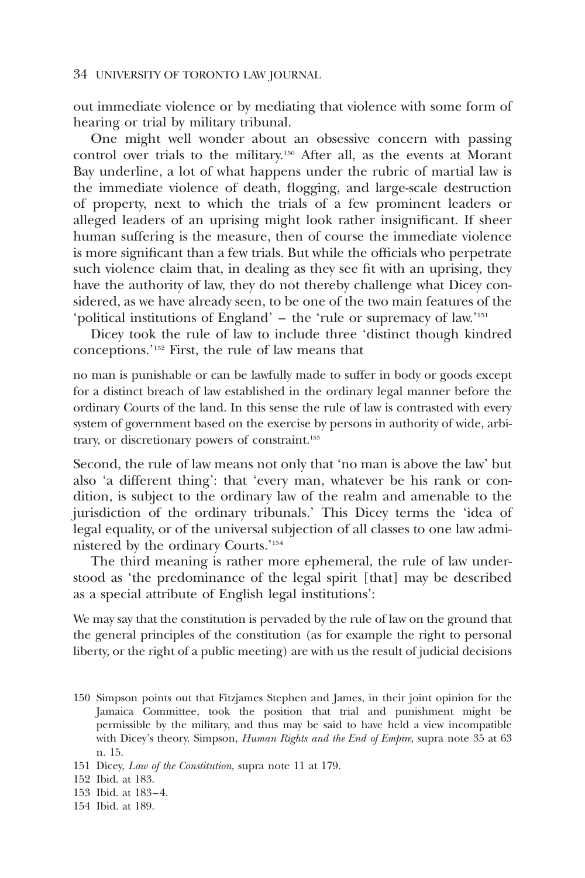out immediate violence or by mediating that violence with some form of hearing or trial by military tribunal.

One might well wonder about an obsessive concern with passing control over trials to the military.150 After all, as the events at Morant Bay underline, a lot of what happens under the rubric of martial law is the immediate violence of death, flogging, and large-scale destruction of property, next to which the trials of a few prominent leaders or alleged leaders of an uprising might look rather insignificant. If sheer human suffering is the measure, then of course the immediate violence is more significant than a few trials. But while the officials who perpetrate such violence claim that, in dealing as they see fit with an uprising, they have the authority of law, they do not thereby challenge what Dicey considered, as we have already seen, to be one of the two main features of the 'political institutions of England' – the 'rule or supremacy of law.'151

Dicey took the rule of law to include three 'distinct though kindred conceptions.'152 First, the rule of law means that

no man is punishable or can be lawfully made to suffer in body or goods except for a distinct breach of law established in the ordinary legal manner before the ordinary Courts of the land. In this sense the rule of law is contrasted with every system of government based on the exercise by persons in authority of wide, arbitrary, or discretionary powers of constraint.<sup>153</sup>

Second, the rule of law means not only that 'no man is above the law' but also 'a different thing': that 'every man, whatever be his rank or condition, is subject to the ordinary law of the realm and amenable to the jurisdiction of the ordinary tribunals.' This Dicey terms the 'idea of legal equality, or of the universal subjection of all classes to one law administered by the ordinary Courts.'154

The third meaning is rather more ephemeral, the rule of law understood as 'the predominance of the legal spirit [that] may be described as a special attribute of English legal institutions':

We may say that the constitution is pervaded by the rule of law on the ground that the general principles of the constitution (as for example the right to personal liberty, or the right of a public meeting) are with us the result of judicial decisions

- 150 Simpson points out that Fitzjames Stephen and James, in their joint opinion for the Jamaica Committee, took the position that trial and punishment might be permissible by the military, and thus may be said to have held a view incompatible with Dicey's theory. Simpson, *Human Rights and the End of Empire*, supra note 35 at 63 n. 15.
- 151 Dicey, Law of the Constitution, supra note 11 at 179.
- 152 Ibid. at 183.

154 Ibid. at 189.

<sup>153</sup> Ibid. at 183–4.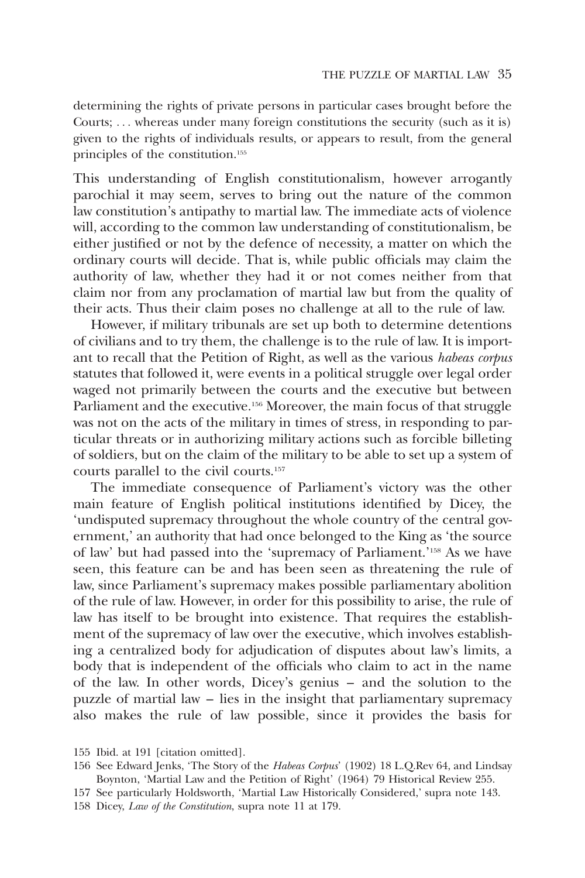determining the rights of private persons in particular cases brought before the Courts; ... whereas under many foreign constitutions the security (such as it is) given to the rights of individuals results, or appears to result, from the general principles of the constitution.155

This understanding of English constitutionalism, however arrogantly parochial it may seem, serves to bring out the nature of the common law constitution's antipathy to martial law. The immediate acts of violence will, according to the common law understanding of constitutionalism, be either justified or not by the defence of necessity, a matter on which the ordinary courts will decide. That is, while public officials may claim the authority of law, whether they had it or not comes neither from that claim nor from any proclamation of martial law but from the quality of their acts. Thus their claim poses no challenge at all to the rule of law.

However, if military tribunals are set up both to determine detentions of civilians and to try them, the challenge is to the rule of law. It is important to recall that the Petition of Right, as well as the various habeas corpus statutes that followed it, were events in a political struggle over legal order waged not primarily between the courts and the executive but between Parliament and the executive.<sup>156</sup> Moreover, the main focus of that struggle was not on the acts of the military in times of stress, in responding to particular threats or in authorizing military actions such as forcible billeting of soldiers, but on the claim of the military to be able to set up a system of courts parallel to the civil courts.157

The immediate consequence of Parliament's victory was the other main feature of English political institutions identified by Dicey, the 'undisputed supremacy throughout the whole country of the central government,' an authority that had once belonged to the King as 'the source of law' but had passed into the 'supremacy of Parliament.'158 As we have seen, this feature can be and has been seen as threatening the rule of law, since Parliament's supremacy makes possible parliamentary abolition of the rule of law. However, in order for this possibility to arise, the rule of law has itself to be brought into existence. That requires the establishment of the supremacy of law over the executive, which involves establishing a centralized body for adjudication of disputes about law's limits, a body that is independent of the officials who claim to act in the name of the law. In other words, Dicey's genius – and the solution to the puzzle of martial law – lies in the insight that parliamentary supremacy also makes the rule of law possible, since it provides the basis for

157 See particularly Holdsworth, 'Martial Law Historically Considered,' supra note 143.

<sup>155</sup> Ibid. at 191 [citation omitted].

<sup>156</sup> See Edward Jenks, 'The Story of the *Habeas Corpus*' (1902) 18 L.Q.Rev 64, and Lindsay Boynton, 'Martial Law and the Petition of Right' (1964) 79 Historical Review 255.

<sup>158</sup> Dicey, Law of the Constitution, supra note 11 at 179.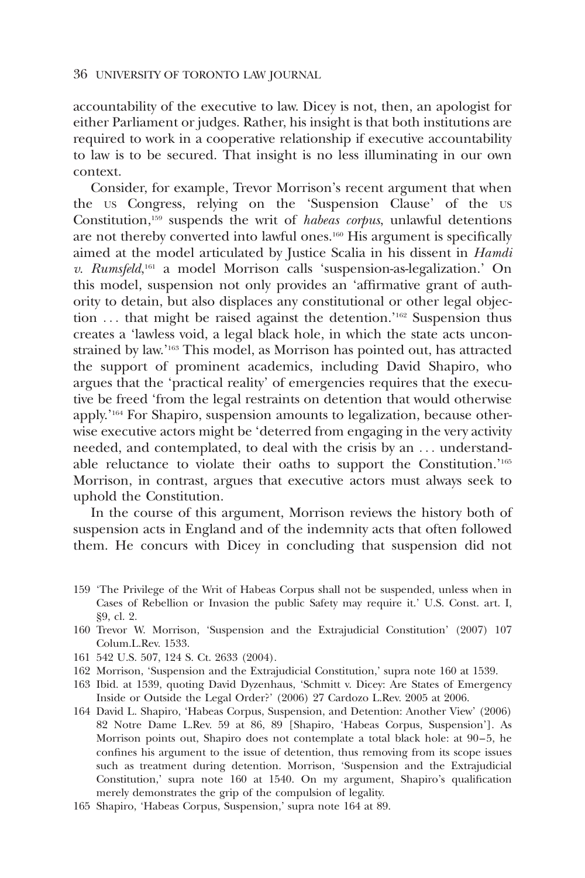accountability of the executive to law. Dicey is not, then, an apologist for either Parliament or judges. Rather, his insight is that both institutions are required to work in a cooperative relationship if executive accountability to law is to be secured. That insight is no less illuminating in our own context.

Consider, for example, Trevor Morrison's recent argument that when the US Congress, relying on the 'Suspension Clause' of the US Constitution,<sup>159</sup> suspends the writ of *habeas corpus*, unlawful detentions are not thereby converted into lawful ones.<sup>160</sup> His argument is specifically aimed at the model articulated by Justice Scalia in his dissent in Hamdi v. Rumsfeld,<sup>161</sup> a model Morrison calls 'suspension-as-legalization.' On this model, suspension not only provides an 'affirmative grant of authority to detain, but also displaces any constitutional or other legal objection ... that might be raised against the detention.'162 Suspension thus creates a 'lawless void, a legal black hole, in which the state acts unconstrained by law.'163 This model, as Morrison has pointed out, has attracted the support of prominent academics, including David Shapiro, who argues that the 'practical reality' of emergencies requires that the executive be freed 'from the legal restraints on detention that would otherwise apply.'164 For Shapiro, suspension amounts to legalization, because otherwise executive actors might be 'deterred from engaging in the very activity needed, and contemplated, to deal with the crisis by an ... understandable reluctance to violate their oaths to support the Constitution.'165 Morrison, in contrast, argues that executive actors must always seek to uphold the Constitution.

In the course of this argument, Morrison reviews the history both of suspension acts in England and of the indemnity acts that often followed them. He concurs with Dicey in concluding that suspension did not

- 159 'The Privilege of the Writ of Habeas Corpus shall not be suspended, unless when in Cases of Rebellion or Invasion the public Safety may require it.' U.S. Const. art. I, §9, cl. 2.
- 160 Trevor W. Morrison, 'Suspension and the Extrajudicial Constitution' (2007) 107 Colum.L.Rev. 1533.
- 161 542 U.S. 507, 124 S. Ct. 2633 (2004).
- 162 Morrison, 'Suspension and the Extrajudicial Constitution,' supra note 160 at 1539.
- 163 Ibid. at 1539, quoting David Dyzenhaus, 'Schmitt v. Dicey: Are States of Emergency Inside or Outside the Legal Order?' (2006) 27 Cardozo L.Rev. 2005 at 2006.
- 164 David L. Shapiro, 'Habeas Corpus, Suspension, and Detention: Another View' (2006) 82 Notre Dame L.Rev. 59 at 86, 89 [Shapiro, 'Habeas Corpus, Suspension']. As Morrison points out, Shapiro does not contemplate a total black hole: at 90–5, he confines his argument to the issue of detention, thus removing from its scope issues such as treatment during detention. Morrison, 'Suspension and the Extrajudicial Constitution,' supra note 160 at 1540. On my argument, Shapiro's qualification merely demonstrates the grip of the compulsion of legality.
- 165 Shapiro, 'Habeas Corpus, Suspension,' supra note 164 at 89.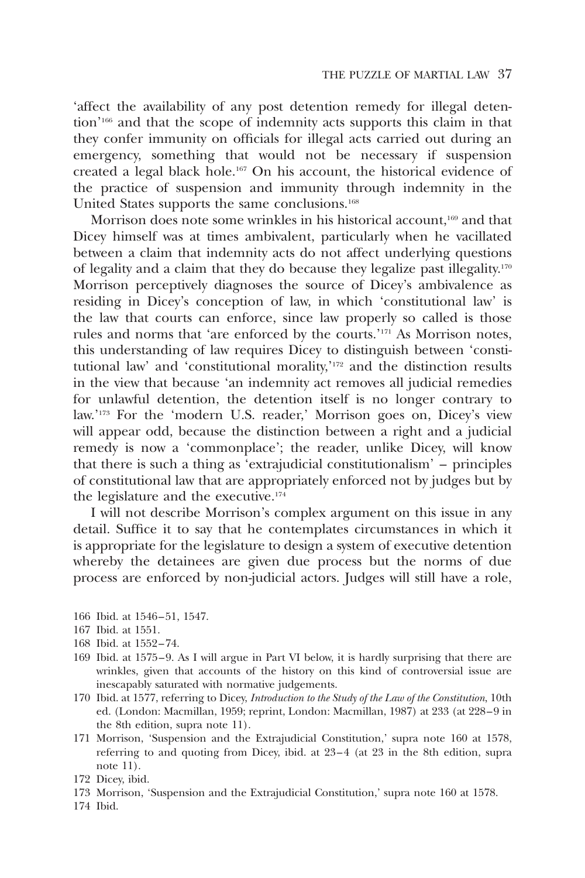'affect the availability of any post detention remedy for illegal detention'166 and that the scope of indemnity acts supports this claim in that they confer immunity on officials for illegal acts carried out during an emergency, something that would not be necessary if suspension created a legal black hole.167 On his account, the historical evidence of the practice of suspension and immunity through indemnity in the United States supports the same conclusions.<sup>168</sup>

Morrison does note some wrinkles in his historical account,<sup>169</sup> and that Dicey himself was at times ambivalent, particularly when he vacillated between a claim that indemnity acts do not affect underlying questions of legality and a claim that they do because they legalize past illegality.170 Morrison perceptively diagnoses the source of Dicey's ambivalence as residing in Dicey's conception of law, in which 'constitutional law' is the law that courts can enforce, since law properly so called is those rules and norms that 'are enforced by the courts.'171 As Morrison notes, this understanding of law requires Dicey to distinguish between 'constitutional law' and 'constitutional morality,'172 and the distinction results in the view that because 'an indemnity act removes all judicial remedies for unlawful detention, the detention itself is no longer contrary to law.'173 For the 'modern U.S. reader,' Morrison goes on, Dicey's view will appear odd, because the distinction between a right and a judicial remedy is now a 'commonplace'; the reader, unlike Dicey, will know that there is such a thing as 'extrajudicial constitutionalism' – principles of constitutional law that are appropriately enforced not by judges but by the legislature and the executive.174

I will not describe Morrison's complex argument on this issue in any detail. Suffice it to say that he contemplates circumstances in which it is appropriate for the legislature to design a system of executive detention whereby the detainees are given due process but the norms of due process are enforced by non-judicial actors. Judges will still have a role,

- 166 Ibid. at 1546–51, 1547.
- 167 Ibid. at 1551.
- 168 Ibid. at 1552–74.
- 169 Ibid. at 1575–9. As I will argue in Part VI below, it is hardly surprising that there are wrinkles, given that accounts of the history on this kind of controversial issue are inescapably saturated with normative judgements.
- 170 Ibid. at 1577, referring to Dicey, Introduction to the Study of the Law of the Constitution, 10th ed. (London: Macmillan, 1959; reprint, London: Macmillan, 1987) at 233 (at 228–9 in the 8th edition, supra note 11).
- 171 Morrison, 'Suspension and the Extrajudicial Constitution,' supra note 160 at 1578, referring to and quoting from Dicey, ibid. at 23–4 (at 23 in the 8th edition, supra note 11).
- 172 Dicey, ibid.
- 173 Morrison, 'Suspension and the Extrajudicial Constitution,' supra note 160 at 1578.
- 174 Ibid.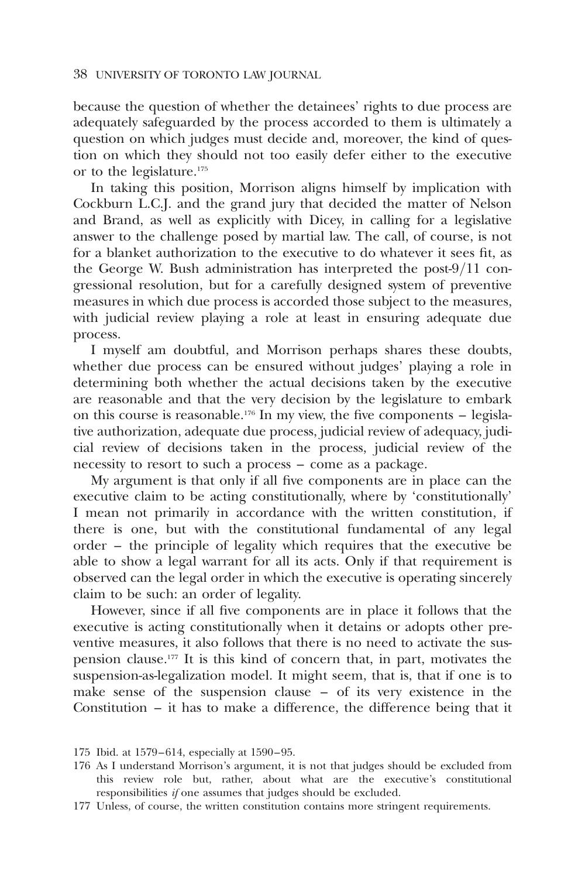because the question of whether the detainees' rights to due process are adequately safeguarded by the process accorded to them is ultimately a question on which judges must decide and, moreover, the kind of question on which they should not too easily defer either to the executive or to the legislature.175

In taking this position, Morrison aligns himself by implication with Cockburn L.C.J. and the grand jury that decided the matter of Nelson and Brand, as well as explicitly with Dicey, in calling for a legislative answer to the challenge posed by martial law. The call, of course, is not for a blanket authorization to the executive to do whatever it sees fit, as the George W. Bush administration has interpreted the post-9/11 congressional resolution, but for a carefully designed system of preventive measures in which due process is accorded those subject to the measures, with judicial review playing a role at least in ensuring adequate due process.

I myself am doubtful, and Morrison perhaps shares these doubts, whether due process can be ensured without judges' playing a role in determining both whether the actual decisions taken by the executive are reasonable and that the very decision by the legislature to embark on this course is reasonable.<sup>176</sup> In my view, the five components  $-$  legislative authorization, adequate due process, judicial review of adequacy, judicial review of decisions taken in the process, judicial review of the necessity to resort to such a process – come as a package.

My argument is that only if all five components are in place can the executive claim to be acting constitutionally, where by 'constitutionally' I mean not primarily in accordance with the written constitution, if there is one, but with the constitutional fundamental of any legal order – the principle of legality which requires that the executive be able to show a legal warrant for all its acts. Only if that requirement is observed can the legal order in which the executive is operating sincerely claim to be such: an order of legality.

However, since if all five components are in place it follows that the executive is acting constitutionally when it detains or adopts other preventive measures, it also follows that there is no need to activate the suspension clause.177 It is this kind of concern that, in part, motivates the suspension-as-legalization model. It might seem, that is, that if one is to make sense of the suspension clause – of its very existence in the Constitution – it has to make a difference, the difference being that it

<sup>175</sup> Ibid. at 1579–614, especially at 1590–95.

<sup>176</sup> As I understand Morrison's argument, it is not that judges should be excluded from this review role but, rather, about what are the executive's constitutional responsibilities if one assumes that judges should be excluded.

<sup>177</sup> Unless, of course, the written constitution contains more stringent requirements.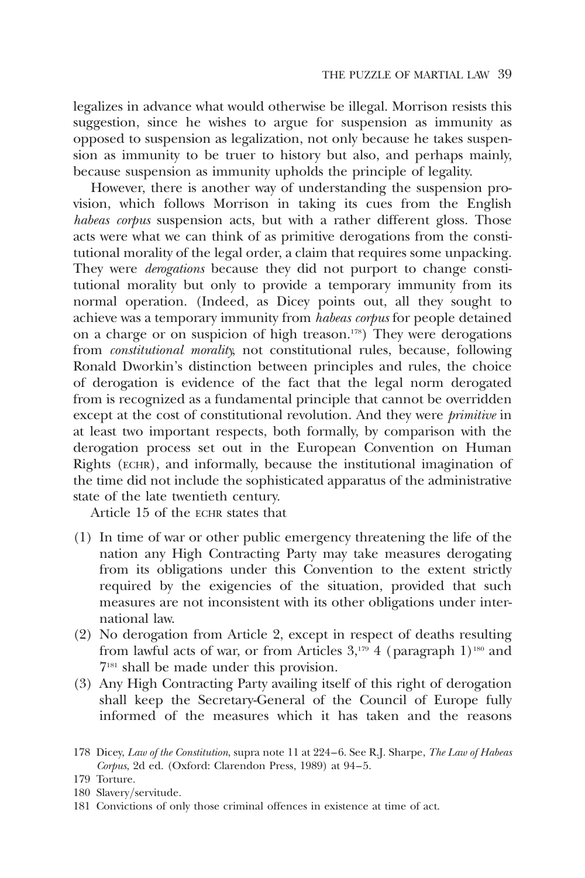legalizes in advance what would otherwise be illegal. Morrison resists this suggestion, since he wishes to argue for suspension as immunity as opposed to suspension as legalization, not only because he takes suspension as immunity to be truer to history but also, and perhaps mainly, because suspension as immunity upholds the principle of legality.

However, there is another way of understanding the suspension provision, which follows Morrison in taking its cues from the English habeas corpus suspension acts, but with a rather different gloss. Those acts were what we can think of as primitive derogations from the constitutional morality of the legal order, a claim that requires some unpacking. They were *derogations* because they did not purport to change constitutional morality but only to provide a temporary immunity from its normal operation. (Indeed, as Dicey points out, all they sought to achieve was a temporary immunity from habeas corpus for people detained on a charge or on suspicion of high treason.178) They were derogations from constitutional morality, not constitutional rules, because, following Ronald Dworkin's distinction between principles and rules, the choice of derogation is evidence of the fact that the legal norm derogated from is recognized as a fundamental principle that cannot be overridden except at the cost of constitutional revolution. And they were primitive in at least two important respects, both formally, by comparison with the derogation process set out in the European Convention on Human Rights (ECHR), and informally, because the institutional imagination of the time did not include the sophisticated apparatus of the administrative state of the late twentieth century.

Article 15 of the ECHR states that

- (1) In time of war or other public emergency threatening the life of the nation any High Contracting Party may take measures derogating from its obligations under this Convention to the extent strictly required by the exigencies of the situation, provided that such measures are not inconsistent with its other obligations under international law.
- (2) No derogation from Article 2, except in respect of deaths resulting from lawful acts of war, or from Articles  $3,179$  4 (paragraph 1)<sup>180</sup> and 7181 shall be made under this provision.
- (3) Any High Contracting Party availing itself of this right of derogation shall keep the Secretary-General of the Council of Europe fully informed of the measures which it has taken and the reasons

<sup>178</sup> Dicey, Law of the Constitution, supra note 11 at 224–6. See R.J. Sharpe, The Law of Habeas Corpus, 2d ed. (Oxford: Clarendon Press, 1989) at 94–5.

<sup>179</sup> Torture.

<sup>180</sup> Slavery/servitude.

<sup>181</sup> Convictions of only those criminal offences in existence at time of act.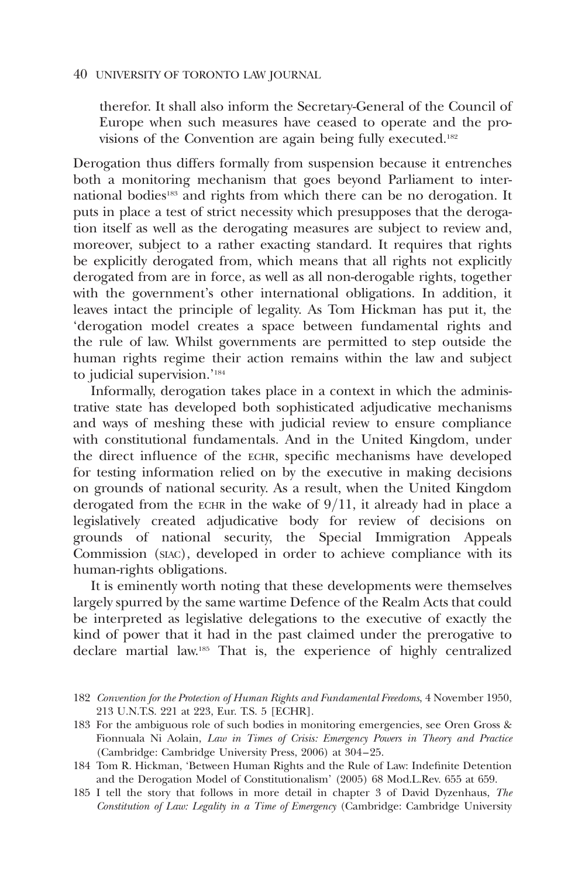therefor. It shall also inform the Secretary-General of the Council of Europe when such measures have ceased to operate and the provisions of the Convention are again being fully executed.182

Derogation thus differs formally from suspension because it entrenches both a monitoring mechanism that goes beyond Parliament to international bodies<sup>183</sup> and rights from which there can be no derogation. It puts in place a test of strict necessity which presupposes that the derogation itself as well as the derogating measures are subject to review and, moreover, subject to a rather exacting standard. It requires that rights be explicitly derogated from, which means that all rights not explicitly derogated from are in force, as well as all non-derogable rights, together with the government's other international obligations. In addition, it leaves intact the principle of legality. As Tom Hickman has put it, the 'derogation model creates a space between fundamental rights and the rule of law. Whilst governments are permitted to step outside the human rights regime their action remains within the law and subject to judicial supervision.'184

Informally, derogation takes place in a context in which the administrative state has developed both sophisticated adjudicative mechanisms and ways of meshing these with judicial review to ensure compliance with constitutional fundamentals. And in the United Kingdom, under the direct influence of the ECHR, specific mechanisms have developed for testing information relied on by the executive in making decisions on grounds of national security. As a result, when the United Kingdom derogated from the ECHR in the wake of  $9/11$ , it already had in place a legislatively created adjudicative body for review of decisions on grounds of national security, the Special Immigration Appeals Commission (SIAC), developed in order to achieve compliance with its human-rights obligations.

It is eminently worth noting that these developments were themselves largely spurred by the same wartime Defence of the Realm Acts that could be interpreted as legislative delegations to the executive of exactly the kind of power that it had in the past claimed under the prerogative to declare martial law.185 That is, the experience of highly centralized

<sup>182</sup> Convention for the Protection of Human Rights and Fundamental Freedoms, 4 November 1950, 213 U.N.T.S. 221 at 223, Eur. T.S. 5 [ECHR].

<sup>183</sup> For the ambiguous role of such bodies in monitoring emergencies, see Oren Gross & Fionnuala Ni Aolain, Law in Times of Crisis: Emergency Powers in Theory and Practice (Cambridge: Cambridge University Press, 2006) at 304–25.

<sup>184</sup> Tom R. Hickman, 'Between Human Rights and the Rule of Law: Indefinite Detention and the Derogation Model of Constitutionalism' (2005) 68 Mod.L.Rev. 655 at 659.

<sup>185</sup> I tell the story that follows in more detail in chapter 3 of David Dyzenhaus, The Constitution of Law: Legality in a Time of Emergency (Cambridge: Cambridge University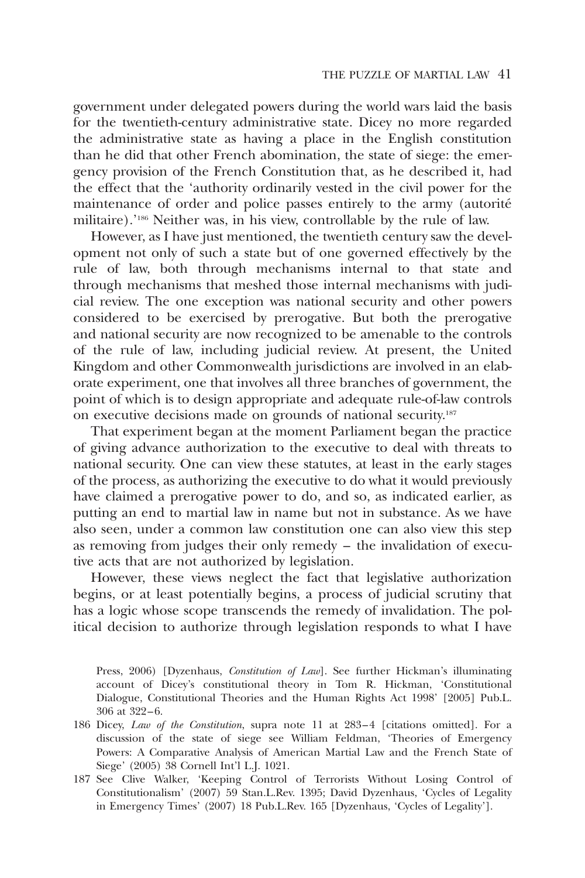government under delegated powers during the world wars laid the basis for the twentieth-century administrative state. Dicey no more regarded the administrative state as having a place in the English constitution than he did that other French abomination, the state of siege: the emergency provision of the French Constitution that, as he described it, had the effect that the 'authority ordinarily vested in the civil power for the maintenance of order and police passes entirely to the army (autorité) militaire).'186 Neither was, in his view, controllable by the rule of law.

However, as I have just mentioned, the twentieth century saw the development not only of such a state but of one governed effectively by the rule of law, both through mechanisms internal to that state and through mechanisms that meshed those internal mechanisms with judicial review. The one exception was national security and other powers considered to be exercised by prerogative. But both the prerogative and national security are now recognized to be amenable to the controls of the rule of law, including judicial review. At present, the United Kingdom and other Commonwealth jurisdictions are involved in an elaborate experiment, one that involves all three branches of government, the point of which is to design appropriate and adequate rule-of-law controls on executive decisions made on grounds of national security.<sup>187</sup>

That experiment began at the moment Parliament began the practice of giving advance authorization to the executive to deal with threats to national security. One can view these statutes, at least in the early stages of the process, as authorizing the executive to do what it would previously have claimed a prerogative power to do, and so, as indicated earlier, as putting an end to martial law in name but not in substance. As we have also seen, under a common law constitution one can also view this step as removing from judges their only remedy – the invalidation of executive acts that are not authorized by legislation.

However, these views neglect the fact that legislative authorization begins, or at least potentially begins, a process of judicial scrutiny that has a logic whose scope transcends the remedy of invalidation. The political decision to authorize through legislation responds to what I have

Press, 2006) [Dyzenhaus, *Constitution of Law*]. See further Hickman's illuminating account of Dicey's constitutional theory in Tom R. Hickman, 'Constitutional Dialogue, Constitutional Theories and the Human Rights Act 1998' [2005] Pub.L. 306 at 322–6.

- 186 Dicey, Law of the Constitution, supra note 11 at 283–4 [citations omitted]. For a discussion of the state of siege see William Feldman, 'Theories of Emergency Powers: A Comparative Analysis of American Martial Law and the French State of Siege' (2005) 38 Cornell Int'l L.J. 1021.
- 187 See Clive Walker, 'Keeping Control of Terrorists Without Losing Control of Constitutionalism' (2007) 59 Stan.L.Rev. 1395; David Dyzenhaus, 'Cycles of Legality in Emergency Times' (2007) 18 Pub.L.Rev. 165 [Dyzenhaus, 'Cycles of Legality'].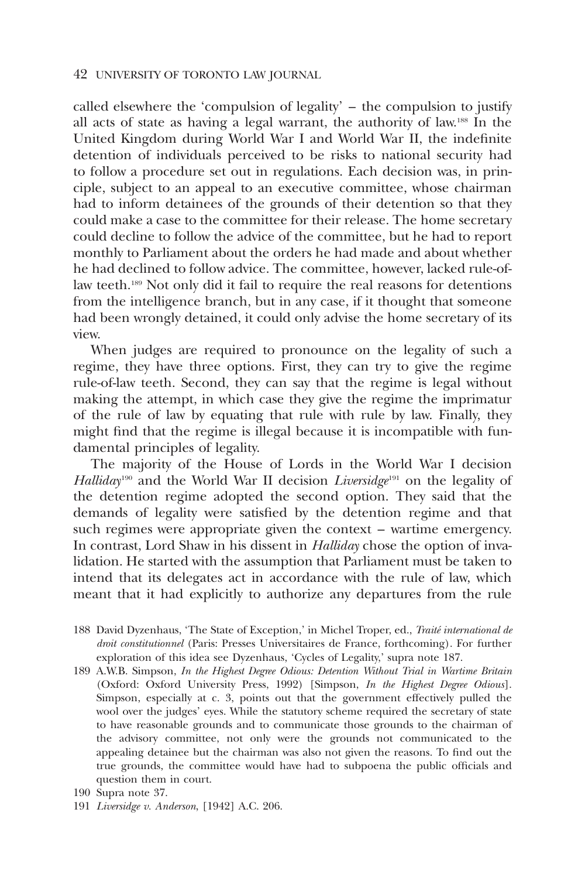called elsewhere the 'compulsion of legality' – the compulsion to justify all acts of state as having a legal warrant, the authority of law.188 In the United Kingdom during World War I and World War II, the indefinite detention of individuals perceived to be risks to national security had to follow a procedure set out in regulations. Each decision was, in principle, subject to an appeal to an executive committee, whose chairman had to inform detainees of the grounds of their detention so that they could make a case to the committee for their release. The home secretary could decline to follow the advice of the committee, but he had to report monthly to Parliament about the orders he had made and about whether he had declined to follow advice. The committee, however, lacked rule-oflaw teeth.<sup>189</sup> Not only did it fail to require the real reasons for detentions from the intelligence branch, but in any case, if it thought that someone had been wrongly detained, it could only advise the home secretary of its view.

When judges are required to pronounce on the legality of such a regime, they have three options. First, they can try to give the regime rule-of-law teeth. Second, they can say that the regime is legal without making the attempt, in which case they give the regime the imprimatur of the rule of law by equating that rule with rule by law. Finally, they might find that the regime is illegal because it is incompatible with fundamental principles of legality.

The majority of the House of Lords in the World War I decision Halliday<sup>190</sup> and the World War II decision *Liversidge*<sup>191</sup> on the legality of the detention regime adopted the second option. They said that the demands of legality were satisfied by the detention regime and that such regimes were appropriate given the context – wartime emergency. In contrast, Lord Shaw in his dissent in *Halliday* chose the option of invalidation. He started with the assumption that Parliament must be taken to intend that its delegates act in accordance with the rule of law, which meant that it had explicitly to authorize any departures from the rule

- 188 David Dyzenhaus, 'The State of Exception,' in Michel Troper, ed., Traité international de droit constitutionnel (Paris: Presses Universitaires de France, forthcoming). For further exploration of this idea see Dyzenhaus, 'Cycles of Legality,' supra note 187.
- 189 A.W.B. Simpson, In the Highest Degree Odious: Detention Without Trial in Wartime Britain (Oxford: Oxford University Press, 1992) [Simpson, In the Highest Degree Odious]. Simpson, especially at c. 3, points out that the government effectively pulled the wool over the judges' eyes. While the statutory scheme required the secretary of state to have reasonable grounds and to communicate those grounds to the chairman of the advisory committee, not only were the grounds not communicated to the appealing detainee but the chairman was also not given the reasons. To find out the true grounds, the committee would have had to subpoena the public officials and question them in court.

191 Liversidge v. Anderson, [1942] A.C. 206.

<sup>190</sup> Supra note 37.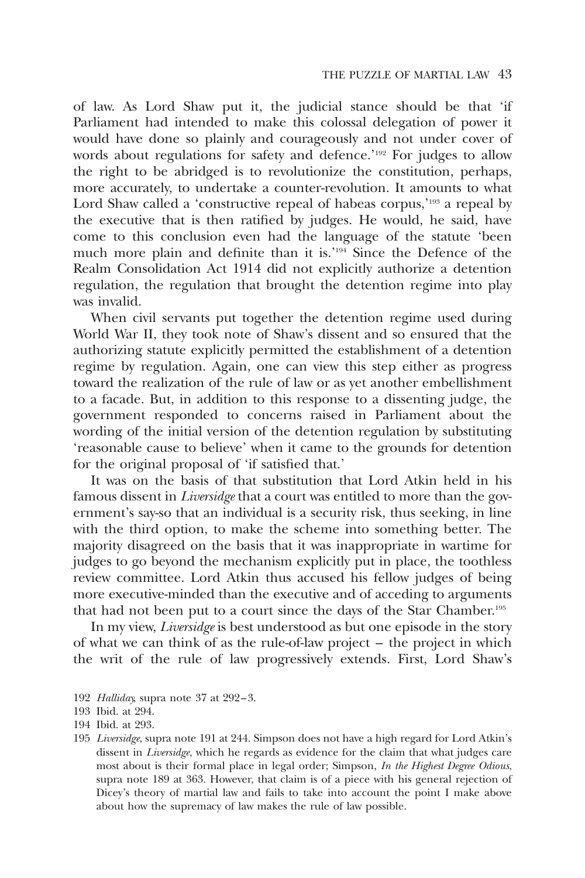of law. As Lord Shaw put it, the judicial stance should be that 'if Parliament had intended to make this colossal delegation of power it would have done so plainly and courageously and not under cover of words about regulations for safety and defence.'<sup>192</sup> For judges to allow the right to be abridged is to revolutionize the constitution, perhaps, more accurately, to undertake a counter-revolution. It amounts to what Lord Shaw called a 'constructive repeal of habeas corpus,<sup>'193</sup> a repeal by the executive that is then ratified by judges. He would, he said, have come to this conclusion even had the language of the statute 'been much more plain and definite than it is.'194 Since the Defence of the Realm Consolidation Act 1914 did not explicitly authorize a detention regulation, the regulation that brought the detention regime into play was invalid.

When civil servants put together the detention regime used during World War II, they took note of Shaw's dissent and so ensured that the authorizing statute explicitly permitted the establishment of a detention regime by regulation. Again, one can view this step either as progress toward the realization of the rule of law or as yet another embellishment to a facade. But, in addition to this response to a dissenting judge, the government responded to concerns raised in Parliament about the wording of the initial version of the detention regulation by substituting 'reasonable cause to believe' when it came to the grounds for detention for the original proposal of 'if satisfied that.'

It was on the basis of that substitution that Lord Atkin held in his famous dissent in *Liversidge* that a court was entitled to more than the government's say-so that an individual is a security risk, thus seeking, in line with the third option, to make the scheme into something better. The majority disagreed on the basis that it was inappropriate in wartime for judges to go beyond the mechanism explicitly put in place, the toothless review committee. Lord Atkin thus accused his fellow judges of being more executive-minded than the executive and of acceding to arguments that had not been put to a court since the days of the Star Chamber.195

In my view, Liversidge is best understood as but one episode in the story of what we can think of as the rule-of-law project – the project in which the writ of the rule of law progressively extends. First, Lord Shaw's

<sup>192</sup> Halliday, supra note 37 at 292-3.

<sup>193</sup> Ibid. at 294.

<sup>194</sup> Ibid. at 293.

<sup>195</sup> Liversidge, supra note 191 at 244. Simpson does not have a high regard for Lord Atkin's dissent in Liversidge, which he regards as evidence for the claim that what judges care most about is their formal place in legal order; Simpson, In the Highest Degree Odious, supra note 189 at 363. However, that claim is of a piece with his general rejection of Dicey's theory of martial law and fails to take into account the point I make above about how the supremacy of law makes the rule of law possible.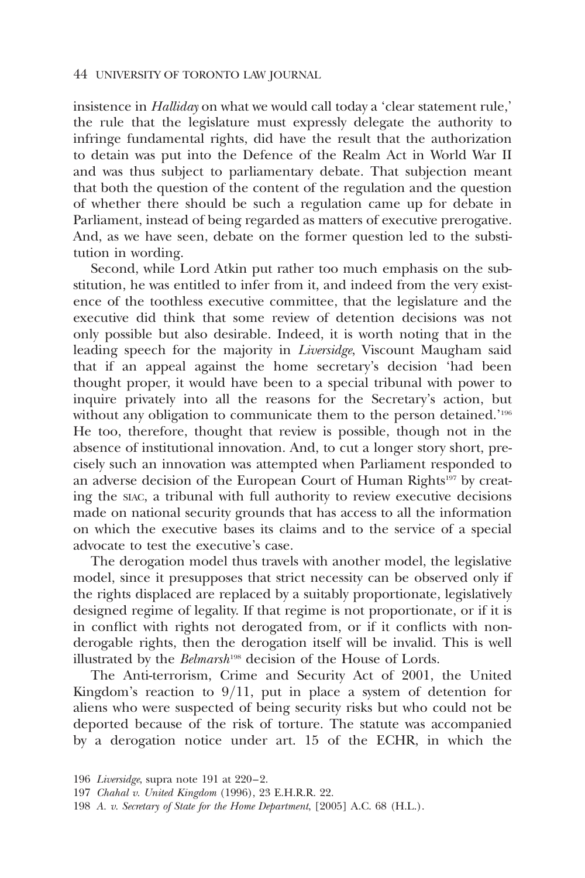insistence in *Halliday* on what we would call today a 'clear statement rule,' the rule that the legislature must expressly delegate the authority to infringe fundamental rights, did have the result that the authorization to detain was put into the Defence of the Realm Act in World War II and was thus subject to parliamentary debate. That subjection meant that both the question of the content of the regulation and the question of whether there should be such a regulation came up for debate in Parliament, instead of being regarded as matters of executive prerogative. And, as we have seen, debate on the former question led to the substitution in wording.

Second, while Lord Atkin put rather too much emphasis on the substitution, he was entitled to infer from it, and indeed from the very existence of the toothless executive committee, that the legislature and the executive did think that some review of detention decisions was not only possible but also desirable. Indeed, it is worth noting that in the leading speech for the majority in Liversidge, Viscount Maugham said that if an appeal against the home secretary's decision 'had been thought proper, it would have been to a special tribunal with power to inquire privately into all the reasons for the Secretary's action, but without any obligation to communicate them to the person detained.'<sup>196</sup> He too, therefore, thought that review is possible, though not in the absence of institutional innovation. And, to cut a longer story short, precisely such an innovation was attempted when Parliament responded to an adverse decision of the European Court of Human Rights<sup>197</sup> by creating the SIAC, a tribunal with full authority to review executive decisions made on national security grounds that has access to all the information on which the executive bases its claims and to the service of a special advocate to test the executive's case.

The derogation model thus travels with another model, the legislative model, since it presupposes that strict necessity can be observed only if the rights displaced are replaced by a suitably proportionate, legislatively designed regime of legality. If that regime is not proportionate, or if it is in conflict with rights not derogated from, or if it conflicts with nonderogable rights, then the derogation itself will be invalid. This is well illustrated by the Belmarsh<sup>198</sup> decision of the House of Lords.

The Anti-terrorism, Crime and Security Act of 2001, the United Kingdom's reaction to  $9/11$ , put in place a system of detention for aliens who were suspected of being security risks but who could not be deported because of the risk of torture. The statute was accompanied by a derogation notice under art. 15 of the ECHR, in which the

<sup>196</sup> Liversidge, supra note 191 at 220–2.

<sup>197</sup> Chahal v. United Kingdom (1996), 23 E.H.R.R. 22.

<sup>198</sup> A. v. Secretary of State for the Home Department, [2005] A.C. 68 (H.L.).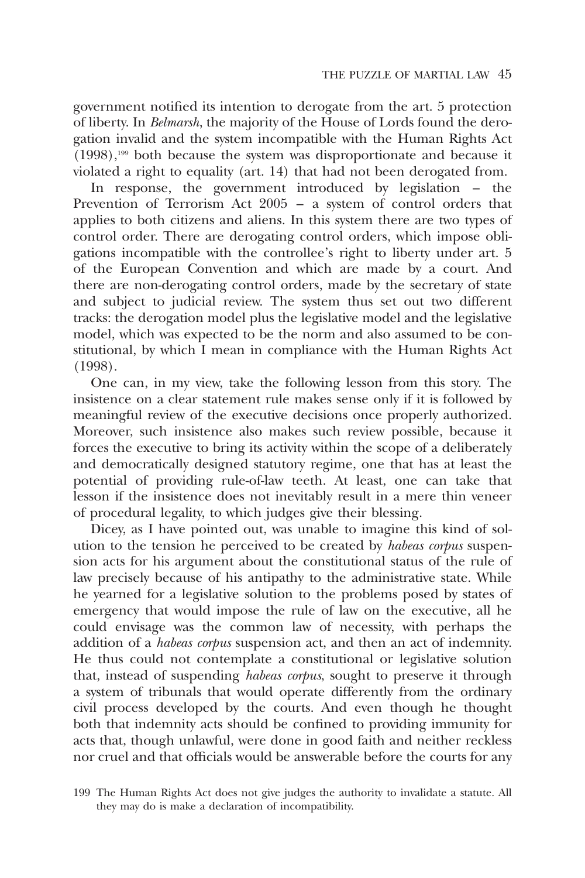government notified its intention to derogate from the art. 5 protection of liberty. In Belmarsh, the majority of the House of Lords found the derogation invalid and the system incompatible with the Human Rights Act  $(1998)$ ,<sup>199</sup> both because the system was disproportionate and because it violated a right to equality (art. 14) that had not been derogated from.

In response, the government introduced by legislation – the Prevention of Terrorism Act 2005 – a system of control orders that applies to both citizens and aliens. In this system there are two types of control order. There are derogating control orders, which impose obligations incompatible with the controllee's right to liberty under art. 5 of the European Convention and which are made by a court. And there are non-derogating control orders, made by the secretary of state and subject to judicial review. The system thus set out two different tracks: the derogation model plus the legislative model and the legislative model, which was expected to be the norm and also assumed to be constitutional, by which I mean in compliance with the Human Rights Act (1998).

One can, in my view, take the following lesson from this story. The insistence on a clear statement rule makes sense only if it is followed by meaningful review of the executive decisions once properly authorized. Moreover, such insistence also makes such review possible, because it forces the executive to bring its activity within the scope of a deliberately and democratically designed statutory regime, one that has at least the potential of providing rule-of-law teeth. At least, one can take that lesson if the insistence does not inevitably result in a mere thin veneer of procedural legality, to which judges give their blessing.

Dicey, as I have pointed out, was unable to imagine this kind of solution to the tension he perceived to be created by habeas corpus suspension acts for his argument about the constitutional status of the rule of law precisely because of his antipathy to the administrative state. While he yearned for a legislative solution to the problems posed by states of emergency that would impose the rule of law on the executive, all he could envisage was the common law of necessity, with perhaps the addition of a habeas corpus suspension act, and then an act of indemnity. He thus could not contemplate a constitutional or legislative solution that, instead of suspending habeas corpus, sought to preserve it through a system of tribunals that would operate differently from the ordinary civil process developed by the courts. And even though he thought both that indemnity acts should be confined to providing immunity for acts that, though unlawful, were done in good faith and neither reckless nor cruel and that officials would be answerable before the courts for any

<sup>199</sup> The Human Rights Act does not give judges the authority to invalidate a statute. All they may do is make a declaration of incompatibility.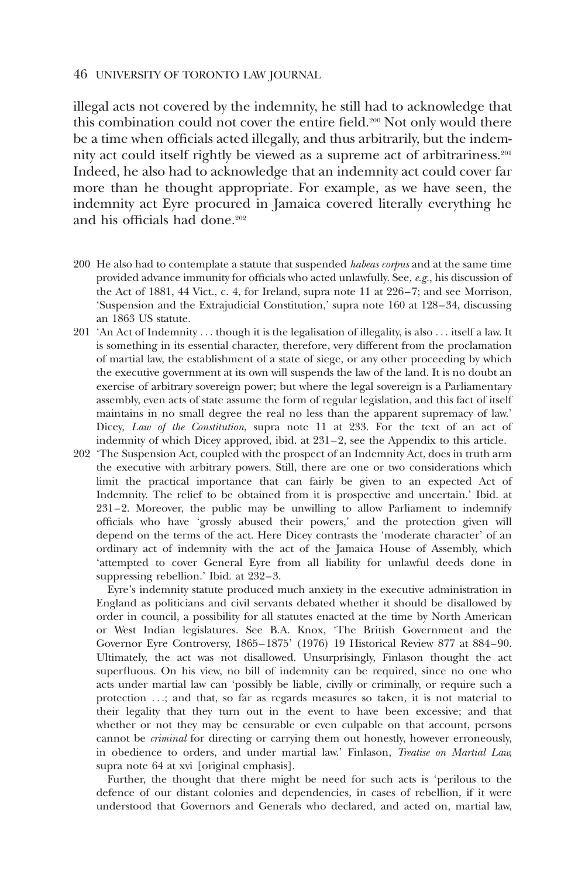illegal acts not covered by the indemnity, he still had to acknowledge that this combination could not cover the entire field.<sup>200</sup> Not only would there be a time when officials acted illegally, and thus arbitrarily, but the indemnity act could itself rightly be viewed as a supreme act of arbitrariness.<sup>201</sup> Indeed, he also had to acknowledge that an indemnity act could cover far more than he thought appropriate. For example, as we have seen, the indemnity act Eyre procured in Jamaica covered literally everything he and his officials had done.<sup>202</sup>

- 200 He also had to contemplate a statute that suspended habeas corpus and at the same time provided advance immunity for officials who acted unlawfully. See, e.g., his discussion of the Act of 1881, 44 Vict., c. 4, for Ireland, supra note 11 at 226–7; and see Morrison, 'Suspension and the Extrajudicial Constitution,' supra note 160 at 128–34, discussing an 1863 US statute.
- 201 'An Act of Indemnity ... though it is the legalisation of illegality, is also ... itself a law. It is something in its essential character, therefore, very different from the proclamation of martial law, the establishment of a state of siege, or any other proceeding by which the executive government at its own will suspends the law of the land. It is no doubt an exercise of arbitrary sovereign power; but where the legal sovereign is a Parliamentary assembly, even acts of state assume the form of regular legislation, and this fact of itself maintains in no small degree the real no less than the apparent supremacy of law.' Dicey, Law of the Constitution, supra note 11 at 233. For the text of an act of indemnity of which Dicey approved, ibid. at 231–2, see the Appendix to this article.
- 202 'The Suspension Act, coupled with the prospect of an Indemnity Act, does in truth arm the executive with arbitrary powers. Still, there are one or two considerations which limit the practical importance that can fairly be given to an expected Act of Indemnity. The relief to be obtained from it is prospective and uncertain.' Ibid. at 231–2. Moreover, the public may be unwilling to allow Parliament to indemnify officials who have 'grossly abused their powers,' and the protection given will depend on the terms of the act. Here Dicey contrasts the 'moderate character' of an ordinary act of indemnity with the act of the Jamaica House of Assembly, which 'attempted to cover General Eyre from all liability for unlawful deeds done in suppressing rebellion.' Ibid. at 232–3.

Eyre's indemnity statute produced much anxiety in the executive administration in England as politicians and civil servants debated whether it should be disallowed by order in council, a possibility for all statutes enacted at the time by North American or West Indian legislatures. See B.A. Knox, 'The British Government and the Governor Eyre Controversy, 1865–1875' (1976) 19 Historical Review 877 at 884–90. Ultimately, the act was not disallowed. Unsurprisingly, Finlason thought the act superfluous. On his view, no bill of indemnity can be required, since no one who acts under martial law can 'possibly be liable, civilly or criminally, or require such a protection ...; and that, so far as regards measures so taken, it is not material to their legality that they turn out in the event to have been excessive; and that whether or not they may be censurable or even culpable on that account, persons cannot be criminal for directing or carrying them out honestly, however erroneously, in obedience to orders, and under martial law.' Finlason, Treatise on Martial Law, supra note 64 at xvi [original emphasis].

Further, the thought that there might be need for such acts is 'perilous to the defence of our distant colonies and dependencies, in cases of rebellion, if it were understood that Governors and Generals who declared, and acted on, martial law,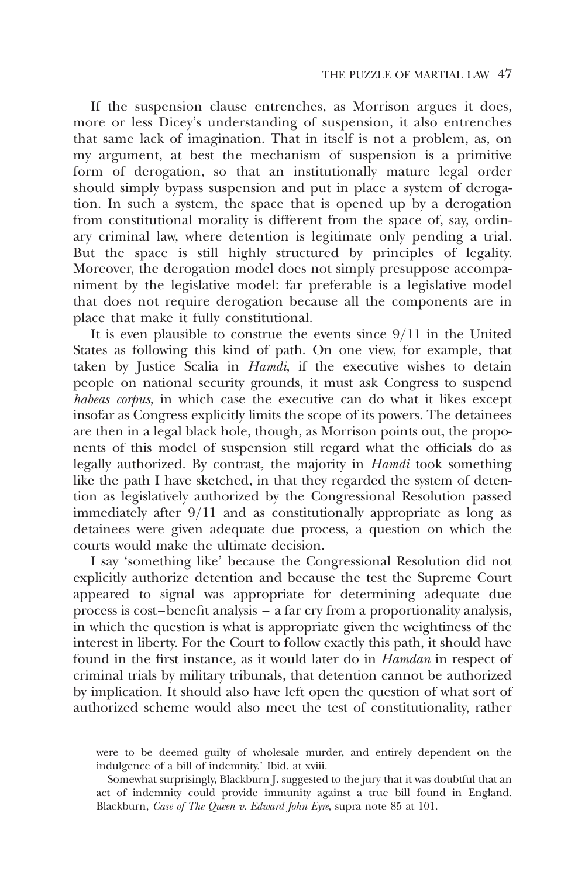If the suspension clause entrenches, as Morrison argues it does, more or less Dicey's understanding of suspension, it also entrenches that same lack of imagination. That in itself is not a problem, as, on my argument, at best the mechanism of suspension is a primitive form of derogation, so that an institutionally mature legal order should simply bypass suspension and put in place a system of derogation. In such a system, the space that is opened up by a derogation from constitutional morality is different from the space of, say, ordinary criminal law, where detention is legitimate only pending a trial. But the space is still highly structured by principles of legality. Moreover, the derogation model does not simply presuppose accompaniment by the legislative model: far preferable is a legislative model that does not require derogation because all the components are in place that make it fully constitutional.

It is even plausible to construe the events since 9/11 in the United States as following this kind of path. On one view, for example, that taken by Justice Scalia in Hamdi, if the executive wishes to detain people on national security grounds, it must ask Congress to suspend habeas corpus, in which case the executive can do what it likes except insofar as Congress explicitly limits the scope of its powers. The detainees are then in a legal black hole, though, as Morrison points out, the proponents of this model of suspension still regard what the officials do as legally authorized. By contrast, the majority in Hamdi took something like the path I have sketched, in that they regarded the system of detention as legislatively authorized by the Congressional Resolution passed immediately after 9/11 and as constitutionally appropriate as long as detainees were given adequate due process, a question on which the courts would make the ultimate decision.

I say 'something like' because the Congressional Resolution did not explicitly authorize detention and because the test the Supreme Court appeared to signal was appropriate for determining adequate due process is cost–benefit analysis – a far cry from a proportionality analysis, in which the question is what is appropriate given the weightiness of the interest in liberty. For the Court to follow exactly this path, it should have found in the first instance, as it would later do in Hamdan in respect of criminal trials by military tribunals, that detention cannot be authorized by implication. It should also have left open the question of what sort of authorized scheme would also meet the test of constitutionality, rather

were to be deemed guilty of wholesale murder, and entirely dependent on the indulgence of a bill of indemnity.' Ibid. at xviii.

Somewhat surprisingly, Blackburn J. suggested to the jury that it was doubtful that an act of indemnity could provide immunity against a true bill found in England. Blackburn, Case of The Queen v. Edward John Eyre, supra note 85 at 101.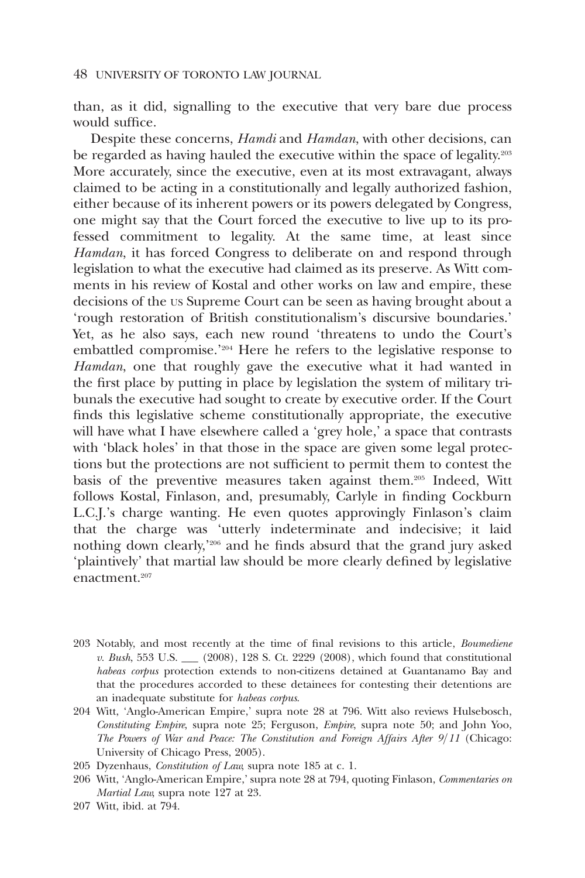than, as it did, signalling to the executive that very bare due process would suffice.

Despite these concerns, Hamdi and Hamdan, with other decisions, can be regarded as having hauled the executive within the space of legality.<sup>203</sup> More accurately, since the executive, even at its most extravagant, always claimed to be acting in a constitutionally and legally authorized fashion, either because of its inherent powers or its powers delegated by Congress, one might say that the Court forced the executive to live up to its professed commitment to legality. At the same time, at least since Hamdan, it has forced Congress to deliberate on and respond through legislation to what the executive had claimed as its preserve. As Witt comments in his review of Kostal and other works on law and empire, these decisions of the US Supreme Court can be seen as having brought about a 'rough restoration of British constitutionalism's discursive boundaries.' Yet, as he also says, each new round 'threatens to undo the Court's embattled compromise.'204 Here he refers to the legislative response to Hamdan, one that roughly gave the executive what it had wanted in the first place by putting in place by legislation the system of military tribunals the executive had sought to create by executive order. If the Court finds this legislative scheme constitutionally appropriate, the executive will have what I have elsewhere called a 'grey hole,' a space that contrasts with 'black holes' in that those in the space are given some legal protections but the protections are not sufficient to permit them to contest the basis of the preventive measures taken against them.205 Indeed, Witt follows Kostal, Finlason, and, presumably, Carlyle in finding Cockburn L.C.J.'s charge wanting. He even quotes approvingly Finlason's claim that the charge was 'utterly indeterminate and indecisive; it laid nothing down clearly,'206 and he finds absurd that the grand jury asked 'plaintively' that martial law should be more clearly defined by legislative enactment.207

- 203 Notably, and most recently at the time of final revisions to this article, Boumediene v. Bush, 553 U.S. \_\_\_ (2008), 128 S. Ct. 2229 (2008), which found that constitutional habeas corpus protection extends to non-citizens detained at Guantanamo Bay and that the procedures accorded to these detainees for contesting their detentions are an inadequate substitute for habeas corpus.
- 204 Witt, 'Anglo-American Empire,' supra note 28 at 796. Witt also reviews Hulsebosch, Constituting Empire, supra note 25; Ferguson, Empire, supra note 50; and John Yoo, The Powers of War and Peace: The Constitution and Foreign Affairs After 9/11 (Chicago: University of Chicago Press, 2005).
- 205 Dyzenhaus, Constitution of Law, supra note 185 at c. 1.
- 206 Witt, 'Anglo-American Empire,' supra note 28 at 794, quoting Finlason, Commentaries on Martial Law, supra note 127 at 23.
- 207 Witt, ibid. at 794.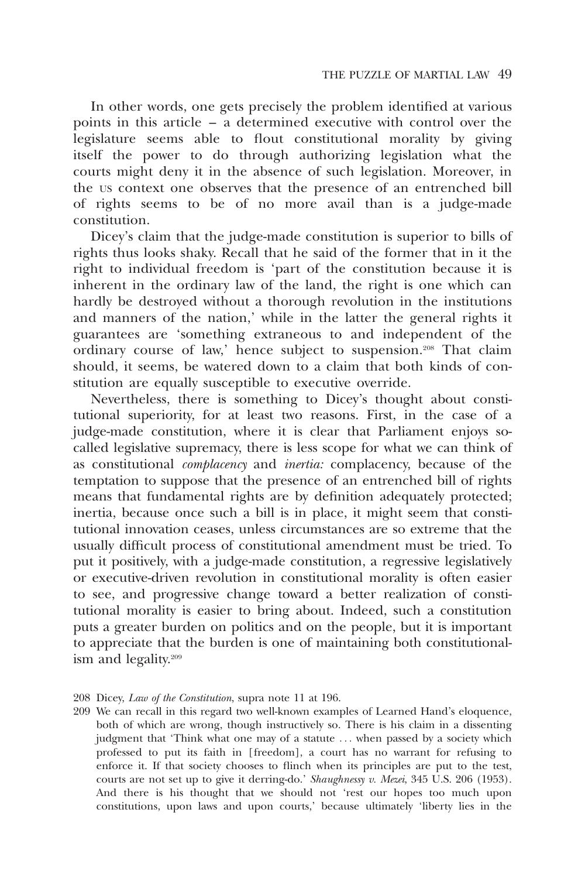In other words, one gets precisely the problem identified at various points in this article – a determined executive with control over the legislature seems able to flout constitutional morality by giving itself the power to do through authorizing legislation what the courts might deny it in the absence of such legislation. Moreover, in the US context one observes that the presence of an entrenched bill of rights seems to be of no more avail than is a judge-made constitution.

Dicey's claim that the judge-made constitution is superior to bills of rights thus looks shaky. Recall that he said of the former that in it the right to individual freedom is 'part of the constitution because it is inherent in the ordinary law of the land, the right is one which can hardly be destroyed without a thorough revolution in the institutions and manners of the nation,' while in the latter the general rights it guarantees are 'something extraneous to and independent of the ordinary course of law,' hence subject to suspension.<sup>208</sup> That claim should, it seems, be watered down to a claim that both kinds of constitution are equally susceptible to executive override.

Nevertheless, there is something to Dicey's thought about constitutional superiority, for at least two reasons. First, in the case of a judge-made constitution, where it is clear that Parliament enjoys socalled legislative supremacy, there is less scope for what we can think of as constitutional complacency and inertia: complacency, because of the temptation to suppose that the presence of an entrenched bill of rights means that fundamental rights are by definition adequately protected; inertia, because once such a bill is in place, it might seem that constitutional innovation ceases, unless circumstances are so extreme that the usually difficult process of constitutional amendment must be tried. To put it positively, with a judge-made constitution, a regressive legislatively or executive-driven revolution in constitutional morality is often easier to see, and progressive change toward a better realization of constitutional morality is easier to bring about. Indeed, such a constitution puts a greater burden on politics and on the people, but it is important to appreciate that the burden is one of maintaining both constitutionalism and legality.<sup>209</sup>

209 We can recall in this regard two well-known examples of Learned Hand's eloquence, both of which are wrong, though instructively so. There is his claim in a dissenting judgment that 'Think what one may of a statute ... when passed by a society which professed to put its faith in [freedom], a court has no warrant for refusing to enforce it. If that society chooses to flinch when its principles are put to the test, courts are not set up to give it derring-do.' Shaughnessy v. Mezei, 345 U.S. 206 (1953). And there is his thought that we should not 'rest our hopes too much upon constitutions, upon laws and upon courts,' because ultimately 'liberty lies in the

<sup>208</sup> Dicey, Law of the Constitution, supra note 11 at 196.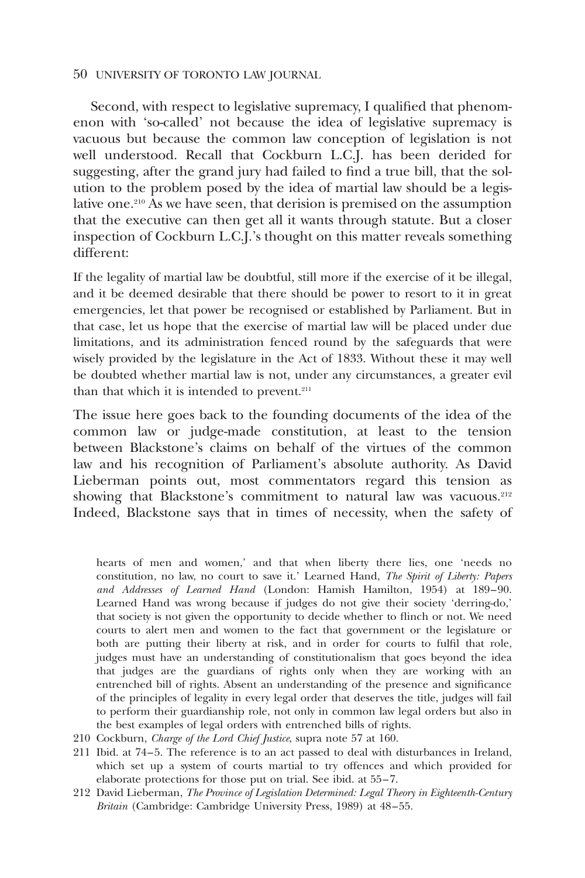Second, with respect to legislative supremacy, I qualified that phenomenon with 'so-called' not because the idea of legislative supremacy is vacuous but because the common law conception of legislation is not well understood. Recall that Cockburn L.C.J. has been derided for suggesting, after the grand jury had failed to find a true bill, that the solution to the problem posed by the idea of martial law should be a legislative one.<sup>210</sup> As we have seen, that derision is premised on the assumption that the executive can then get all it wants through statute. But a closer inspection of Cockburn L.C.J.'s thought on this matter reveals something different:

If the legality of martial law be doubtful, still more if the exercise of it be illegal, and it be deemed desirable that there should be power to resort to it in great emergencies, let that power be recognised or established by Parliament. But in that case, let us hope that the exercise of martial law will be placed under due limitations, and its administration fenced round by the safeguards that were wisely provided by the legislature in the Act of 1833. Without these it may well be doubted whether martial law is not, under any circumstances, a greater evil than that which it is intended to prevent.<sup>211</sup>

The issue here goes back to the founding documents of the idea of the common law or judge-made constitution, at least to the tension between Blackstone's claims on behalf of the virtues of the common law and his recognition of Parliament's absolute authority. As David Lieberman points out, most commentators regard this tension as showing that Blackstone's commitment to natural law was vacuous.<sup>212</sup> Indeed, Blackstone says that in times of necessity, when the safety of

hearts of men and women,' and that when liberty there lies, one 'needs no constitution, no law, no court to save it.' Learned Hand, The Spirit of Liberty: Papers and Addresses of Learned Hand (London: Hamish Hamilton, 1954) at 189–90. Learned Hand was wrong because if judges do not give their society 'derring-do,' that society is not given the opportunity to decide whether to flinch or not. We need courts to alert men and women to the fact that government or the legislature or both are putting their liberty at risk, and in order for courts to fulfil that role, judges must have an understanding of constitutionalism that goes beyond the idea that judges are the guardians of rights only when they are working with an entrenched bill of rights. Absent an understanding of the presence and significance of the principles of legality in every legal order that deserves the title, judges will fail to perform their guardianship role, not only in common law legal orders but also in the best examples of legal orders with entrenched bills of rights.

- 210 Cockburn, Charge of the Lord Chief Justice, supra note 57 at 160.
- 211 Ibid. at 74–5. The reference is to an act passed to deal with disturbances in Ireland, which set up a system of courts martial to try offences and which provided for elaborate protections for those put on trial. See ibid. at 55–7.
- 212 David Lieberman, The Province of Legislation Determined: Legal Theory in Eighteenth-Century Britain (Cambridge: Cambridge University Press, 1989) at 48–55.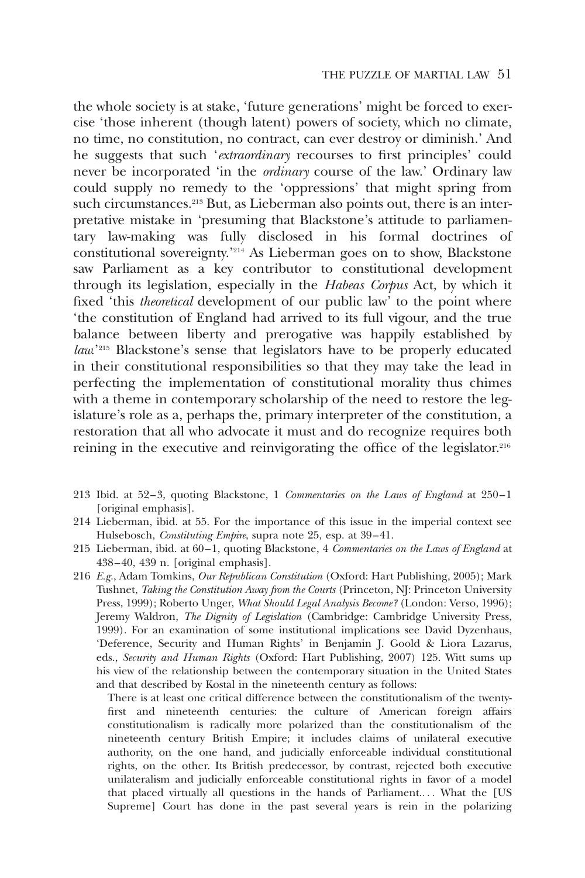the whole society is at stake, 'future generations' might be forced to exercise 'those inherent (though latent) powers of society, which no climate, no time, no constitution, no contract, can ever destroy or diminish.' And he suggests that such 'extraordinary recourses to first principles' could never be incorporated 'in the ordinary course of the law.' Ordinary law could supply no remedy to the 'oppressions' that might spring from such circumstances.213 But, as Lieberman also points out, there is an interpretative mistake in 'presuming that Blackstone's attitude to parliamentary law-making was fully disclosed in his formal doctrines of constitutional sovereignty.'214 As Lieberman goes on to show, Blackstone saw Parliament as a key contributor to constitutional development through its legislation, especially in the Habeas Corpus Act, by which it fixed 'this *theoretical* development of our public law' to the point where 'the constitution of England had arrived to its full vigour, and the true balance between liberty and prerogative was happily established by law.'215 Blackstone's sense that legislators have to be properly educated in their constitutional responsibilities so that they may take the lead in perfecting the implementation of constitutional morality thus chimes with a theme in contemporary scholarship of the need to restore the legislature's role as a, perhaps the, primary interpreter of the constitution, a restoration that all who advocate it must and do recognize requires both reining in the executive and reinvigorating the office of the legislator.<sup>216</sup>

- 213 Ibid. at 52–3, quoting Blackstone, 1 Commentaries on the Laws of England at 250–1 [original emphasis].
- 214 Lieberman, ibid. at 55. For the importance of this issue in the imperial context see Hulsebosch, Constituting Empire, supra note 25, esp. at 39–41.
- 215 Lieberman, ibid. at 60–1, quoting Blackstone, 4 Commentaries on the Laws of England at 438–40, 439 n. [original emphasis].
- 216 E.g., Adam Tomkins, Our Republican Constitution (Oxford: Hart Publishing, 2005); Mark Tushnet, Taking the Constitution Away from the Courts (Princeton, NJ: Princeton University Press, 1999); Roberto Unger, What Should Legal Analysis Become? (London: Verso, 1996); Jeremy Waldron, The Dignity of Legislation (Cambridge: Cambridge University Press, 1999). For an examination of some institutional implications see David Dyzenhaus, 'Deference, Security and Human Rights' in Benjamin J. Goold & Liora Lazarus, eds., Security and Human Rights (Oxford: Hart Publishing, 2007) 125. Witt sums up his view of the relationship between the contemporary situation in the United States and that described by Kostal in the nineteenth century as follows:

There is at least one critical difference between the constitutionalism of the twentyfirst and nineteenth centuries: the culture of American foreign affairs constitutionalism is radically more polarized than the constitutionalism of the nineteenth century British Empire; it includes claims of unilateral executive authority, on the one hand, and judicially enforceable individual constitutional rights, on the other. Its British predecessor, by contrast, rejected both executive unilateralism and judicially enforceable constitutional rights in favor of a model that placed virtually all questions in the hands of Parliament.... What the [US Supreme] Court has done in the past several years is rein in the polarizing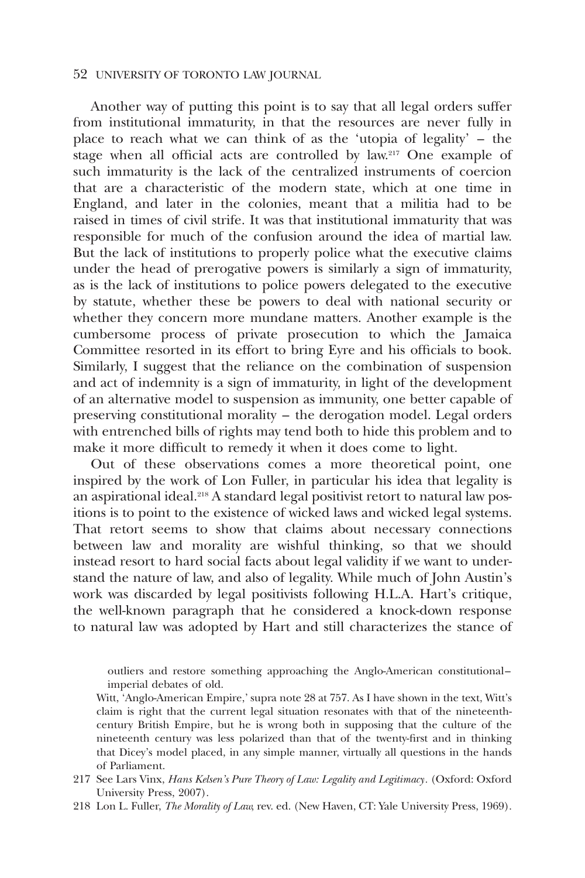Another way of putting this point is to say that all legal orders suffer from institutional immaturity, in that the resources are never fully in place to reach what we can think of as the 'utopia of legality' – the stage when all official acts are controlled by law.<sup>217</sup> One example of such immaturity is the lack of the centralized instruments of coercion that are a characteristic of the modern state, which at one time in England, and later in the colonies, meant that a militia had to be raised in times of civil strife. It was that institutional immaturity that was responsible for much of the confusion around the idea of martial law. But the lack of institutions to properly police what the executive claims under the head of prerogative powers is similarly a sign of immaturity, as is the lack of institutions to police powers delegated to the executive by statute, whether these be powers to deal with national security or whether they concern more mundane matters. Another example is the cumbersome process of private prosecution to which the Jamaica Committee resorted in its effort to bring Eyre and his officials to book. Similarly, I suggest that the reliance on the combination of suspension and act of indemnity is a sign of immaturity, in light of the development of an alternative model to suspension as immunity, one better capable of preserving constitutional morality – the derogation model. Legal orders with entrenched bills of rights may tend both to hide this problem and to make it more difficult to remedy it when it does come to light.

Out of these observations comes a more theoretical point, one inspired by the work of Lon Fuller, in particular his idea that legality is an aspirational ideal.218 A standard legal positivist retort to natural law positions is to point to the existence of wicked laws and wicked legal systems. That retort seems to show that claims about necessary connections between law and morality are wishful thinking, so that we should instead resort to hard social facts about legal validity if we want to understand the nature of law, and also of legality. While much of John Austin's work was discarded by legal positivists following H.L.A. Hart's critique, the well-known paragraph that he considered a knock-down response to natural law was adopted by Hart and still characterizes the stance of

outliers and restore something approaching the Anglo-American constitutional– imperial debates of old.

Witt, 'Anglo-American Empire,' supra note 28 at 757. As I have shown in the text, Witt's claim is right that the current legal situation resonates with that of the nineteenthcentury British Empire, but he is wrong both in supposing that the culture of the nineteenth century was less polarized than that of the twenty-first and in thinking that Dicey's model placed, in any simple manner, virtually all questions in the hands of Parliament.

- 217 See Lars Vinx, Hans Kelsen's Pure Theory of Law: Legality and Legitimacy. (Oxford: Oxford University Press, 2007).
- 218 Lon L. Fuller, The Morality of Law, rev. ed. (New Haven, CT: Yale University Press, 1969).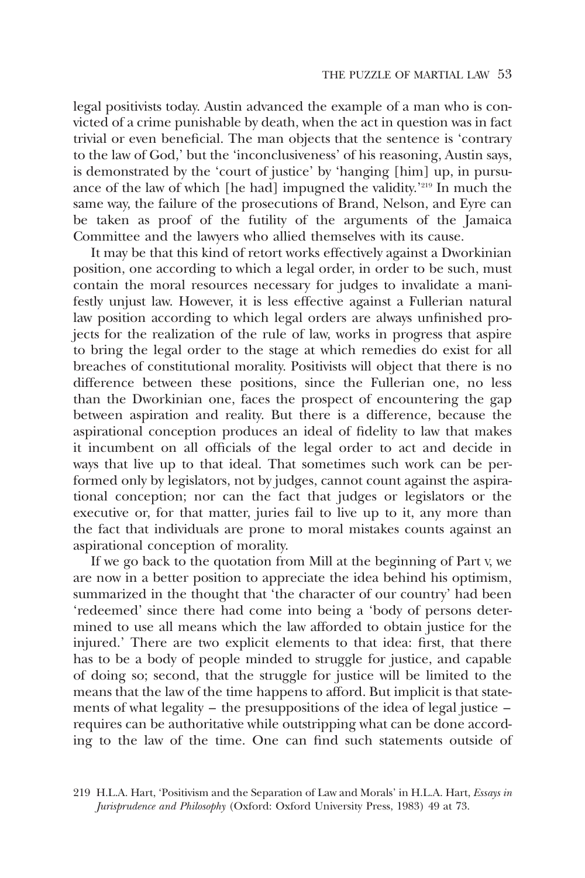legal positivists today. Austin advanced the example of a man who is convicted of a crime punishable by death, when the act in question was in fact trivial or even beneficial. The man objects that the sentence is 'contrary to the law of God,' but the 'inconclusiveness' of his reasoning, Austin says, is demonstrated by the 'court of justice' by 'hanging [him] up, in pursuance of the law of which [he had] impugned the validity.'219 In much the same way, the failure of the prosecutions of Brand, Nelson, and Eyre can be taken as proof of the futility of the arguments of the Jamaica Committee and the lawyers who allied themselves with its cause.

It may be that this kind of retort works effectively against a Dworkinian position, one according to which a legal order, in order to be such, must contain the moral resources necessary for judges to invalidate a manifestly unjust law. However, it is less effective against a Fullerian natural law position according to which legal orders are always unfinished projects for the realization of the rule of law, works in progress that aspire to bring the legal order to the stage at which remedies do exist for all breaches of constitutional morality. Positivists will object that there is no difference between these positions, since the Fullerian one, no less than the Dworkinian one, faces the prospect of encountering the gap between aspiration and reality. But there is a difference, because the aspirational conception produces an ideal of fidelity to law that makes it incumbent on all officials of the legal order to act and decide in ways that live up to that ideal. That sometimes such work can be performed only by legislators, not by judges, cannot count against the aspirational conception; nor can the fact that judges or legislators or the executive or, for that matter, juries fail to live up to it, any more than the fact that individuals are prone to moral mistakes counts against an aspirational conception of morality.

If we go back to the quotation from Mill at the beginning of Part V, we are now in a better position to appreciate the idea behind his optimism, summarized in the thought that 'the character of our country' had been 'redeemed' since there had come into being a 'body of persons determined to use all means which the law afforded to obtain justice for the injured.' There are two explicit elements to that idea: first, that there has to be a body of people minded to struggle for justice, and capable of doing so; second, that the struggle for justice will be limited to the means that the law of the time happens to afford. But implicit is that statements of what legality – the presuppositions of the idea of legal justice – requires can be authoritative while outstripping what can be done according to the law of the time. One can find such statements outside of

<sup>219</sup> H.L.A. Hart, 'Positivism and the Separation of Law and Morals' in H.L.A. Hart, Essays in Jurisprudence and Philosophy (Oxford: Oxford University Press, 1983) 49 at 73.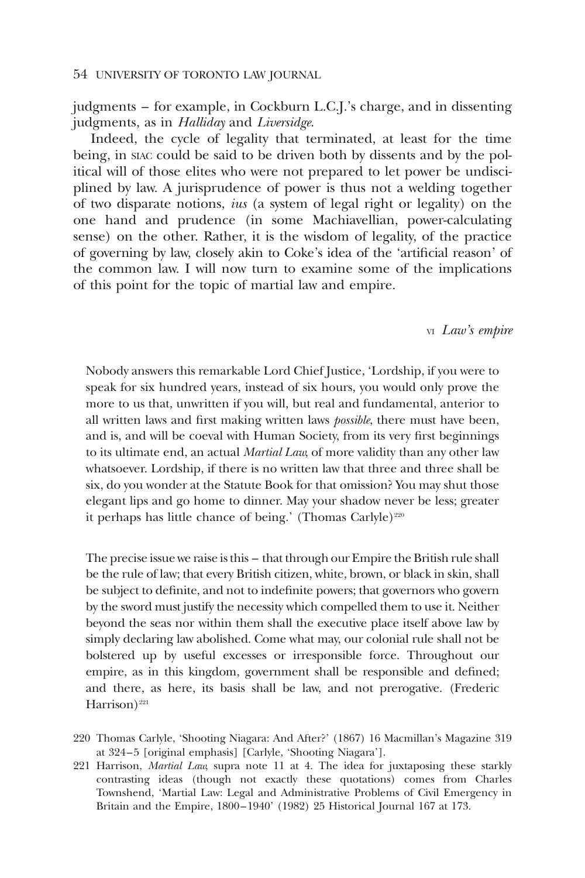judgments – for example, in Cockburn L.C.J.'s charge, and in dissenting judgments, as in Halliday and Liversidge.

Indeed, the cycle of legality that terminated, at least for the time being, in SIAC could be said to be driven both by dissents and by the political will of those elites who were not prepared to let power be undisciplined by law. A jurisprudence of power is thus not a welding together of two disparate notions, ius (a system of legal right or legality) on the one hand and prudence (in some Machiavellian, power-calculating sense) on the other. Rather, it is the wisdom of legality, of the practice of governing by law, closely akin to Coke's idea of the 'artificial reason' of the common law. I will now turn to examine some of the implications of this point for the topic of martial law and empire.

## VI Law's empire

Nobody answers this remarkable Lord Chief Justice, 'Lordship, if you were to speak for six hundred years, instead of six hours, you would only prove the more to us that, unwritten if you will, but real and fundamental, anterior to all written laws and first making written laws possible, there must have been, and is, and will be coeval with Human Society, from its very first beginnings to its ultimate end, an actual *Martial Law*, of more validity than any other law whatsoever. Lordship, if there is no written law that three and three shall be six, do you wonder at the Statute Book for that omission? You may shut those elegant lips and go home to dinner. May your shadow never be less; greater it perhaps has little chance of being.' (Thomas Carlyle)<sup>220</sup>

The precise issue we raise is this – that through our Empire the British rule shall be the rule of law; that every British citizen, white, brown, or black in skin, shall be subject to definite, and not to indefinite powers; that governors who govern by the sword must justify the necessity which compelled them to use it. Neither beyond the seas nor within them shall the executive place itself above law by simply declaring law abolished. Come what may, our colonial rule shall not be bolstered up by useful excesses or irresponsible force. Throughout our empire, as in this kingdom, government shall be responsible and defined; and there, as here, its basis shall be law, and not prerogative. (Frederic Harrison)<sup>221</sup>

- 220 Thomas Carlyle, 'Shooting Niagara: And After?' (1867) 16 Macmillan's Magazine 319 at 324–5 [original emphasis] [Carlyle, 'Shooting Niagara'].
- 221 Harrison, *Martial Law*, supra note 11 at 4. The idea for juxtaposing these starkly contrasting ideas (though not exactly these quotations) comes from Charles Townshend, 'Martial Law: Legal and Administrative Problems of Civil Emergency in Britain and the Empire, 1800–1940' (1982) 25 Historical Journal 167 at 173.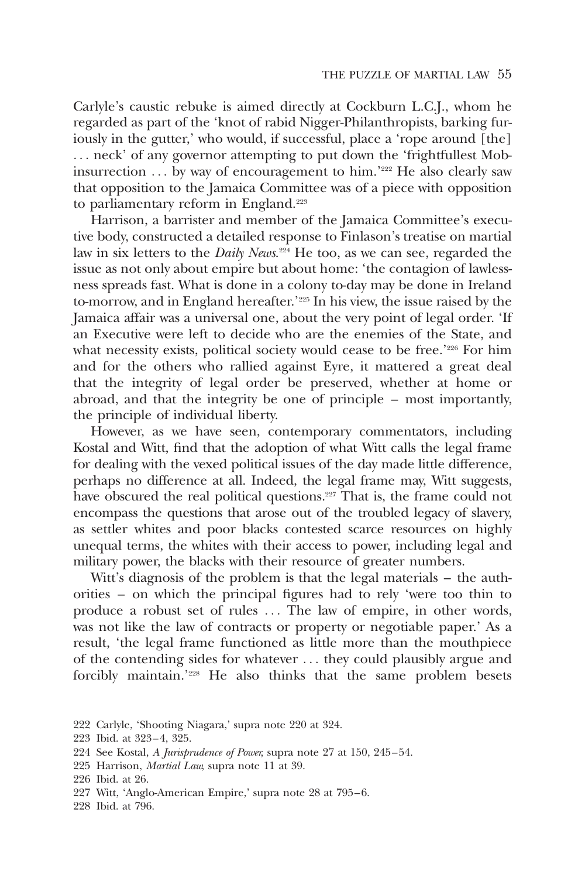Carlyle's caustic rebuke is aimed directly at Cockburn L.C.J., whom he regarded as part of the 'knot of rabid Nigger-Philanthropists, barking furiously in the gutter,' who would, if successful, place a 'rope around [the] ... neck' of any governor attempting to put down the 'frightfullest Mobinsurrection  $\ldots$  by way of encouragement to him.'<sup>222</sup> He also clearly saw that opposition to the Jamaica Committee was of a piece with opposition to parliamentary reform in England.<sup>223</sup>

Harrison, a barrister and member of the Jamaica Committee's executive body, constructed a detailed response to Finlason's treatise on martial law in six letters to the *Daily News*.<sup>224</sup> He too, as we can see, regarded the issue as not only about empire but about home: 'the contagion of lawlessness spreads fast. What is done in a colony to-day may be done in Ireland to-morrow, and in England hereafter.'225 In his view, the issue raised by the Jamaica affair was a universal one, about the very point of legal order. 'If an Executive were left to decide who are the enemies of the State, and what necessity exists, political society would cease to be free.'226 For him and for the others who rallied against Eyre, it mattered a great deal that the integrity of legal order be preserved, whether at home or abroad, and that the integrity be one of principle – most importantly, the principle of individual liberty.

However, as we have seen, contemporary commentators, including Kostal and Witt, find that the adoption of what Witt calls the legal frame for dealing with the vexed political issues of the day made little difference, perhaps no difference at all. Indeed, the legal frame may, Witt suggests, have obscured the real political questions.<sup>227</sup> That is, the frame could not encompass the questions that arose out of the troubled legacy of slavery, as settler whites and poor blacks contested scarce resources on highly unequal terms, the whites with their access to power, including legal and military power, the blacks with their resource of greater numbers.

Witt's diagnosis of the problem is that the legal materials – the authorities – on which the principal figures had to rely 'were too thin to produce a robust set of rules ... The law of empire, in other words, was not like the law of contracts or property or negotiable paper.' As a result, 'the legal frame functioned as little more than the mouthpiece of the contending sides for whatever ... they could plausibly argue and forcibly maintain.'<sup>228</sup> He also thinks that the same problem besets

225 Harrison, Martial Law, supra note 11 at 39.

- 227 Witt, 'Anglo-American Empire,' supra note 28 at 795–6.
- 228 Ibid. at 796.

<sup>222</sup> Carlyle, 'Shooting Niagara,' supra note 220 at 324.

<sup>223</sup> Ibid. at 323–4, 325.

<sup>224</sup> See Kostal, A Jurisprudence of Power, supra note 27 at 150, 245–54.

<sup>226</sup> Ibid. at 26.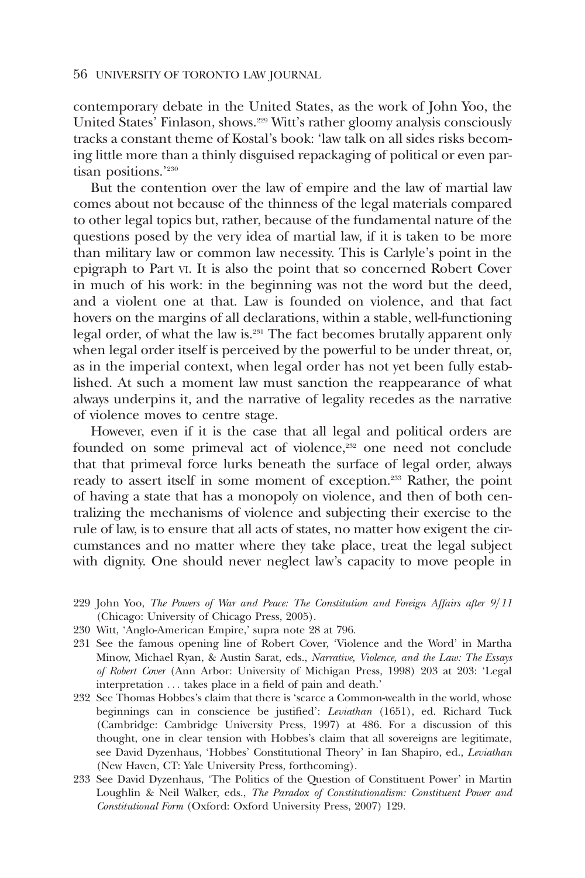contemporary debate in the United States, as the work of John Yoo, the United States' Finlason, shows.229 Witt's rather gloomy analysis consciously tracks a constant theme of Kostal's book: 'law talk on all sides risks becoming little more than a thinly disguised repackaging of political or even partisan positions.'230

But the contention over the law of empire and the law of martial law comes about not because of the thinness of the legal materials compared to other legal topics but, rather, because of the fundamental nature of the questions posed by the very idea of martial law, if it is taken to be more than military law or common law necessity. This is Carlyle's point in the epigraph to Part VI. It is also the point that so concerned Robert Cover in much of his work: in the beginning was not the word but the deed, and a violent one at that. Law is founded on violence, and that fact hovers on the margins of all declarations, within a stable, well-functioning legal order, of what the law is.231 The fact becomes brutally apparent only when legal order itself is perceived by the powerful to be under threat, or, as in the imperial context, when legal order has not yet been fully established. At such a moment law must sanction the reappearance of what always underpins it, and the narrative of legality recedes as the narrative of violence moves to centre stage.

However, even if it is the case that all legal and political orders are founded on some primeval act of violence,<sup>232</sup> one need not conclude that that primeval force lurks beneath the surface of legal order, always ready to assert itself in some moment of exception.233 Rather, the point of having a state that has a monopoly on violence, and then of both centralizing the mechanisms of violence and subjecting their exercise to the rule of law, is to ensure that all acts of states, no matter how exigent the circumstances and no matter where they take place, treat the legal subject with dignity. One should never neglect law's capacity to move people in

- 229 John Yoo, The Powers of War and Peace: The Constitution and Foreign Affairs after 9/11 (Chicago: University of Chicago Press, 2005).
- 230 Witt, 'Anglo-American Empire,' supra note 28 at 796.
- 231 See the famous opening line of Robert Cover, 'Violence and the Word' in Martha Minow, Michael Ryan, & Austin Sarat, eds., Narrative, Violence, and the Law: The Essays of Robert Cover (Ann Arbor: University of Michigan Press, 1998) 203 at 203: 'Legal interpretation ... takes place in a field of pain and death.'
- 232 See Thomas Hobbes's claim that there is 'scarce a Common-wealth in the world, whose beginnings can in conscience be justified': Leviathan (1651), ed. Richard Tuck (Cambridge: Cambridge University Press, 1997) at 486. For a discussion of this thought, one in clear tension with Hobbes's claim that all sovereigns are legitimate, see David Dyzenhaus, 'Hobbes' Constitutional Theory' in Ian Shapiro, ed., Leviathan (New Haven, CT: Yale University Press, forthcoming).
- 233 See David Dyzenhaus, 'The Politics of the Question of Constituent Power' in Martin Loughlin & Neil Walker, eds., The Paradox of Constitutionalism: Constituent Power and Constitutional Form (Oxford: Oxford University Press, 2007) 129.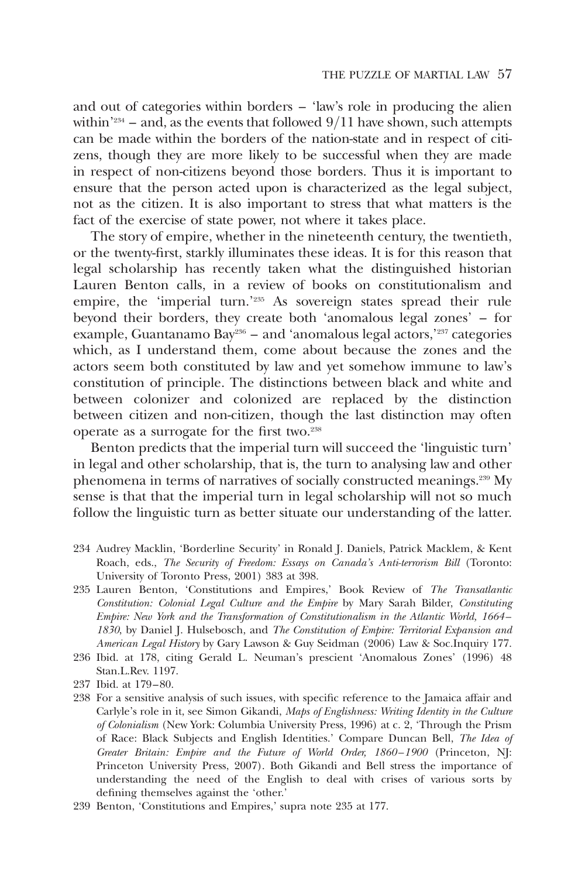and out of categories within borders – 'law's role in producing the alien within'<sup>234</sup> – and, as the events that followed  $9/11$  have shown, such attempts can be made within the borders of the nation-state and in respect of citizens, though they are more likely to be successful when they are made in respect of non-citizens beyond those borders. Thus it is important to ensure that the person acted upon is characterized as the legal subject, not as the citizen. It is also important to stress that what matters is the fact of the exercise of state power, not where it takes place.

The story of empire, whether in the nineteenth century, the twentieth, or the twenty-first, starkly illuminates these ideas. It is for this reason that legal scholarship has recently taken what the distinguished historian Lauren Benton calls, in a review of books on constitutionalism and empire, the 'imperial turn.'235 As sovereign states spread their rule beyond their borders, they create both 'anomalous legal zones' – for example, Guantanamo Bay<sup>236</sup> – and 'anomalous legal actors,<sup>2237</sup> categories which, as I understand them, come about because the zones and the actors seem both constituted by law and yet somehow immune to law's constitution of principle. The distinctions between black and white and between colonizer and colonized are replaced by the distinction between citizen and non-citizen, though the last distinction may often operate as a surrogate for the first two.238

Benton predicts that the imperial turn will succeed the 'linguistic turn' in legal and other scholarship, that is, the turn to analysing law and other phenomena in terms of narratives of socially constructed meanings.239 My sense is that that the imperial turn in legal scholarship will not so much follow the linguistic turn as better situate our understanding of the latter.

- 234 Audrey Macklin, 'Borderline Security' in Ronald J. Daniels, Patrick Macklem, & Kent Roach, eds., The Security of Freedom: Essays on Canada's Anti-terrorism Bill (Toronto: University of Toronto Press, 2001) 383 at 398.
- 235 Lauren Benton, 'Constitutions and Empires,' Book Review of The Transatlantic Constitution: Colonial Legal Culture and the Empire by Mary Sarah Bilder, Constituting Empire: New York and the Transformation of Constitutionalism in the Atlantic World, 1664– 1830, by Daniel J. Hulsebosch, and The Constitution of Empire: Territorial Expansion and American Legal History by Gary Lawson & Guy Seidman (2006) Law & Soc.Inquiry 177.
- 236 Ibid. at 178, citing Gerald L. Neuman's prescient 'Anomalous Zones' (1996) 48 Stan.L.Rev. 1197.
- 237 Ibid. at 179–80.
- 238 For a sensitive analysis of such issues, with specific reference to the Jamaica affair and Carlyle's role in it, see Simon Gikandi, Maps of Englishness: Writing Identity in the Culture of Colonialism (New York: Columbia University Press, 1996) at c. 2, 'Through the Prism of Race: Black Subjects and English Identities.' Compare Duncan Bell, The Idea of Greater Britain: Empire and the Future of World Order, 1860–1900 (Princeton, NJ: Princeton University Press, 2007). Both Gikandi and Bell stress the importance of understanding the need of the English to deal with crises of various sorts by defining themselves against the 'other.'
- 239 Benton, 'Constitutions and Empires,' supra note 235 at 177.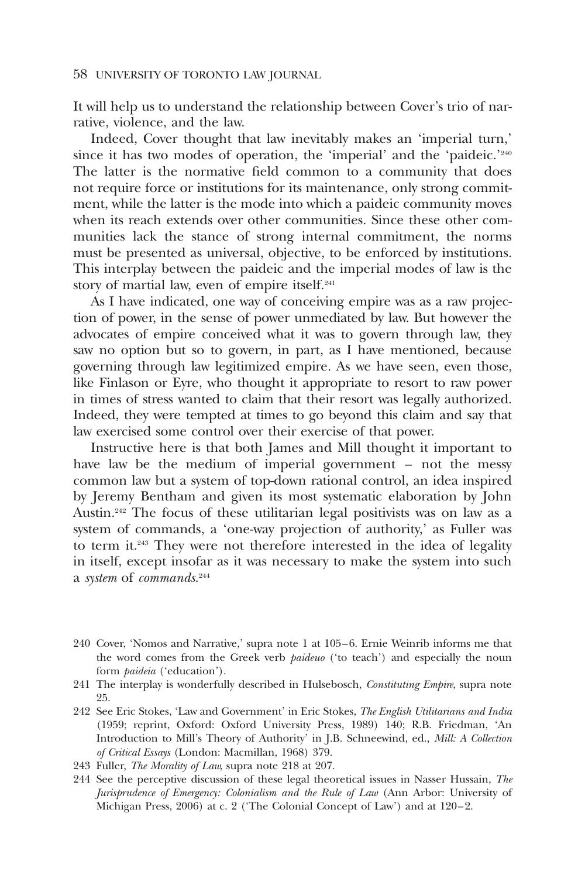It will help us to understand the relationship between Cover's trio of narrative, violence, and the law.

Indeed, Cover thought that law inevitably makes an 'imperial turn,' since it has two modes of operation, the 'imperial' and the 'paideic.'<sup>240</sup> The latter is the normative field common to a community that does not require force or institutions for its maintenance, only strong commitment, while the latter is the mode into which a paideic community moves when its reach extends over other communities. Since these other communities lack the stance of strong internal commitment, the norms must be presented as universal, objective, to be enforced by institutions. This interplay between the paideic and the imperial modes of law is the story of martial law, even of empire itself.<sup>241</sup>

As I have indicated, one way of conceiving empire was as a raw projection of power, in the sense of power unmediated by law. But however the advocates of empire conceived what it was to govern through law, they saw no option but so to govern, in part, as I have mentioned, because governing through law legitimized empire. As we have seen, even those, like Finlason or Eyre, who thought it appropriate to resort to raw power in times of stress wanted to claim that their resort was legally authorized. Indeed, they were tempted at times to go beyond this claim and say that law exercised some control over their exercise of that power.

Instructive here is that both James and Mill thought it important to have law be the medium of imperial government – not the messy common law but a system of top-down rational control, an idea inspired by Jeremy Bentham and given its most systematic elaboration by John Austin.242 The focus of these utilitarian legal positivists was on law as a system of commands, a 'one-way projection of authority,' as Fuller was to term it.243 They were not therefore interested in the idea of legality in itself, except insofar as it was necessary to make the system into such a *system* of *commands*.<sup>244</sup>

- 240 Cover, 'Nomos and Narrative,' supra note 1 at 105–6. Ernie Weinrib informs me that the word comes from the Greek verb paideuo ('to teach') and especially the noun form paideia ('education').
- 241 The interplay is wonderfully described in Hulsebosch, Constituting Empire, supra note 25.
- 242 See Eric Stokes, 'Law and Government' in Eric Stokes, The English Utilitarians and India (1959; reprint, Oxford: Oxford University Press, 1989) 140; R.B. Friedman, 'An Introduction to Mill's Theory of Authority' in J.B. Schneewind, ed., Mill: A Collection of Critical Essays (London: Macmillan, 1968) 379.
- 243 Fuller, The Morality of Law, supra note 218 at 207.
- 244 See the perceptive discussion of these legal theoretical issues in Nasser Hussain, The Jurisprudence of Emergency: Colonialism and the Rule of Law (Ann Arbor: University of Michigan Press, 2006) at c. 2 ('The Colonial Concept of Law') and at 120–2.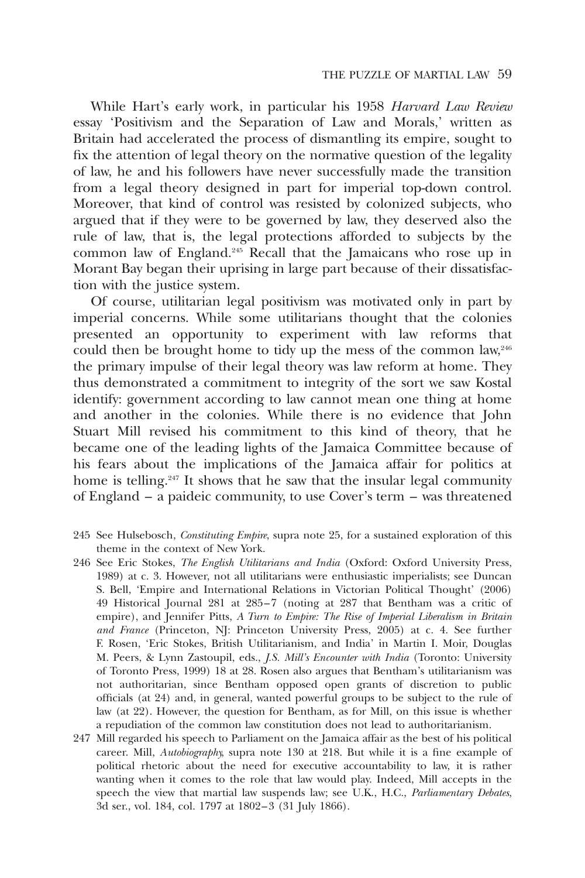While Hart's early work, in particular his 1958 Harvard Law Review essay 'Positivism and the Separation of Law and Morals,' written as Britain had accelerated the process of dismantling its empire, sought to fix the attention of legal theory on the normative question of the legality of law, he and his followers have never successfully made the transition from a legal theory designed in part for imperial top-down control. Moreover, that kind of control was resisted by colonized subjects, who argued that if they were to be governed by law, they deserved also the rule of law, that is, the legal protections afforded to subjects by the common law of England.245 Recall that the Jamaicans who rose up in Morant Bay began their uprising in large part because of their dissatisfaction with the justice system.

Of course, utilitarian legal positivism was motivated only in part by imperial concerns. While some utilitarians thought that the colonies presented an opportunity to experiment with law reforms that could then be brought home to tidy up the mess of the common law,<sup>246</sup> the primary impulse of their legal theory was law reform at home. They thus demonstrated a commitment to integrity of the sort we saw Kostal identify: government according to law cannot mean one thing at home and another in the colonies. While there is no evidence that John Stuart Mill revised his commitment to this kind of theory, that he became one of the leading lights of the Jamaica Committee because of his fears about the implications of the Jamaica affair for politics at home is telling.<sup>247</sup> It shows that he saw that the insular legal community of England – a paideic community, to use Cover's term – was threatened

- 245 See Hulsebosch, Constituting Empire, supra note 25, for a sustained exploration of this theme in the context of New York.
- 246 See Eric Stokes, The English Utilitarians and India (Oxford: Oxford University Press, 1989) at c. 3. However, not all utilitarians were enthusiastic imperialists; see Duncan S. Bell, 'Empire and International Relations in Victorian Political Thought' (2006) 49 Historical Journal 281 at 285–7 (noting at 287 that Bentham was a critic of empire), and Jennifer Pitts, A Turn to Empire: The Rise of Imperial Liberalism in Britain and France (Princeton, NJ: Princeton University Press, 2005) at c. 4. See further F. Rosen, 'Eric Stokes, British Utilitarianism, and India' in Martin I. Moir, Douglas M. Peers, & Lynn Zastoupil, eds., J.S. Mill's Encounter with India (Toronto: University of Toronto Press, 1999) 18 at 28. Rosen also argues that Bentham's utilitarianism was not authoritarian, since Bentham opposed open grants of discretion to public officials (at 24) and, in general, wanted powerful groups to be subject to the rule of law (at 22). However, the question for Bentham, as for Mill, on this issue is whether a repudiation of the common law constitution does not lead to authoritarianism.
- 247 Mill regarded his speech to Parliament on the Jamaica affair as the best of his political career. Mill, Autobiography, supra note 130 at 218. But while it is a fine example of political rhetoric about the need for executive accountability to law, it is rather wanting when it comes to the role that law would play. Indeed, Mill accepts in the speech the view that martial law suspends law; see U.K., H.C., *Parliamentary Debates*, 3d ser., vol. 184, col. 1797 at 1802–3 (31 July 1866).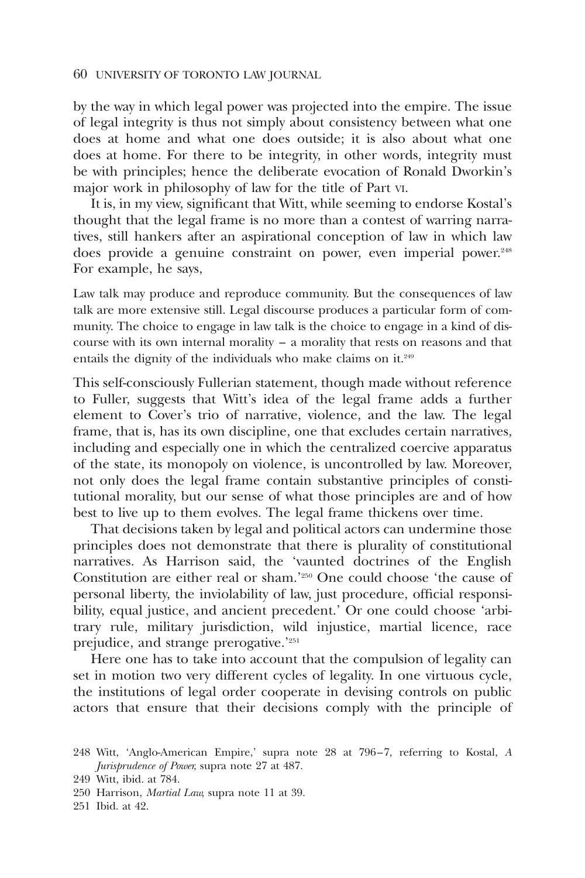by the way in which legal power was projected into the empire. The issue of legal integrity is thus not simply about consistency between what one does at home and what one does outside; it is also about what one does at home. For there to be integrity, in other words, integrity must be with principles; hence the deliberate evocation of Ronald Dworkin's major work in philosophy of law for the title of Part VI.

It is, in my view, significant that Witt, while seeming to endorse Kostal's thought that the legal frame is no more than a contest of warring narratives, still hankers after an aspirational conception of law in which law does provide a genuine constraint on power, even imperial power.248 For example, he says,

Law talk may produce and reproduce community. But the consequences of law talk are more extensive still. Legal discourse produces a particular form of community. The choice to engage in law talk is the choice to engage in a kind of discourse with its own internal morality – a morality that rests on reasons and that entails the dignity of the individuals who make claims on it.249

This self-consciously Fullerian statement, though made without reference to Fuller, suggests that Witt's idea of the legal frame adds a further element to Cover's trio of narrative, violence, and the law. The legal frame, that is, has its own discipline, one that excludes certain narratives, including and especially one in which the centralized coercive apparatus of the state, its monopoly on violence, is uncontrolled by law. Moreover, not only does the legal frame contain substantive principles of constitutional morality, but our sense of what those principles are and of how best to live up to them evolves. The legal frame thickens over time.

That decisions taken by legal and political actors can undermine those principles does not demonstrate that there is plurality of constitutional narratives. As Harrison said, the 'vaunted doctrines of the English Constitution are either real or sham.'250 One could choose 'the cause of personal liberty, the inviolability of law, just procedure, official responsibility, equal justice, and ancient precedent.' Or one could choose 'arbitrary rule, military jurisdiction, wild injustice, martial licence, race prejudice, and strange prerogative.'251

Here one has to take into account that the compulsion of legality can set in motion two very different cycles of legality. In one virtuous cycle, the institutions of legal order cooperate in devising controls on public actors that ensure that their decisions comply with the principle of

<sup>248</sup> Witt, 'Anglo-American Empire,' supra note 28 at 796–7, referring to Kostal, A Jurisprudence of Power, supra note 27 at 487.

<sup>249</sup> Witt, ibid. at 784.

<sup>250</sup> Harrison, Martial Law, supra note 11 at 39.

<sup>251</sup> Ibid. at 42.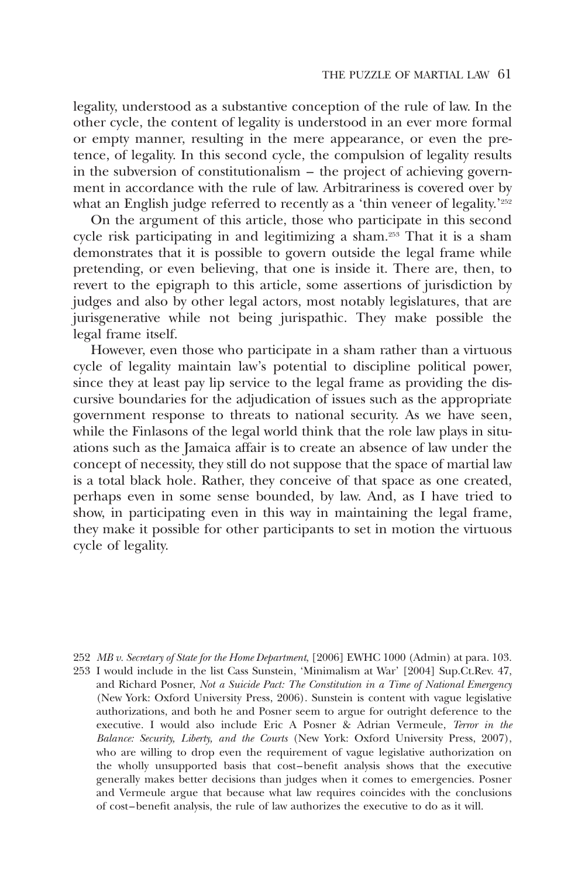legality, understood as a substantive conception of the rule of law. In the other cycle, the content of legality is understood in an ever more formal or empty manner, resulting in the mere appearance, or even the pretence, of legality. In this second cycle, the compulsion of legality results in the subversion of constitutionalism – the project of achieving government in accordance with the rule of law. Arbitrariness is covered over by what an English judge referred to recently as a 'thin veneer of legality.'<sup>252</sup>

On the argument of this article, those who participate in this second cycle risk participating in and legitimizing a sham.253 That it is a sham demonstrates that it is possible to govern outside the legal frame while pretending, or even believing, that one is inside it. There are, then, to revert to the epigraph to this article, some assertions of jurisdiction by judges and also by other legal actors, most notably legislatures, that are jurisgenerative while not being jurispathic. They make possible the legal frame itself.

However, even those who participate in a sham rather than a virtuous cycle of legality maintain law's potential to discipline political power, since they at least pay lip service to the legal frame as providing the discursive boundaries for the adjudication of issues such as the appropriate government response to threats to national security. As we have seen, while the Finlasons of the legal world think that the role law plays in situations such as the Jamaica affair is to create an absence of law under the concept of necessity, they still do not suppose that the space of martial law is a total black hole. Rather, they conceive of that space as one created, perhaps even in some sense bounded, by law. And, as I have tried to show, in participating even in this way in maintaining the legal frame, they make it possible for other participants to set in motion the virtuous cycle of legality.

<sup>252</sup> MB v. Secretary of State for the Home Department, [2006] EWHC 1000 (Admin) at para. 103.

<sup>253</sup> I would include in the list Cass Sunstein, 'Minimalism at War' [2004] Sup.Ct.Rev. 47, and Richard Posner, Not a Suicide Pact: The Constitution in a Time of National Emergency (New York: Oxford University Press, 2006). Sunstein is content with vague legislative authorizations, and both he and Posner seem to argue for outright deference to the executive. I would also include Eric A Posner & Adrian Vermeule, Terror in the Balance: Security, Liberty, and the Courts (New York: Oxford University Press, 2007), who are willing to drop even the requirement of vague legislative authorization on the wholly unsupported basis that cost–benefit analysis shows that the executive generally makes better decisions than judges when it comes to emergencies. Posner and Vermeule argue that because what law requires coincides with the conclusions of cost–benefit analysis, the rule of law authorizes the executive to do as it will.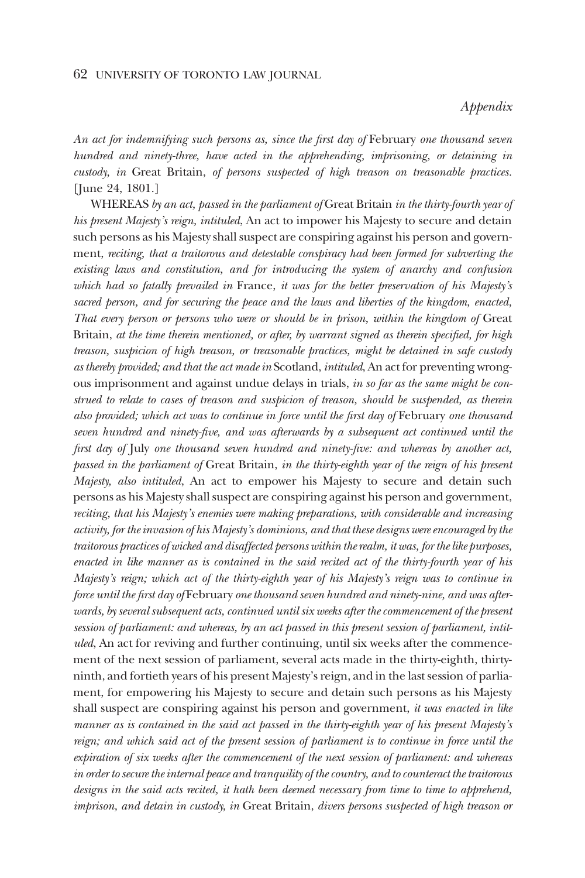## Appendix

An act for indemnifying such persons as, since the first day of February one thousand seven hundred and ninety-three, have acted in the apprehending, imprisoning, or detaining in custody, in Great Britain, of persons suspected of high treason on treasonable practices. [June 24, 1801.]

WHEREAS by an act, passed in the parliament of Great Britain in the thirty-fourth year of his present Majesty's reign, intituled, An act to impower his Majesty to secure and detain such persons as his Majesty shall suspect are conspiring against his person and government, reciting, that a traitorous and detestable conspiracy had been formed for subverting the existing laws and constitution, and for introducing the system of anarchy and confusion which had so fatally prevailed in France, it was for the better preservation of his Majesty's sacred person, and for securing the peace and the laws and liberties of the kingdom, enacted, That every person or persons who were or should be in prison, within the kingdom of Great Britain, at the time therein mentioned, or after, by warrant signed as therein specified, for high treason, suspicion of high treason, or treasonable practices, might be detained in safe custody as thereby provided; and that the act made in Scotland, intituled, An act for preventing wrongous imprisonment and against undue delays in trials, in so far as the same might be construed to relate to cases of treason and suspicion of treason, should be suspended, as therein also provided; which act was to continue in force until the first day of February one thousand seven hundred and ninety-five, and was afterwards by a subsequent act continued until the first day of July one thousand seven hundred and ninety-five: and whereas by another act, passed in the parliament of Great Britain, in the thirty-eighth year of the reign of his present Majesty, also intituled, An act to empower his Majesty to secure and detain such persons as his Majesty shall suspect are conspiring against his person and government, reciting, that his Majesty's enemies were making preparations, with considerable and increasing activity, for the invasion of his Majesty's dominions, and that these designs were encouraged by the traitorous practices of wicked and disaffected persons within the realm, it was, for the like purposes, enacted in like manner as is contained in the said recited act of the thirty-fourth year of his Majesty's reign; which act of the thirty-eighth year of his Majesty's reign was to continue in force until the first day of February one thousand seven hundred and ninety-nine, and was afterwards, by several subsequent acts, continued until six weeks after the commencement of the present session of parliament: and whereas, by an act passed in this present session of parliament, intituled, An act for reviving and further continuing, until six weeks after the commencement of the next session of parliament, several acts made in the thirty-eighth, thirtyninth, and fortieth years of his present Majesty's reign, and in the last session of parliament, for empowering his Majesty to secure and detain such persons as his Majesty shall suspect are conspiring against his person and government, it was enacted in like manner as is contained in the said act passed in the thirty-eighth year of his present Majesty's reign; and which said act of the present session of parliament is to continue in force until the expiration of six weeks after the commencement of the next session of parliament: and whereas in order to secure the internal peace and tranquility of the country, and to counteract the traitorous designs in the said acts recited, it hath been deemed necessary from time to time to apprehend, imprison, and detain in custody, in Great Britain, divers persons suspected of high treason or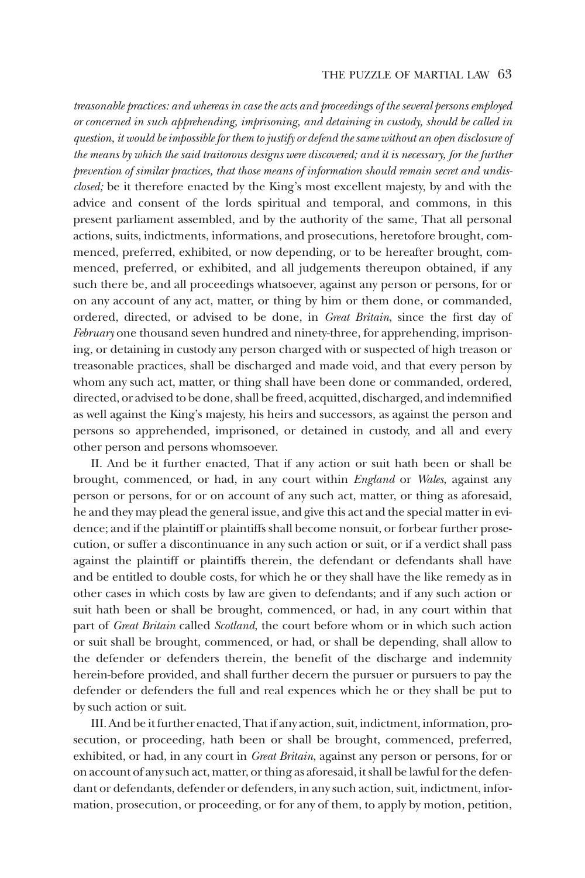## THE PUZZLE OF MARTIAL LAW 63

treasonable practices: and whereas in case the acts and proceedings of the several persons employed or concerned in such apprehending, imprisoning, and detaining in custody, should be called in question, it would be impossible for them to justify or defend the same without an open disclosure of the means by which the said traitorous designs were discovered; and it is necessary, for the further prevention of similar practices, that those means of information should remain secret and undisclosed; be it therefore enacted by the King's most excellent majesty, by and with the advice and consent of the lords spiritual and temporal, and commons, in this present parliament assembled, and by the authority of the same, That all personal actions, suits, indictments, informations, and prosecutions, heretofore brought, commenced, preferred, exhibited, or now depending, or to be hereafter brought, commenced, preferred, or exhibited, and all judgements thereupon obtained, if any such there be, and all proceedings whatsoever, against any person or persons, for or on any account of any act, matter, or thing by him or them done, or commanded, ordered, directed, or advised to be done, in Great Britain, since the first day of February one thousand seven hundred and ninety-three, for apprehending, imprisoning, or detaining in custody any person charged with or suspected of high treason or treasonable practices, shall be discharged and made void, and that every person by whom any such act, matter, or thing shall have been done or commanded, ordered, directed, or advised to be done, shall be freed, acquitted, discharged, and indemnified as well against the King's majesty, his heirs and successors, as against the person and persons so apprehended, imprisoned, or detained in custody, and all and every other person and persons whomsoever.

II. And be it further enacted, That if any action or suit hath been or shall be brought, commenced, or had, in any court within England or Wales, against any person or persons, for or on account of any such act, matter, or thing as aforesaid, he and they may plead the general issue, and give this act and the special matter in evidence; and if the plaintiff or plaintiffs shall become nonsuit, or forbear further prosecution, or suffer a discontinuance in any such action or suit, or if a verdict shall pass against the plaintiff or plaintiffs therein, the defendant or defendants shall have and be entitled to double costs, for which he or they shall have the like remedy as in other cases in which costs by law are given to defendants; and if any such action or suit hath been or shall be brought, commenced, or had, in any court within that part of Great Britain called Scotland, the court before whom or in which such action or suit shall be brought, commenced, or had, or shall be depending, shall allow to the defender or defenders therein, the benefit of the discharge and indemnity herein-before provided, and shall further decern the pursuer or pursuers to pay the defender or defenders the full and real expences which he or they shall be put to by such action or suit.

III. And be it further enacted, That if any action, suit, indictment, information, prosecution, or proceeding, hath been or shall be brought, commenced, preferred, exhibited, or had, in any court in *Great Britain*, against any person or persons, for or on account of any such act, matter, or thing as aforesaid, it shall be lawful for the defendant or defendants, defender or defenders, in any such action, suit, indictment, information, prosecution, or proceeding, or for any of them, to apply by motion, petition,